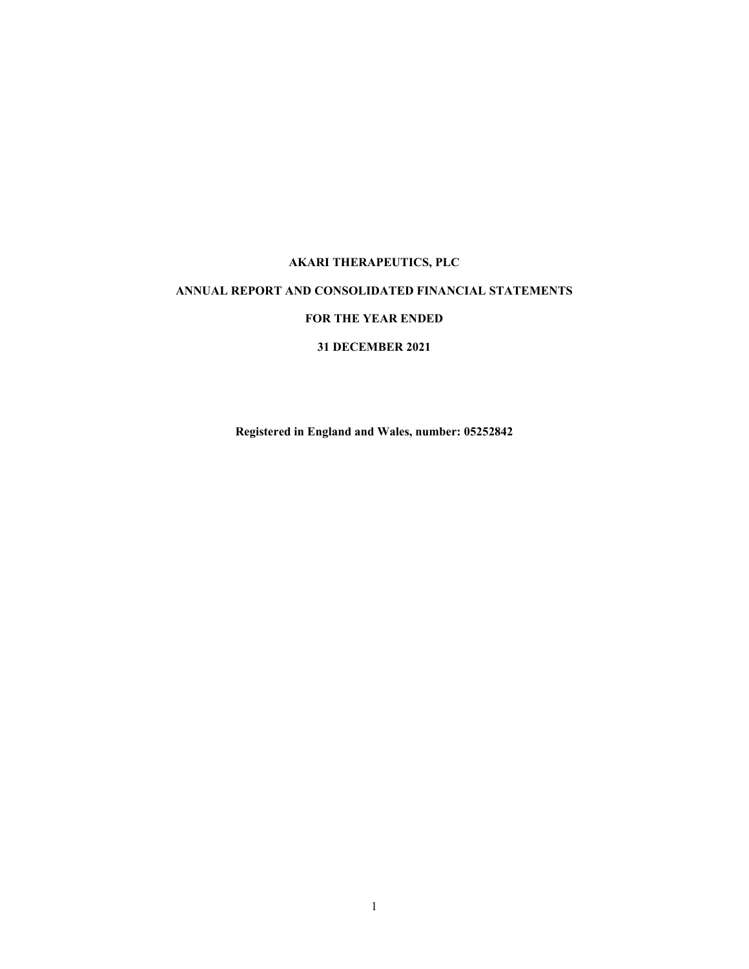# **ANNUAL REPORT AND CONSOLIDATED FINANCIAL STATEMENTS**

# **FOR THE YEAR ENDED**

# **31 DECEMBER 2021**

**Registered in England and Wales, number: 05252842**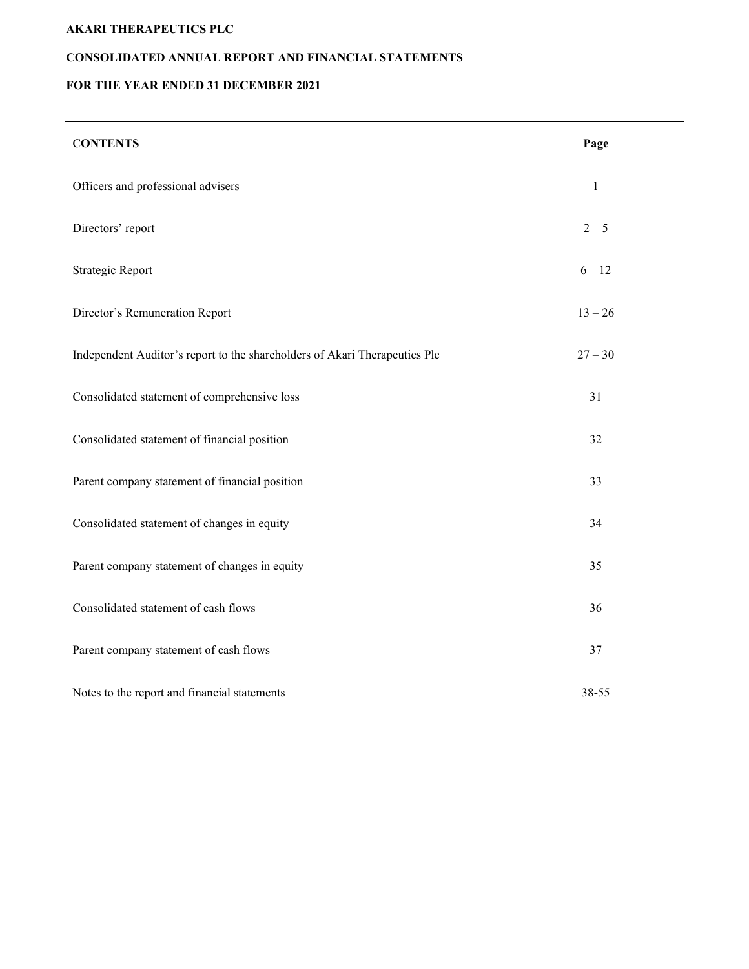# **CONSOLIDATED ANNUAL REPORT AND FINANCIAL STATEMENTS**

# **FOR THE YEAR ENDED 31 DECEMBER 2021**

| <b>CONTENTS</b>                                                            | Page         |
|----------------------------------------------------------------------------|--------------|
| Officers and professional advisers                                         | $\mathbf{1}$ |
| Directors' report                                                          | $2 - 5$      |
| Strategic Report                                                           | $6 - 12$     |
| Director's Remuneration Report                                             | $13 - 26$    |
| Independent Auditor's report to the shareholders of Akari Therapeutics Plc | $27 - 30$    |
| Consolidated statement of comprehensive loss                               | 31           |
| Consolidated statement of financial position                               | 32           |
| Parent company statement of financial position                             | 33           |
| Consolidated statement of changes in equity                                | 34           |
| Parent company statement of changes in equity                              | 35           |
| Consolidated statement of cash flows                                       | 36           |
| Parent company statement of cash flows                                     | 37           |
| Notes to the report and financial statements                               | 38-55        |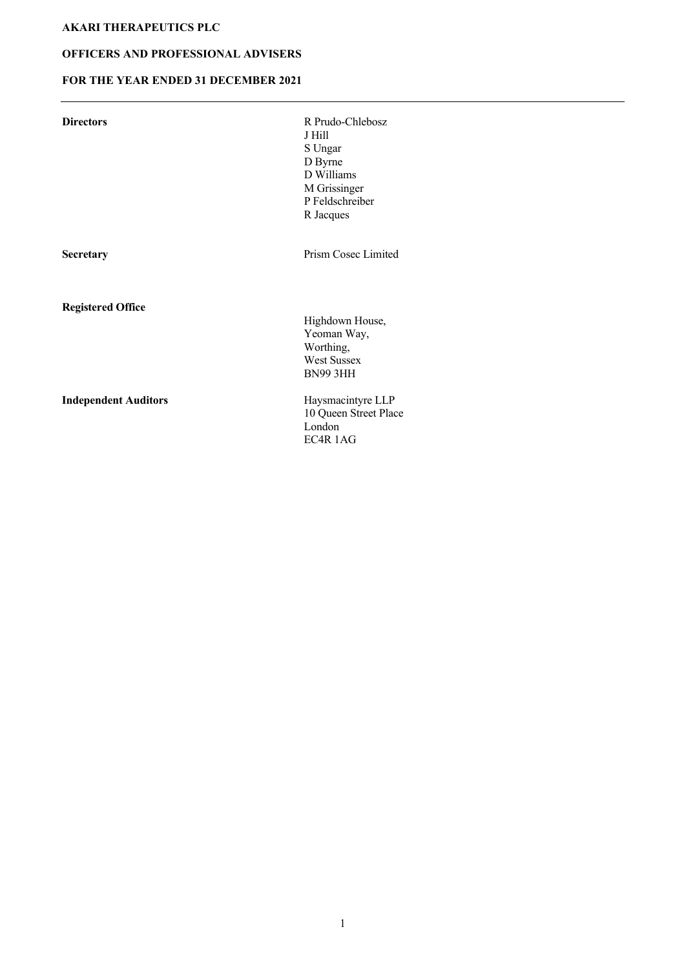# **OFFICERS AND PROFESSIONAL ADVISERS**

# **FOR THE YEAR ENDED 31 DECEMBER 2021**

| <b>Directors</b>                                        | R Prudo-Chlebosz<br>J Hill<br>S Ungar<br>D Byrne<br>D Williams<br>M Grissinger<br>P Feldschreiber<br>R Jacques                                           |
|---------------------------------------------------------|----------------------------------------------------------------------------------------------------------------------------------------------------------|
| <b>Secretary</b>                                        | Prism Cosec Limited                                                                                                                                      |
| <b>Registered Office</b><br><b>Independent Auditors</b> | Highdown House,<br>Yeoman Way,<br>Worthing,<br><b>West Sussex</b><br><b>BN99 3HH</b><br>Haysmacintyre LLP<br>10 Queen Street Place<br>London<br>EC4R 1AG |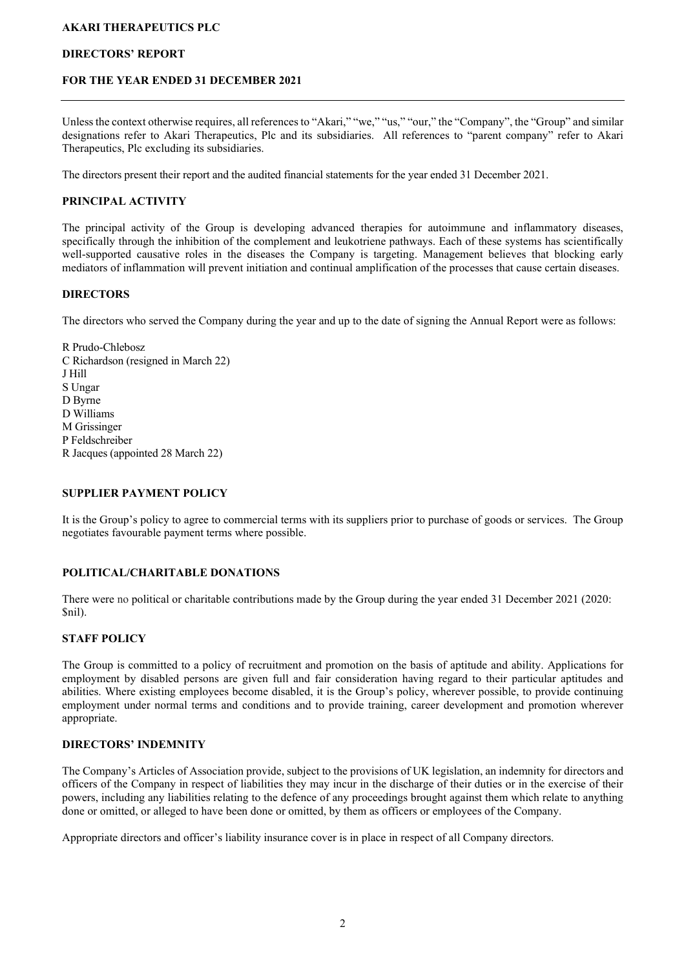### **DIRECTORS' REPORT**

#### **FOR THE YEAR ENDED 31 DECEMBER 2021**

Unless the context otherwise requires, all references to "Akari," "we," "us," "our," the "Company", the "Group" and similar designations refer to Akari Therapeutics, Plc and its subsidiaries. All references to "parent company" refer to Akari Therapeutics, Plc excluding its subsidiaries.

The directors present their report and the audited financial statements for the year ended 31 December 2021.

### **PRINCIPAL ACTIVITY**

The principal activity of the Group is developing advanced therapies for autoimmune and inflammatory diseases, specifically through the inhibition of the complement and leukotriene pathways. Each of these systems has scientifically well-supported causative roles in the diseases the Company is targeting. Management believes that blocking early mediators of inflammation will prevent initiation and continual amplification of the processes that cause certain diseases.

#### **DIRECTORS**

The directors who served the Company during the year and up to the date of signing the Annual Report were as follows:

R Prudo-Chlebosz C Richardson (resigned in March 22) J Hill S Ungar D Byrne D Williams M Grissinger P Feldschreiber R Jacques (appointed 28 March 22)

## **SUPPLIER PAYMENT POLICY**

It is the Group's policy to agree to commercial terms with its suppliers prior to purchase of goods or services. The Group negotiates favourable payment terms where possible.

# **POLITICAL/CHARITABLE DONATIONS**

There were no political or charitable contributions made by the Group during the year ended 31 December 2021 (2020: \$nil).

## **STAFF POLICY**

The Group is committed to a policy of recruitment and promotion on the basis of aptitude and ability. Applications for employment by disabled persons are given full and fair consideration having regard to their particular aptitudes and abilities. Where existing employees become disabled, it is the Group's policy, wherever possible, to provide continuing employment under normal terms and conditions and to provide training, career development and promotion wherever appropriate.

### **DIRECTORS' INDEMNITY**

The Company's Articles of Association provide, subject to the provisions of UK legislation, an indemnity for directors and officers of the Company in respect of liabilities they may incur in the discharge of their duties or in the exercise of their powers, including any liabilities relating to the defence of any proceedings brought against them which relate to anything done or omitted, or alleged to have been done or omitted, by them as officers or employees of the Company.

Appropriate directors and officer's liability insurance cover is in place in respect of all Company directors.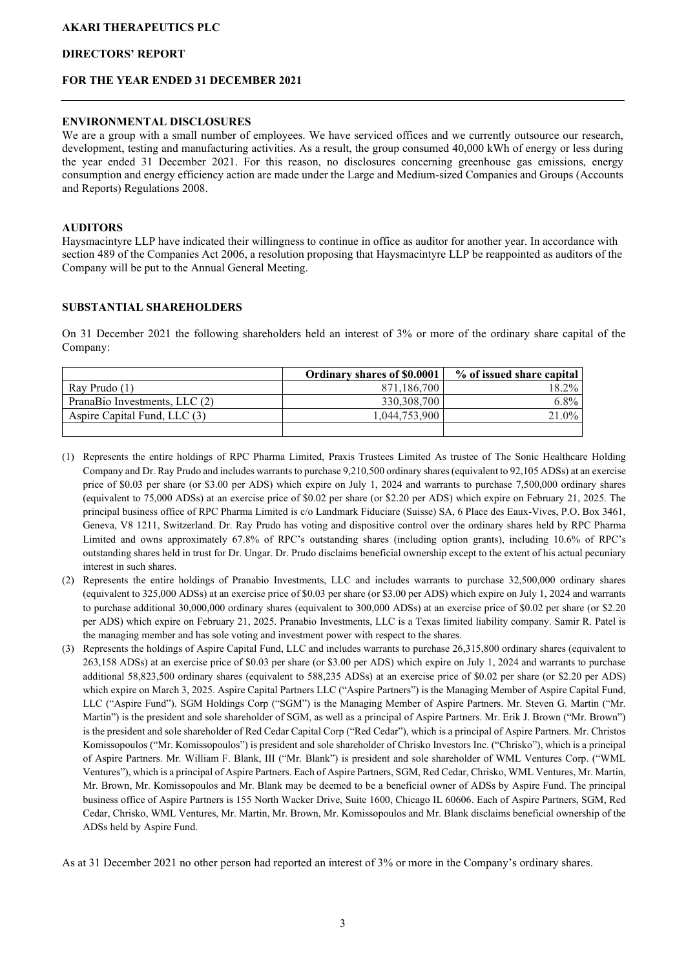## **DIRECTORS' REPORT**

#### **FOR THE YEAR ENDED 31 DECEMBER 2021**

### **ENVIRONMENTAL DISCLOSURES**

We are a group with a small number of employees. We have serviced offices and we currently outsource our research, development, testing and manufacturing activities. As a result, the group consumed 40,000 kWh of energy or less during the year ended 31 December 2021. For this reason, no disclosures concerning greenhouse gas emissions, energy consumption and energy efficiency action are made under the Large and Medium-sized Companies and Groups (Accounts and Reports) Regulations 2008.

#### **AUDITORS**

Haysmacintyre LLP have indicated their willingness to continue in office as auditor for another year. In accordance with section 489 of the Companies Act 2006, a resolution proposing that Haysmacintyre LLP be reappointed as auditors of the Company will be put to the Annual General Meeting.

# **SUBSTANTIAL SHAREHOLDERS**

On 31 December 2021 the following shareholders held an interest of 3% or more of the ordinary share capital of the Company:

|                               | <b>Ordinary shares of \$0.0001</b> | % of issued share capital |
|-------------------------------|------------------------------------|---------------------------|
| Ray Prudo (1)                 | 871,186,700                        | 18.2%                     |
| PranaBio Investments, LLC (2) | 330,308,700                        | $6.8\%$                   |
| Aspire Capital Fund, LLC (3)  | 1.044.753.900                      | $21.0\%$ .                |
|                               |                                    |                           |

- (1) Represents the entire holdings of RPC Pharma Limited, Praxis Trustees Limited As trustee of The Sonic Healthcare Holding Company and Dr. Ray Prudo and includes warrants to purchase 9,210,500 ordinary shares (equivalent to 92,105 ADSs) at an exercise price of \$0.03 per share (or \$3.00 per ADS) which expire on July 1, 2024 and warrants to purchase 7,500,000 ordinary shares (equivalent to 75,000 ADSs) at an exercise price of \$0.02 per share (or \$2.20 per ADS) which expire on February 21, 2025. The principal business office of RPC Pharma Limited is c/o Landmark Fiduciare (Suisse) SA, 6 Place des Eaux-Vives, P.O. Box 3461, Geneva, V8 1211, Switzerland. Dr. Ray Prudo has voting and dispositive control over the ordinary shares held by RPC Pharma Limited and owns approximately 67.8% of RPC's outstanding shares (including option grants), including 10.6% of RPC's outstanding shares held in trust for Dr. Ungar. Dr. Prudo disclaims beneficial ownership except to the extent of his actual pecuniary interest in such shares.
- (2) Represents the entire holdings of Pranabio Investments, LLC and includes warrants to purchase 32,500,000 ordinary shares (equivalent to 325,000 ADSs) at an exercise price of \$0.03 per share (or \$3.00 per ADS) which expire on July 1, 2024 and warrants to purchase additional 30,000,000 ordinary shares (equivalent to 300,000 ADSs) at an exercise price of \$0.02 per share (or \$2.20 per ADS) which expire on February 21, 2025. Pranabio Investments, LLC is a Texas limited liability company. Samir R. Patel is the managing member and has sole voting and investment power with respect to the shares.
- (3) Represents the holdings of Aspire Capital Fund, LLC and includes warrants to purchase 26,315,800 ordinary shares (equivalent to 263,158 ADSs) at an exercise price of \$0.03 per share (or \$3.00 per ADS) which expire on July 1, 2024 and warrants to purchase additional 58,823,500 ordinary shares (equivalent to 588,235 ADSs) at an exercise price of \$0.02 per share (or \$2.20 per ADS) which expire on March 3, 2025. Aspire Capital Partners LLC ("Aspire Partners") is the Managing Member of Aspire Capital Fund, LLC ("Aspire Fund"). SGM Holdings Corp ("SGM") is the Managing Member of Aspire Partners. Mr. Steven G. Martin ("Mr. Martin") is the president and sole shareholder of SGM, as well as a principal of Aspire Partners. Mr. Erik J. Brown ("Mr. Brown") is the president and sole shareholder of Red Cedar Capital Corp ("Red Cedar"), which is a principal of Aspire Partners. Mr. Christos Komissopoulos ("Mr. Komissopoulos") is president and sole shareholder of Chrisko Investors Inc. ("Chrisko"), which is a principal of Aspire Partners. Mr. William F. Blank, III ("Mr. Blank") is president and sole shareholder of WML Ventures Corp. ("WML Ventures"), which is a principal of Aspire Partners. Each of Aspire Partners, SGM, Red Cedar, Chrisko, WML Ventures, Mr. Martin, Mr. Brown, Mr. Komissopoulos and Mr. Blank may be deemed to be a beneficial owner of ADSs by Aspire Fund. The principal business office of Aspire Partners is 155 North Wacker Drive, Suite 1600, Chicago IL 60606. Each of Aspire Partners, SGM, Red Cedar, Chrisko, WML Ventures, Mr. Martin, Mr. Brown, Mr. Komissopoulos and Mr. Blank disclaims beneficial ownership of the ADSs held by Aspire Fund.

As at 31 December 2021 no other person had reported an interest of 3% or more in the Company's ordinary shares.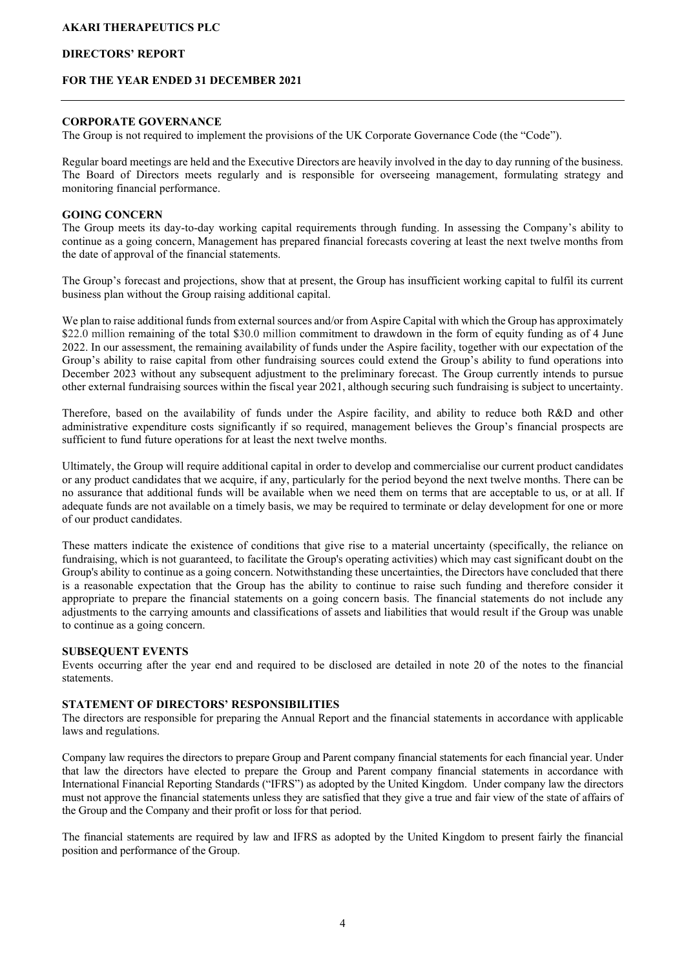## **DIRECTORS' REPORT**

#### **FOR THE YEAR ENDED 31 DECEMBER 2021**

#### **CORPORATE GOVERNANCE**

The Group is not required to implement the provisions of the UK Corporate Governance Code (the "Code").

Regular board meetings are held and the Executive Directors are heavily involved in the day to day running of the business. The Board of Directors meets regularly and is responsible for overseeing management, formulating strategy and monitoring financial performance.

### **GOING CONCERN**

The Group meets its day-to-day working capital requirements through funding. In assessing the Company's ability to continue as a going concern, Management has prepared financial forecasts covering at least the next twelve months from the date of approval of the financial statements.

The Group's forecast and projections, show that at present, the Group has insufficient working capital to fulfil its current business plan without the Group raising additional capital.

We plan to raise additional funds from external sources and/or from Aspire Capital with which the Group has approximately \$22.0 million remaining of the total \$30.0 million commitment to drawdown in the form of equity funding as of 4 June 2022. In our assessment, the remaining availability of funds under the Aspire facility, together with our expectation of the Group's ability to raise capital from other fundraising sources could extend the Group's ability to fund operations into December 2023 without any subsequent adjustment to the preliminary forecast. The Group currently intends to pursue other external fundraising sources within the fiscal year 2021, although securing such fundraising is subject to uncertainty.

Therefore, based on the availability of funds under the Aspire facility, and ability to reduce both R&D and other administrative expenditure costs significantly if so required, management believes the Group's financial prospects are sufficient to fund future operations for at least the next twelve months.

Ultimately, the Group will require additional capital in order to develop and commercialise our current product candidates or any product candidates that we acquire, if any, particularly for the period beyond the next twelve months. There can be no assurance that additional funds will be available when we need them on terms that are acceptable to us, or at all. If adequate funds are not available on a timely basis, we may be required to terminate or delay development for one or more of our product candidates.

These matters indicate the existence of conditions that give rise to a material uncertainty (specifically, the reliance on fundraising, which is not guaranteed, to facilitate the Group's operating activities) which may cast significant doubt on the Group's ability to continue as a going concern. Notwithstanding these uncertainties, the Directors have concluded that there is a reasonable expectation that the Group has the ability to continue to raise such funding and therefore consider it appropriate to prepare the financial statements on a going concern basis. The financial statements do not include any adjustments to the carrying amounts and classifications of assets and liabilities that would result if the Group was unable to continue as a going concern.

#### **SUBSEQUENT EVENTS**

Events occurring after the year end and required to be disclosed are detailed in note 20 of the notes to the financial statements.

#### **STATEMENT OF DIRECTORS' RESPONSIBILITIES**

The directors are responsible for preparing the Annual Report and the financial statements in accordance with applicable laws and regulations.

Company law requires the directors to prepare Group and Parent company financial statements for each financial year. Under that law the directors have elected to prepare the Group and Parent company financial statements in accordance with International Financial Reporting Standards ("IFRS") as adopted by the United Kingdom. Under company law the directors must not approve the financial statements unless they are satisfied that they give a true and fair view of the state of affairs of the Group and the Company and their profit or loss for that period.

The financial statements are required by law and IFRS as adopted by the United Kingdom to present fairly the financial position and performance of the Group.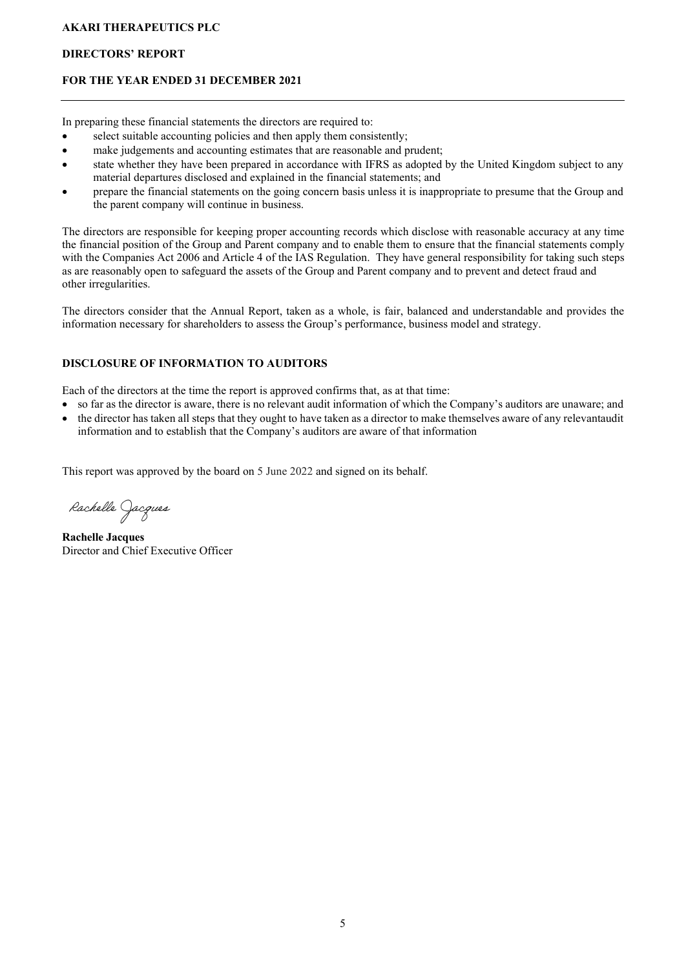# **DIRECTORS' REPORT**

# **FOR THE YEAR ENDED 31 DECEMBER 2021**

In preparing these financial statements the directors are required to:

- select suitable accounting policies and then apply them consistently;
- make judgements and accounting estimates that are reasonable and prudent;
- state whether they have been prepared in accordance with IFRS as adopted by the United Kingdom subject to any material departures disclosed and explained in the financial statements; and
- prepare the financial statements on the going concern basis unless it is inappropriate to presume that the Group and the parent company will continue in business.

The directors are responsible for keeping proper accounting records which disclose with reasonable accuracy at any time the financial position of the Group and Parent company and to enable them to ensure that the financial statements comply with the Companies Act 2006 and Article 4 of the IAS Regulation. They have general responsibility for taking such steps as are reasonably open to safeguard the assets of the Group and Parent company and to prevent and detect fraud and other irregularities.

The directors consider that the Annual Report, taken as a whole, is fair, balanced and understandable and provides the information necessary for shareholders to assess the Group's performance, business model and strategy.

# **DISCLOSURE OF INFORMATION TO AUDITORS**

Each of the directors at the time the report is approved confirms that, as at that time:

- so far as the director is aware, there is no relevant audit information of which the Company's auditors are unaware; and
- the director has taken all steps that they ought to have taken as a director to make themselves aware of any relevantaudit information and to establish that the Company's auditors are aware of that information

This report was approved by the board on 5 June 2022 and signed on its behalf.

Rachelle Jacques

**Rachelle Jacques** Director and Chief Executive Officer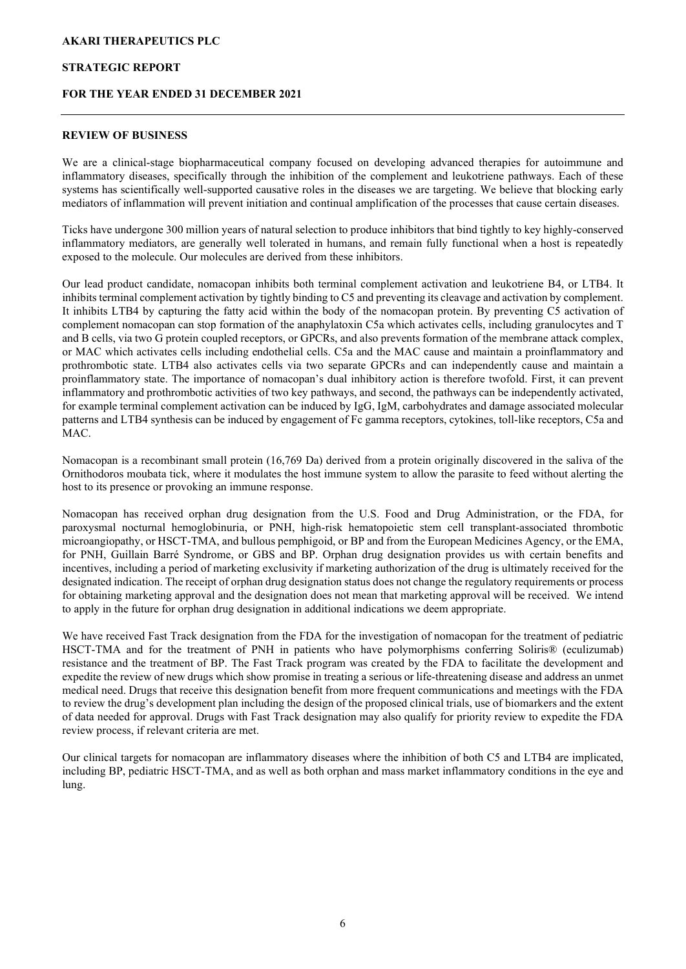### **STRATEGIC REPORT**

## **FOR THE YEAR ENDED 31 DECEMBER 2021**

### **REVIEW OF BUSINESS**

We are a clinical-stage biopharmaceutical company focused on developing advanced therapies for autoimmune and inflammatory diseases, specifically through the inhibition of the complement and leukotriene pathways. Each of these systems has scientifically well-supported causative roles in the diseases we are targeting. We believe that blocking early mediators of inflammation will prevent initiation and continual amplification of the processes that cause certain diseases.

Ticks have undergone 300 million years of natural selection to produce inhibitors that bind tightly to key highly-conserved inflammatory mediators, are generally well tolerated in humans, and remain fully functional when a host is repeatedly exposed to the molecule. Our molecules are derived from these inhibitors.

Our lead product candidate, nomacopan inhibits both terminal complement activation and leukotriene B4, or LTB4. It inhibits terminal complement activation by tightly binding to C5 and preventing its cleavage and activation by complement. It inhibits LTB4 by capturing the fatty acid within the body of the nomacopan protein. By preventing C5 activation of complement nomacopan can stop formation of the anaphylatoxin C5a which activates cells, including granulocytes and T and B cells, via two G protein coupled receptors, or GPCRs, and also prevents formation of the membrane attack complex, or MAC which activates cells including endothelial cells. C5a and the MAC cause and maintain a proinflammatory and prothrombotic state. LTB4 also activates cells via two separate GPCRs and can independently cause and maintain a proinflammatory state. The importance of nomacopan's dual inhibitory action is therefore twofold. First, it can prevent inflammatory and prothrombotic activities of two key pathways, and second, the pathways can be independently activated, for example terminal complement activation can be induced by IgG, IgM, carbohydrates and damage associated molecular patterns and LTB4 synthesis can be induced by engagement of Fc gamma receptors, cytokines, toll-like receptors, C5a and MAC.

Nomacopan is a recombinant small protein (16,769 Da) derived from a protein originally discovered in the saliva of the Ornithodoros moubata tick, where it modulates the host immune system to allow the parasite to feed without alerting the host to its presence or provoking an immune response.

Nomacopan has received orphan drug designation from the U.S. Food and Drug Administration, or the FDA, for paroxysmal nocturnal hemoglobinuria, or PNH, high-risk hematopoietic stem cell transplant-associated thrombotic microangiopathy, or HSCT-TMA, and bullous pemphigoid, or BP and from the European Medicines Agency, or the EMA, for PNH, Guillain Barré Syndrome, or GBS and BP. Orphan drug designation provides us with certain benefits and incentives, including a period of marketing exclusivity if marketing authorization of the drug is ultimately received for the designated indication. The receipt of orphan drug designation status does not change the regulatory requirements or process for obtaining marketing approval and the designation does not mean that marketing approval will be received. We intend to apply in the future for orphan drug designation in additional indications we deem appropriate.

We have received Fast Track designation from the FDA for the investigation of nomacopan for the treatment of pediatric HSCT-TMA and for the treatment of PNH in patients who have polymorphisms conferring Soliris® (eculizumab) resistance and the treatment of BP. The Fast Track program was created by the FDA to facilitate the development and expedite the review of new drugs which show promise in treating a serious or life-threatening disease and address an unmet medical need. Drugs that receive this designation benefit from more frequent communications and meetings with the FDA to review the drug's development plan including the design of the proposed clinical trials, use of biomarkers and the extent of data needed for approval. Drugs with Fast Track designation may also qualify for priority review to expedite the FDA review process, if relevant criteria are met.

Our clinical targets for nomacopan are inflammatory diseases where the inhibition of both C5 and LTB4 are implicated, including BP, pediatric HSCT-TMA, and as well as both orphan and mass market inflammatory conditions in the eye and lung.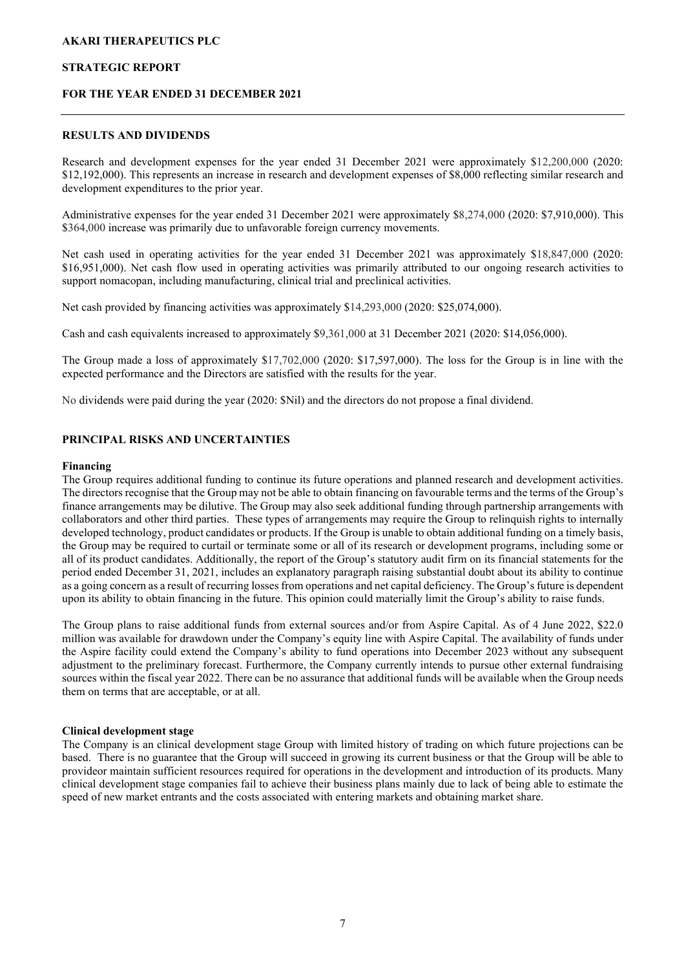## **STRATEGIC REPORT**

# **FOR THE YEAR ENDED 31 DECEMBER 2021**

#### **RESULTS AND DIVIDENDS**

Research and development expenses for the year ended 31 December 2021 were approximately \$12,200,000 (2020: \$12,192,000). This represents an increase in research and development expenses of \$8,000 reflecting similar research and development expenditures to the prior year.

Administrative expenses for the year ended 31 December 2021 were approximately \$8,274,000 (2020: \$7,910,000). This \$364,000 increase was primarily due to unfavorable foreign currency movements.

Net cash used in operating activities for the year ended 31 December 2021 was approximately \$18,847,000 (2020: \$16,951,000). Net cash flow used in operating activities was primarily attributed to our ongoing research activities to support nomacopan, including manufacturing, clinical trial and preclinical activities.

Net cash provided by financing activities was approximately \$14,293,000 (2020: \$25,074,000).

Cash and cash equivalents increased to approximately \$9,361,000 at 31 December 2021 (2020: \$14,056,000).

The Group made a loss of approximately \$17,702,000 (2020: \$17,597,000). The loss for the Group is in line with the expected performance and the Directors are satisfied with the results for the year.

No dividends were paid during the year (2020: \$Nil) and the directors do not propose a final dividend.

# **PRINCIPAL RISKS AND UNCERTAINTIES**

#### **Financing**

The Group requires additional funding to continue its future operations and planned research and development activities. The directors recognise that the Group may not be able to obtain financing on favourable terms and the terms of the Group's finance arrangements may be dilutive. The Group may also seek additional funding through partnership arrangements with collaborators and other third parties. These types of arrangements may require the Group to relinquish rights to internally developed technology, product candidates or products. If the Group is unable to obtain additional funding on a timely basis, the Group may be required to curtail or terminate some or all of its research or development programs, including some or all of its product candidates. Additionally, the report of the Group's statutory audit firm on its financial statements for the period ended December 31, 2021, includes an explanatory paragraph raising substantial doubt about its ability to continue as a going concern as a result of recurring losses from operations and net capital deficiency. The Group's future is dependent upon its ability to obtain financing in the future. This opinion could materially limit the Group's ability to raise funds.

The Group plans to raise additional funds from external sources and/or from Aspire Capital. As of 4 June 2022, \$22.0 million was available for drawdown under the Company's equity line with Aspire Capital. The availability of funds under the Aspire facility could extend the Company's ability to fund operations into December 2023 without any subsequent adjustment to the preliminary forecast. Furthermore, the Company currently intends to pursue other external fundraising sources within the fiscal year 2022. There can be no assurance that additional funds will be available when the Group needs them on terms that are acceptable, or at all.

#### **Clinical development stage**

The Company is an clinical development stage Group with limited history of trading on which future projections can be based. There is no guarantee that the Group will succeed in growing its current business or that the Group will be able to provideor maintain sufficient resources required for operations in the development and introduction of its products. Many clinical development stage companies fail to achieve their business plans mainly due to lack of being able to estimate the speed of new market entrants and the costs associated with entering markets and obtaining market share.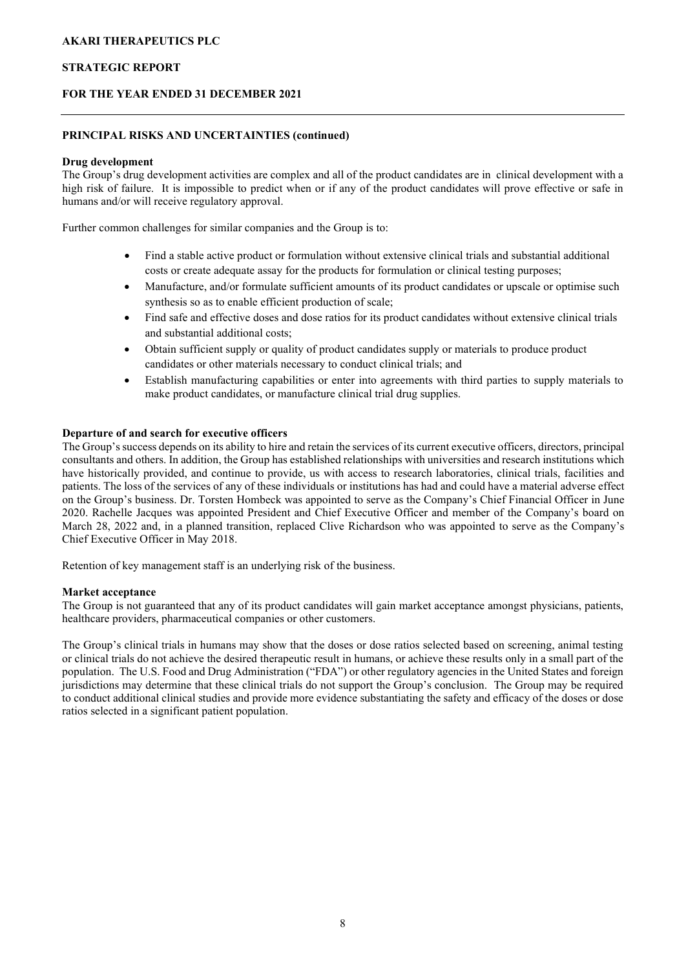## **STRATEGIC REPORT**

# **FOR THE YEAR ENDED 31 DECEMBER 2021**

### **PRINCIPAL RISKS AND UNCERTAINTIES (continued)**

#### **Drug development**

The Group's drug development activities are complex and all of the product candidates are in clinical development with a high risk of failure. It is impossible to predict when or if any of the product candidates will prove effective or safe in humans and/or will receive regulatory approval.

Further common challenges for similar companies and the Group is to:

- Find a stable active product or formulation without extensive clinical trials and substantial additional costs or create adequate assay for the products for formulation or clinical testing purposes;
- Manufacture, and/or formulate sufficient amounts of its product candidates or upscale or optimise such synthesis so as to enable efficient production of scale;
- Find safe and effective doses and dose ratios for its product candidates without extensive clinical trials and substantial additional costs;
- Obtain sufficient supply or quality of product candidates supply or materials to produce product candidates or other materials necessary to conduct clinical trials; and
- Establish manufacturing capabilities or enter into agreements with third parties to supply materials to make product candidates, or manufacture clinical trial drug supplies.

## **Departure of and search for executive officers**

The Group's success depends on its ability to hire and retain the services of its current executive officers, directors, principal consultants and others. In addition, the Group has established relationships with universities and research institutions which have historically provided, and continue to provide, us with access to research laboratories, clinical trials, facilities and patients. The loss of the services of any of these individuals or institutions has had and could have a material adverse effect on the Group's business. Dr. Torsten Hombeck was appointed to serve as the Company's Chief Financial Officer in June 2020. Rachelle Jacques was appointed President and Chief Executive Officer and member of the Company's board on March 28, 2022 and, in a planned transition, replaced Clive Richardson who was appointed to serve as the Company's Chief Executive Officer in May 2018.

Retention of key management staff is an underlying risk of the business.

#### **Market acceptance**

The Group is not guaranteed that any of its product candidates will gain market acceptance amongst physicians, patients, healthcare providers, pharmaceutical companies or other customers.

The Group's clinical trials in humans may show that the doses or dose ratios selected based on screening, animal testing or clinical trials do not achieve the desired therapeutic result in humans, or achieve these results only in a small part of the population. The U.S. Food and Drug Administration ("FDA") or other regulatory agencies in the United States and foreign jurisdictions may determine that these clinical trials do not support the Group's conclusion. The Group may be required to conduct additional clinical studies and provide more evidence substantiating the safety and efficacy of the doses or dose ratios selected in a significant patient population.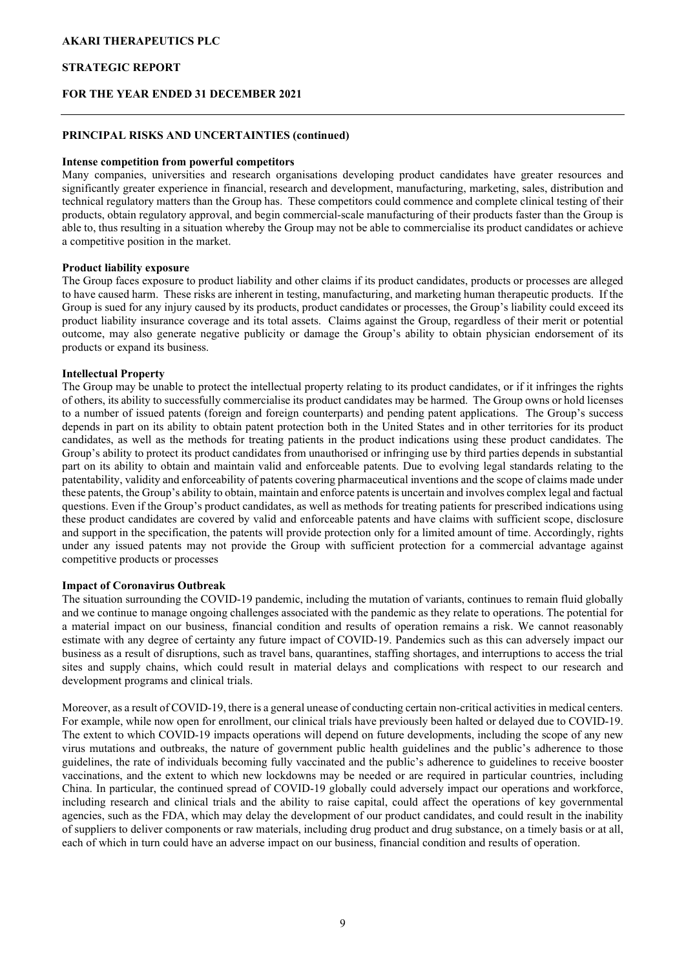### **STRATEGIC REPORT**

## **FOR THE YEAR ENDED 31 DECEMBER 2021**

#### **PRINCIPAL RISKS AND UNCERTAINTIES (continued)**

#### **Intense competition from powerful competitors**

Many companies, universities and research organisations developing product candidates have greater resources and significantly greater experience in financial, research and development, manufacturing, marketing, sales, distribution and technical regulatory matters than the Group has. These competitors could commence and complete clinical testing of their products, obtain regulatory approval, and begin commercial-scale manufacturing of their products faster than the Group is able to, thus resulting in a situation whereby the Group may not be able to commercialise its product candidates or achieve a competitive position in the market.

#### **Product liability exposure**

The Group faces exposure to product liability and other claims if its product candidates, products or processes are alleged to have caused harm. These risks are inherent in testing, manufacturing, and marketing human therapeutic products. If the Group is sued for any injury caused by its products, product candidates or processes, the Group's liability could exceed its product liability insurance coverage and its total assets. Claims against the Group, regardless of their merit or potential outcome, may also generate negative publicity or damage the Group's ability to obtain physician endorsement of its products or expand its business.

### **Intellectual Property**

The Group may be unable to protect the intellectual property relating to its product candidates, or if it infringes the rights of others, its ability to successfully commercialise its product candidates may be harmed. The Group owns or hold licenses to a number of issued patents (foreign and foreign counterparts) and pending patent applications. The Group's success depends in part on its ability to obtain patent protection both in the United States and in other territories for its product candidates, as well as the methods for treating patients in the product indications using these product candidates. The Group's ability to protect its product candidates from unauthorised or infringing use by third parties depends in substantial part on its ability to obtain and maintain valid and enforceable patents. Due to evolving legal standards relating to the patentability, validity and enforceability of patents covering pharmaceutical inventions and the scope of claims made under these patents, the Group's ability to obtain, maintain and enforce patents is uncertain and involves complex legal and factual questions. Even if the Group's product candidates, as well as methods for treating patients for prescribed indications using these product candidates are covered by valid and enforceable patents and have claims with sufficient scope, disclosure and support in the specification, the patents will provide protection only for a limited amount of time. Accordingly, rights under any issued patents may not provide the Group with sufficient protection for a commercial advantage against competitive products or processes

## **Impact of Coronavirus Outbreak**

The situation surrounding the COVID-19 pandemic, including the mutation of variants, continues to remain fluid globally and we continue to manage ongoing challenges associated with the pandemic as they relate to operations. The potential for a material impact on our business, financial condition and results of operation remains a risk. We cannot reasonably estimate with any degree of certainty any future impact of COVID-19. Pandemics such as this can adversely impact our business as a result of disruptions, such as travel bans, quarantines, staffing shortages, and interruptions to access the trial sites and supply chains, which could result in material delays and complications with respect to our research and development programs and clinical trials.

Moreover, as a result of COVID-19, there is a general unease of conducting certain non-critical activities in medical centers. For example, while now open for enrollment, our clinical trials have previously been halted or delayed due to COVID-19. The extent to which COVID-19 impacts operations will depend on future developments, including the scope of any new virus mutations and outbreaks, the nature of government public health guidelines and the public's adherence to those guidelines, the rate of individuals becoming fully vaccinated and the public's adherence to guidelines to receive booster vaccinations, and the extent to which new lockdowns may be needed or are required in particular countries, including China. In particular, the continued spread of COVID-19 globally could adversely impact our operations and workforce, including research and clinical trials and the ability to raise capital, could affect the operations of key governmental agencies, such as the FDA, which may delay the development of our product candidates, and could result in the inability of suppliers to deliver components or raw materials, including drug product and drug substance, on a timely basis or at all, each of which in turn could have an adverse impact on our business, financial condition and results of operation.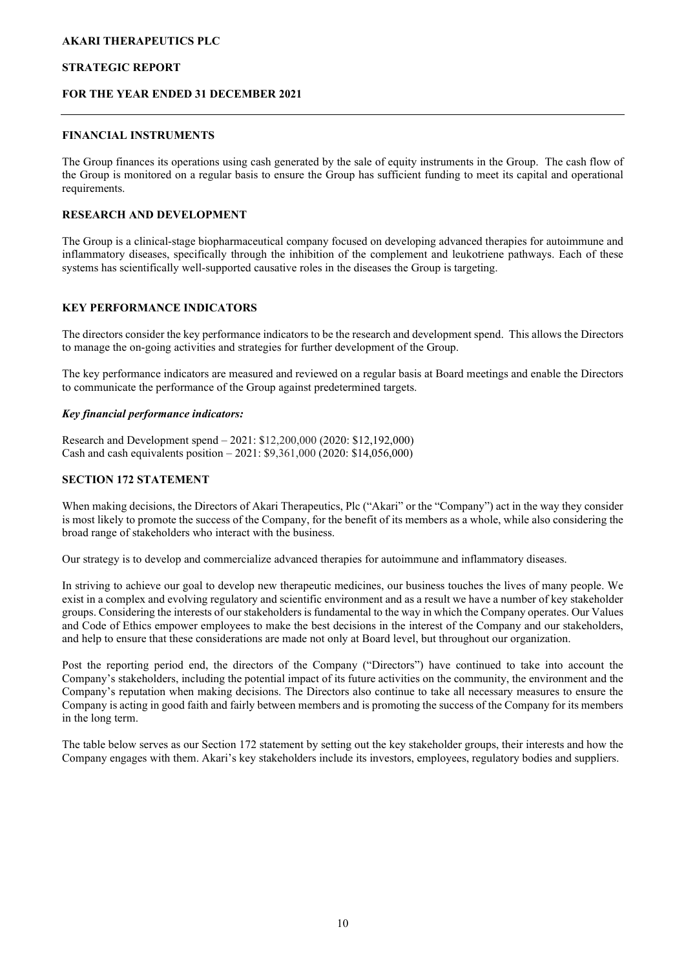### **STRATEGIC REPORT**

## **FOR THE YEAR ENDED 31 DECEMBER 2021**

### **FINANCIAL INSTRUMENTS**

The Group finances its operations using cash generated by the sale of equity instruments in the Group. The cash flow of the Group is monitored on a regular basis to ensure the Group has sufficient funding to meet its capital and operational requirements.

### **RESEARCH AND DEVELOPMENT**

The Group is a clinical-stage biopharmaceutical company focused on developing advanced therapies for autoimmune and inflammatory diseases, specifically through the inhibition of the complement and leukotriene pathways. Each of these systems has scientifically well-supported causative roles in the diseases the Group is targeting.

# **KEY PERFORMANCE INDICATORS**

The directors consider the key performance indicators to be the research and development spend. This allows the Directors to manage the on-going activities and strategies for further development of the Group.

The key performance indicators are measured and reviewed on a regular basis at Board meetings and enable the Directors to communicate the performance of the Group against predetermined targets.

## *Key financial performance indicators:*

Research and Development spend – 2021: \$12,200,000 (2020: \$12,192,000) Cash and cash equivalents position – 2021: \$9,361,000 (2020: \$14,056,000)

## **SECTION 172 STATEMENT**

When making decisions, the Directors of Akari Therapeutics, Plc ("Akari" or the "Company") act in the way they consider is most likely to promote the success of the Company, for the benefit of its members as a whole, while also considering the broad range of stakeholders who interact with the business.

Our strategy is to develop and commercialize advanced therapies for autoimmune and inflammatory diseases.

In striving to achieve our goal to develop new therapeutic medicines, our business touches the lives of many people. We exist in a complex and evolving regulatory and scientific environment and as a result we have a number of key stakeholder groups. Considering the interests of our stakeholders is fundamental to the way in which the Company operates. Our Values and Code of Ethics empower employees to make the best decisions in the interest of the Company and our stakeholders, and help to ensure that these considerations are made not only at Board level, but throughout our organization.

Post the reporting period end, the directors of the Company ("Directors") have continued to take into account the Company's stakeholders, including the potential impact of its future activities on the community, the environment and the Company's reputation when making decisions. The Directors also continue to take all necessary measures to ensure the Company is acting in good faith and fairly between members and is promoting the success of the Company for its members in the long term.

The table below serves as our Section 172 statement by setting out the key stakeholder groups, their interests and how the Company engages with them. Akari's key stakeholders include its investors, employees, regulatory bodies and suppliers.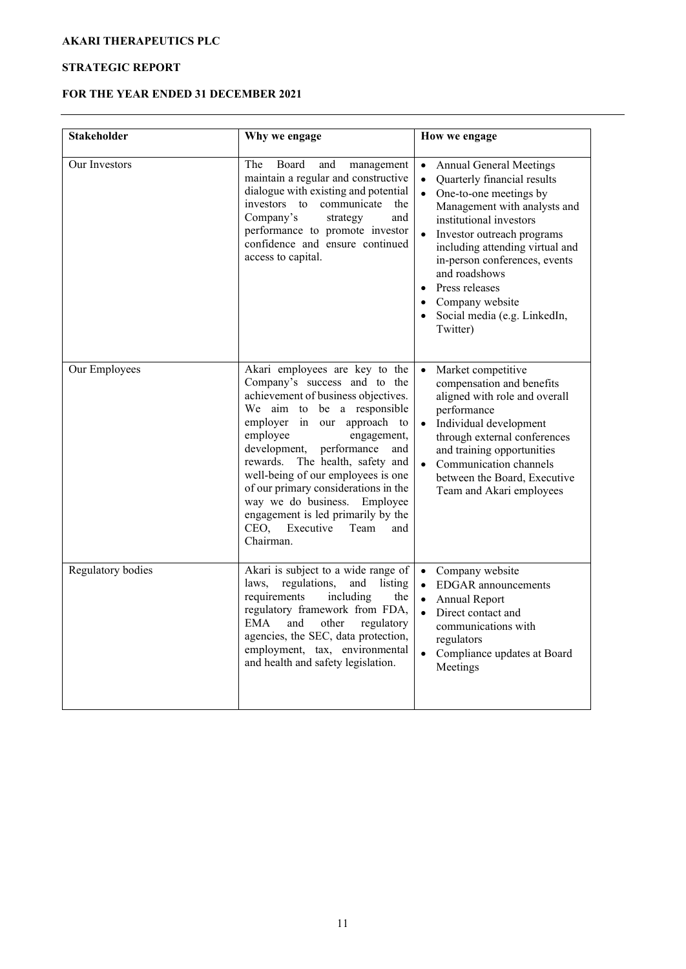# **STRATEGIC REPORT**

# **FOR THE YEAR ENDED 31 DECEMBER 2021**

| <b>Stakeholder</b> | Why we engage                                                                                                                                                                                                                                                                                                                                                                                                                                                                  | How we engage                                                                                                                                                                                                                                                                                                                                                                                 |
|--------------------|--------------------------------------------------------------------------------------------------------------------------------------------------------------------------------------------------------------------------------------------------------------------------------------------------------------------------------------------------------------------------------------------------------------------------------------------------------------------------------|-----------------------------------------------------------------------------------------------------------------------------------------------------------------------------------------------------------------------------------------------------------------------------------------------------------------------------------------------------------------------------------------------|
| Our Investors      | Board<br>and<br>The<br>management<br>maintain a regular and constructive<br>dialogue with existing and potential<br>investors to communicate<br>the<br>Company's<br>and<br>strategy<br>performance to promote investor<br>confidence and ensure continued<br>access to capital.                                                                                                                                                                                                | <b>Annual General Meetings</b><br>$\bullet$<br>Quarterly financial results<br>$\bullet$<br>One-to-one meetings by<br>Management with analysts and<br>institutional investors<br>Investor outreach programs<br>including attending virtual and<br>in-person conferences, events<br>and roadshows<br>Press releases<br>$\bullet$<br>Company website<br>Social media (e.g. LinkedIn,<br>Twitter) |
| Our Employees      | Akari employees are key to the<br>Company's success and to the<br>achievement of business objectives.<br>We aim to be a responsible<br>employer in our approach to<br>employee<br>engagement,<br>development,<br>performance<br>and<br>rewards. The health, safety and<br>well-being of our employees is one<br>of our primary considerations in the<br>way we do business.<br>Employee<br>engagement is led primarily by the<br>CEO,<br>Executive<br>Team<br>and<br>Chairman. | Market competitive<br>$\bullet$<br>compensation and benefits<br>aligned with role and overall<br>performance<br>$\bullet$<br>Individual development<br>through external conferences<br>and training opportunities<br>Communication channels<br>between the Board, Executive<br>Team and Akari employees                                                                                       |
| Regulatory bodies  | Akari is subject to a wide range of<br>regulations,<br>and<br>listing<br>laws,<br>requirements<br>including<br>the<br>regulatory framework from FDA,<br><b>EMA</b><br>and<br>other<br>regulatory<br>agencies, the SEC, data protection,<br>employment, tax, environmental<br>and health and safety legislation.                                                                                                                                                                | Company website<br><b>EDGAR</b> announcements<br>$\bullet$<br>$\bullet$<br>Annual Report<br>Direct contact and<br>$\bullet$<br>communications with<br>regulators<br>$\bullet$<br>Compliance updates at Board<br>Meetings                                                                                                                                                                      |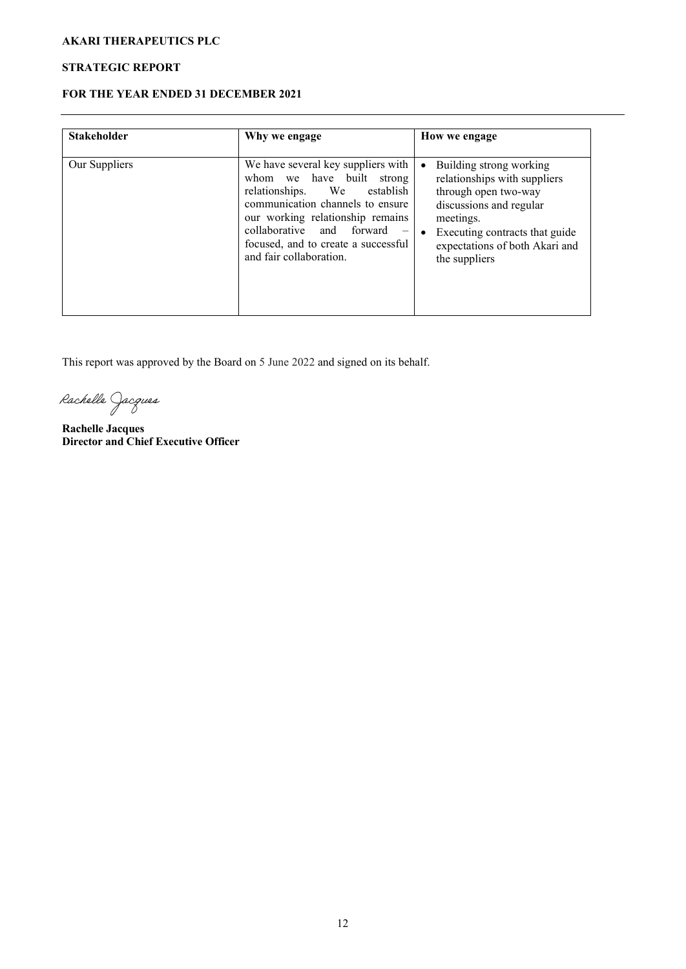# **STRATEGIC REPORT**

## **FOR THE YEAR ENDED 31 DECEMBER 2021**

| <b>Stakeholder</b> | Why we engage                                                                                                                                                                                                                                                                                     | How we engage                                                                                                                                                                                                |
|--------------------|---------------------------------------------------------------------------------------------------------------------------------------------------------------------------------------------------------------------------------------------------------------------------------------------------|--------------------------------------------------------------------------------------------------------------------------------------------------------------------------------------------------------------|
| Our Suppliers      | We have several key suppliers with<br>whom we have built strong<br>relationships. We establish<br>communication channels to ensure<br>our working relationship remains<br>collaborative and forward<br>$\overline{\phantom{a}}$<br>focused, and to create a successful<br>and fair collaboration. | Building strong working<br>relationships with suppliers<br>through open two-way<br>discussions and regular<br>meetings.<br>Executing contracts that guide<br>expectations of both Akari and<br>the suppliers |

This report was approved by the Board on 5 June 2022 and signed on its behalf.

Rachelle Jacques

**Rachelle Jacques Director and Chief Executive Officer**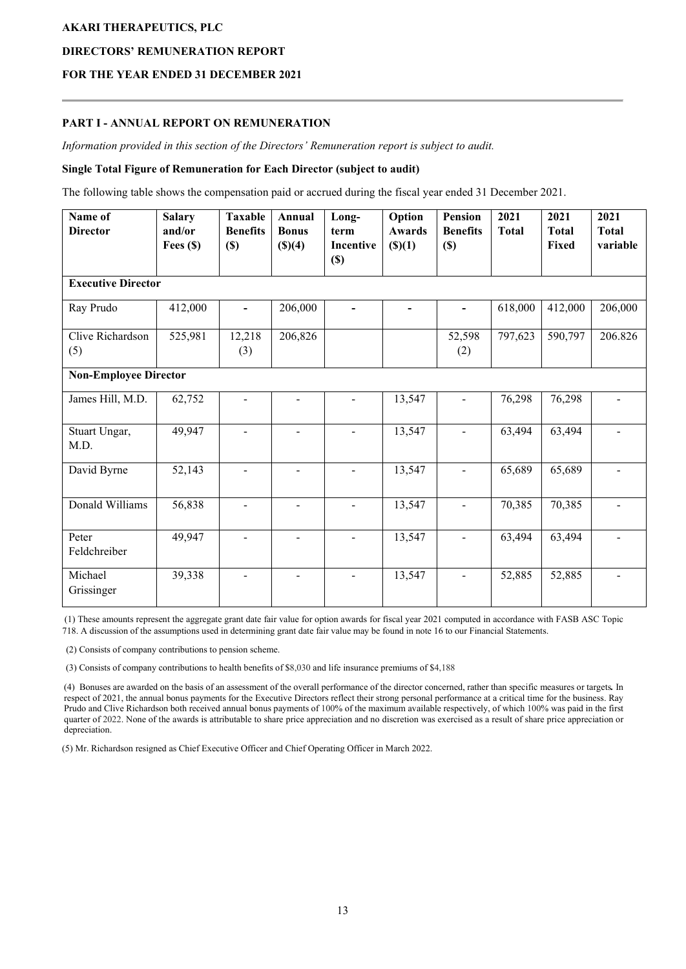# **DIRECTORS' REMUNERATION REPORT**

# **FOR THE YEAR ENDED 31 DECEMBER 2021**

# **PART I - ANNUAL REPORT ON REMUNERATION**

*Information provided in this section of the Directors' Remuneration report is subject to audit.* 

## **Single Total Figure of Remuneration for Each Director (subject to audit)**

The following table shows the compensation paid or accrued during the fiscal year ended 31 December 2021.

| Name of<br><b>Director</b>   | <b>Salary</b><br>and/or<br>Fees (\$) | <b>Taxable</b><br><b>Benefits</b><br>$(\$)$ | Annual<br><b>Bonus</b><br>\$)(4) | Long-<br>term<br>Incentive<br>$(\$)$ | Option<br><b>Awards</b><br>$($ (\$)(1) | Pension<br><b>Benefits</b><br>$(\$)$ | 2021<br><b>Total</b> | 2021<br><b>Total</b><br>Fixed | 2021<br><b>Total</b><br>variable |
|------------------------------|--------------------------------------|---------------------------------------------|----------------------------------|--------------------------------------|----------------------------------------|--------------------------------------|----------------------|-------------------------------|----------------------------------|
|                              | <b>Executive Director</b>            |                                             |                                  |                                      |                                        |                                      |                      |                               |                                  |
| Ray Prudo                    | 412,000                              | $\overline{\phantom{0}}$                    | 206,000                          | ۰                                    | $\overline{\phantom{a}}$               | $\overline{\phantom{a}}$             | 618,000              | 412,000                       | 206,000                          |
| Clive Richardson<br>(5)      | 525,981                              | 12,218<br>(3)                               | 206,826                          |                                      |                                        | 52,598<br>(2)                        | 797,623              | 590,797                       | 206.826                          |
| <b>Non-Employee Director</b> |                                      |                                             |                                  |                                      |                                        |                                      |                      |                               |                                  |
| James Hill, M.D.             | 62,752                               | $\blacksquare$                              |                                  |                                      | 13,547                                 | $\blacksquare$                       | 76,298               | 76,298                        |                                  |
| Stuart Ungar,<br>M.D.        | 49,947                               |                                             |                                  |                                      | 13,547                                 | $\mathbf{r}$                         | 63,494               | 63,494                        |                                  |
| David Byrne                  | 52,143                               |                                             |                                  |                                      | 13,547                                 | $\mathbf{r}$                         | 65,689               | 65,689                        |                                  |
| Donald Williams              | 56,838                               | $\overline{a}$                              | $\blacksquare$                   | $\overline{a}$                       | 13,547                                 | $\overline{\phantom{a}}$             | 70,385               | 70,385                        |                                  |
| Peter<br>Feldchreiber        | 49,947                               | $\overline{a}$                              | $\blacksquare$                   | $\overline{a}$                       | 13,547                                 | $\frac{1}{2}$                        | 63,494               | 63,494                        |                                  |
| Michael<br>Grissinger        | 39,338                               | $\blacksquare$                              | $\overline{\phantom{a}}$         | $\blacksquare$                       | 13,547                                 | $\blacksquare$                       | 52,885               | 52,885                        | $\blacksquare$                   |

(1) These amounts represent the aggregate grant date fair value for option awards for fiscal year 2021 computed in accordance with FASB ASC Topic 718. A discussion of the assumptions used in determining grant date fair value may be found in note 16 to our Financial Statements.

(2) Consists of company contributions to pension scheme.

(3) Consists of company contributions to health benefits of \$8,030 and life insurance premiums of \$4,188

(4) Bonuses are awarded on the basis of an assessment of the overall performance of the director concerned, rather than specific measures or targets*.* In respect of 2021, the annual bonus payments for the Executive Directors reflect their strong personal performance at a critical time for the business. Ray Prudo and Clive Richardson both received annual bonus payments of 100% of the maximum available respectively, of which 100% was paid in the first quarter of 2022. None of the awards is attributable to share price appreciation and no discretion was exercised as a result of share price appreciation or depreciation.

(5) Mr. Richardson resigned as Chief Executive Officer and Chief Operating Officer in March 2022.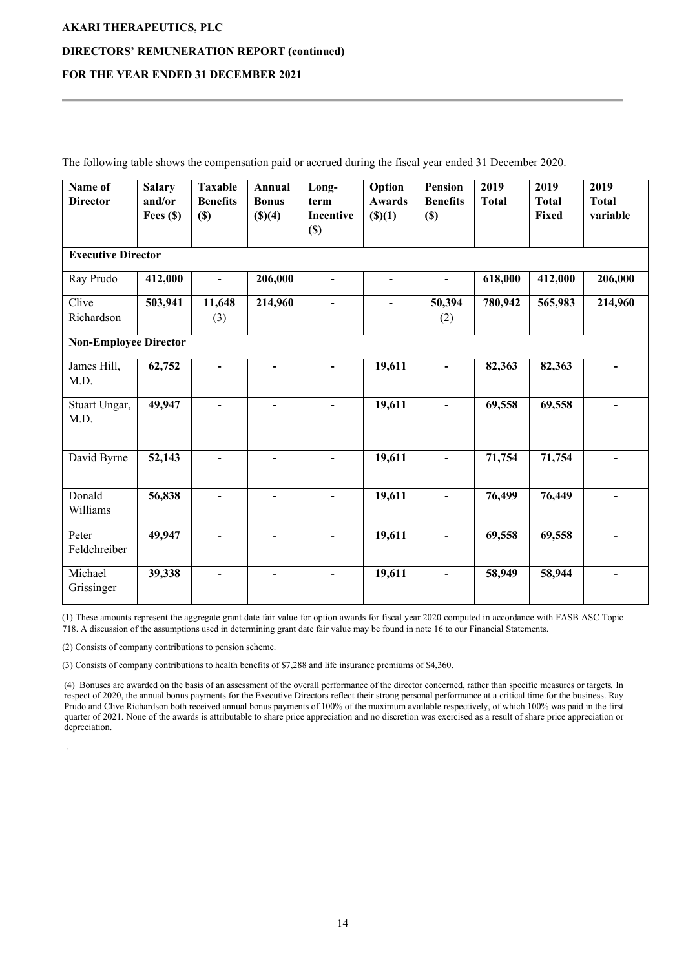# **DIRECTORS' REMUNERATION REPORT (continued)**

# **FOR THE YEAR ENDED 31 DECEMBER 2021**

| Name of<br><b>Director</b>   | <b>Salary</b><br>and/or<br>Fees $(\$)$ | <b>Taxable</b><br><b>Benefits</b><br>$(\$)$ | Annual<br><b>Bonus</b><br>\$)(4) | Long-<br>term<br>Incentive<br>$(\$)$ | Option<br><b>Awards</b><br>$($ (\$)(1) | Pension<br><b>Benefits</b><br>$(\$)$ | 2019<br><b>Total</b> | 2019<br><b>Total</b><br>Fixed | 2019<br><b>Total</b><br>variable |
|------------------------------|----------------------------------------|---------------------------------------------|----------------------------------|--------------------------------------|----------------------------------------|--------------------------------------|----------------------|-------------------------------|----------------------------------|
| <b>Executive Director</b>    |                                        |                                             |                                  |                                      |                                        |                                      |                      |                               |                                  |
| Ray Prudo                    | 412,000                                | $\overline{\phantom{0}}$                    | 206,000                          | $\overline{\phantom{a}}$             | $\blacksquare$                         | $\blacksquare$                       | 618,000              | 412,000                       | 206,000                          |
| Clive<br>Richardson          | 503,941                                | 11,648<br>(3)                               | 214,960                          | $\overline{\phantom{a}}$             | $\blacksquare$                         | 50,394<br>(2)                        | 780,942              | 565,983                       | 214,960                          |
| <b>Non-Employee Director</b> |                                        |                                             |                                  |                                      |                                        |                                      |                      |                               |                                  |
| James Hill,<br>M.D.          | 62,752                                 | $\overline{\phantom{0}}$                    | $\overline{a}$                   | $\overline{\phantom{0}}$             | 19,611                                 | $\overline{\phantom{0}}$             | 82,363               | 82,363                        | $\qquad \qquad \blacksquare$     |
| Stuart Ungar,<br>M.D.        | 49,947                                 | $\overline{\phantom{0}}$                    | $\overline{\phantom{a}}$         | $\blacksquare$                       | 19,611                                 | $\blacksquare$                       | 69,558               | 69,558                        | $\overline{\phantom{a}}$         |
| David Byrne                  | 52,143                                 | $\overline{\phantom{0}}$                    | $\overline{\phantom{0}}$         | $\blacksquare$                       | 19,611                                 | $\blacksquare$                       | 71,754               | 71,754                        | $\overline{\phantom{a}}$         |
| Donald<br>Williams           | 56,838                                 |                                             | Ē,                               | $\overline{\phantom{0}}$             | 19,611                                 |                                      | 76,499               | 76,449                        |                                  |
| Peter<br>Feldchreiber        | 49,947                                 |                                             |                                  | $\blacksquare$                       | 19,611                                 |                                      | 69,558               | 69,558                        |                                  |
| Michael<br>Grissinger        | 39,338                                 | $\overline{\phantom{0}}$                    | $\overline{\phantom{a}}$         | $\overline{\phantom{a}}$             | 19,611                                 | $\blacksquare$                       | 58,949               | 58,944                        | $\qquad \qquad \blacksquare$     |

The following table shows the compensation paid or accrued during the fiscal year ended 31 December 2020.

(1) These amounts represent the aggregate grant date fair value for option awards for fiscal year 2020 computed in accordance with FASB ASC Topic 718. A discussion of the assumptions used in determining grant date fair value may be found in note 16 to our Financial Statements.

(2) Consists of company contributions to pension scheme.

.

(3) Consists of company contributions to health benefits of \$7,288 and life insurance premiums of \$4,360.

(4) Bonuses are awarded on the basis of an assessment of the overall performance of the director concerned, rather than specific measures or targets*.* In respect of 2020, the annual bonus payments for the Executive Directors reflect their strong personal performance at a critical time for the business. Ray Prudo and Clive Richardson both received annual bonus payments of 100% of the maximum available respectively, of which 100% was paid in the first quarter of 2021. None of the awards is attributable to share price appreciation and no discretion was exercised as a result of share price appreciation or depreciation.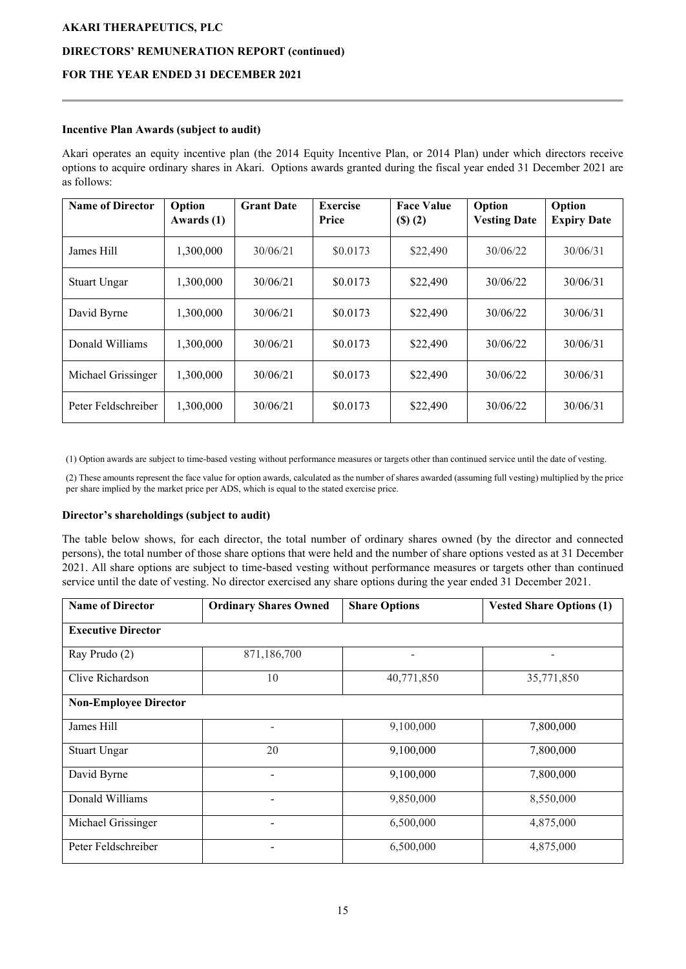# **DIRECTORS' REMUNERATION REPORT (continued)**

# **FOR THE YEAR ENDED 31 DECEMBER 2021**

#### **Incentive Plan Awards (subject to audit)**

Akari operates an equity incentive plan (the 2014 Equity Incentive Plan, or 2014 Plan) under which directors receive options to acquire ordinary shares in Akari. Options awards granted during the fiscal year ended 31 December 2021 are as follows:

| <b>Name of Director</b> | Option<br>Awards (1) | <b>Grant Date</b> | <b>Exercise</b><br>Price | <b>Face Value</b><br>() (2) | Option<br><b>Vesting Date</b> | Option<br><b>Expiry Date</b> |
|-------------------------|----------------------|-------------------|--------------------------|-----------------------------|-------------------------------|------------------------------|
| James Hill              | 1,300,000            | 30/06/21          | \$0.0173                 | \$22,490                    | 30/06/22                      | 30/06/31                     |
| <b>Stuart Ungar</b>     | 1,300,000            | 30/06/21          | \$0.0173                 | \$22,490                    | 30/06/22                      | 30/06/31                     |
| David Byrne             | 1,300,000            | 30/06/21          | \$0.0173                 | \$22,490                    | 30/06/22                      | 30/06/31                     |
| Donald Williams         | 1,300,000            | 30/06/21          | \$0.0173                 | \$22,490                    | 30/06/22                      | 30/06/31                     |
| Michael Grissinger      | 1,300,000            | 30/06/21          | \$0.0173                 | \$22,490                    | 30/06/22                      | 30/06/31                     |
| Peter Feldschreiber     | 1,300,000            | 30/06/21          | \$0.0173                 | \$22,490                    | 30/06/22                      | 30/06/31                     |

(1) Option awards are subject to time-based vesting without performance measures or targets other than continued service until the date of vesting.

(2) These amounts represent the face value for option awards, calculated as the number of shares awarded (assuming full vesting) multiplied by the price per share implied by the market price per ADS, which is equal to the stated exercise price.

# **Director's shareholdings (subject to audit)**

The table below shows, for each director, the total number of ordinary shares owned (by the director and connected persons), the total number of those share options that were held and the number of share options vested as at 31 December 2021. All share options are subject to time-based vesting without performance measures or targets other than continued service until the date of vesting. No director exercised any share options during the year ended 31 December 2021.

| <b>Name of Director</b>      | <b>Ordinary Shares Owned</b> | <b>Share Options</b> | <b>Vested Share Options (1)</b> |
|------------------------------|------------------------------|----------------------|---------------------------------|
| <b>Executive Director</b>    |                              |                      |                                 |
| Ray Prudo (2)                | 871,186,700                  | -                    |                                 |
| Clive Richardson             | 10                           | 40,771,850           | 35,771,850                      |
| <b>Non-Employee Director</b> |                              |                      |                                 |
| James Hill                   |                              | 9,100,000            | 7,800,000                       |
| <b>Stuart Ungar</b>          | 20                           | 9,100,000            | 7,800,000                       |
| David Byrne                  |                              | 9,100,000            | 7,800,000                       |
| Donald Williams              |                              | 9,850,000            | 8,550,000                       |
| Michael Grissinger           |                              | 6,500,000            | 4,875,000                       |
| Peter Feldschreiber          |                              | 6,500,000            | 4,875,000                       |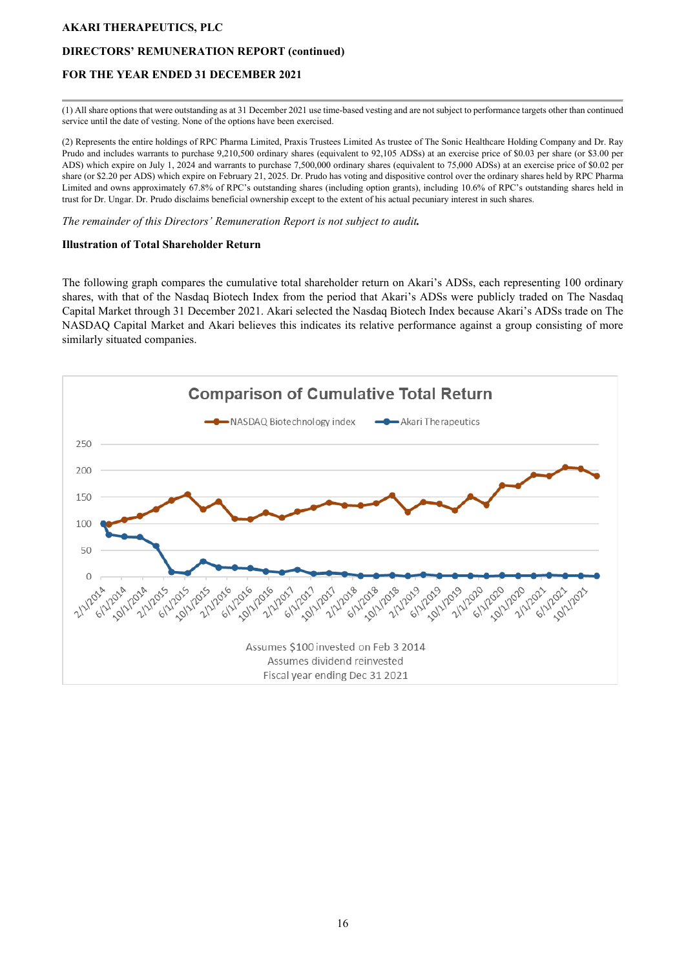# **DIRECTORS' REMUNERATION REPORT (continued)**

# **FOR THE YEAR ENDED 31 DECEMBER 2021**

(1) All share options that were outstanding as at 31 December 2021 use time-based vesting and are not subject to performance targets other than continued service until the date of vesting. None of the options have been exercised.

(2) Represents the entire holdings of RPC Pharma Limited, Praxis Trustees Limited As trustee of The Sonic Healthcare Holding Company and Dr. Ray Prudo and includes warrants to purchase 9,210,500 ordinary shares (equivalent to 92,105 ADSs) at an exercise price of \$0.03 per share (or \$3.00 per ADS) which expire on July 1, 2024 and warrants to purchase 7,500,000 ordinary shares (equivalent to 75,000 ADSs) at an exercise price of \$0.02 per share (or \$2.20 per ADS) which expire on February 21, 2025. Dr. Prudo has voting and dispositive control over the ordinary shares held by RPC Pharma Limited and owns approximately 67.8% of RPC's outstanding shares (including option grants), including 10.6% of RPC's outstanding shares held in trust for Dr. Ungar. Dr. Prudo disclaims beneficial ownership except to the extent of his actual pecuniary interest in such shares.

*The remainder of this Directors' Remuneration Report is not subject to audit.*

#### **Illustration of Total Shareholder Return**

The following graph compares the cumulative total shareholder return on Akari's ADSs, each representing 100 ordinary shares, with that of the Nasdaq Biotech Index from the period that Akari's ADSs were publicly traded on The Nasdaq Capital Market through 31 December 2021. Akari selected the Nasdaq Biotech Index because Akari's ADSs trade on The NASDAQ Capital Market and Akari believes this indicates its relative performance against a group consisting of more similarly situated companies.

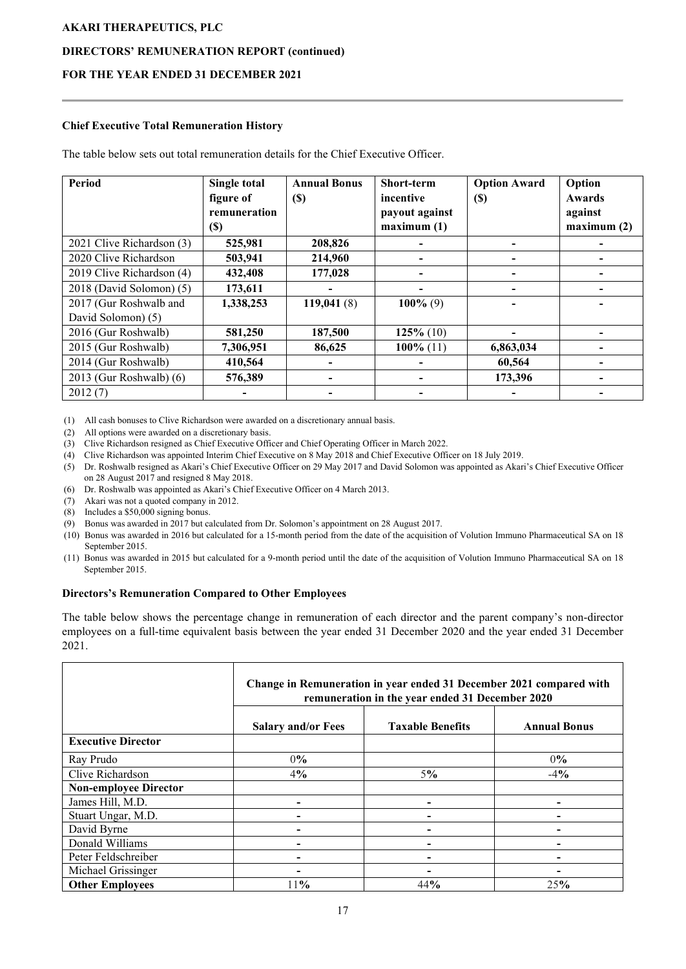# **DIRECTORS' REMUNERATION REPORT (continued)**

# **FOR THE YEAR ENDED 31 DECEMBER 2021**

## **Chief Executive Total Remuneration History**

The table below sets out total remuneration details for the Chief Executive Officer.

| <b>Period</b>             | Single total<br>figure of<br>remuneration<br><b>(\$)</b> | <b>Annual Bonus</b><br>$(\$)$ | Short-term<br>incentive<br>payout against<br>maximum <sub>(1)</sub> | <b>Option Award</b><br><b>(\$)</b> | Option<br>Awards<br>against<br>maximum (2) |
|---------------------------|----------------------------------------------------------|-------------------------------|---------------------------------------------------------------------|------------------------------------|--------------------------------------------|
| 2021 Clive Richardson (3) | 525,981                                                  | 208,826                       |                                                                     |                                    |                                            |
| 2020 Clive Richardson     | 503,941                                                  | 214,960                       | -                                                                   |                                    |                                            |
| 2019 Clive Richardson (4) | 432,408                                                  | 177,028                       |                                                                     |                                    |                                            |
| 2018 (David Solomon) (5)  | 173,611                                                  |                               |                                                                     |                                    |                                            |
| 2017 (Gur Roshwalb and    | 1,338,253                                                | 119,041(8)                    | $100\%$ (9)                                                         |                                    |                                            |
| David Solomon) (5)        |                                                          |                               |                                                                     |                                    |                                            |
| 2016 (Gur Roshwalb)       | 581,250                                                  | 187,500                       | $125\%$ (10)                                                        |                                    |                                            |
| 2015 (Gur Roshwalb)       | 7,306,951                                                | 86,625                        | $100\%$ (11)                                                        | 6,863,034                          |                                            |
| 2014 (Gur Roshwalb)       | 410,564                                                  |                               |                                                                     | 60,564                             |                                            |
| 2013 (Gur Roshwalb) (6)   | 576,389                                                  |                               |                                                                     | 173,396                            |                                            |
| 2012(7)                   |                                                          |                               |                                                                     |                                    |                                            |

(1) All cash bonuses to Clive Richardson were awarded on a discretionary annual basis.

- (2) All options were awarded on a discretionary basis.
- (3) Clive Richardson resigned as Chief Executive Officer and Chief Operating Officer in March 2022.
- (4) Clive Richardson was appointed Interim Chief Executive on 8 May 2018 and Chief Executive Officer on 18 July 2019.
- (5) Dr. Roshwalb resigned as Akari's Chief Executive Officer on 29 May 2017 and David Solomon was appointed as Akari's Chief Executive Officer on 28 August 2017 and resigned 8 May 2018.
- (6) Dr. Roshwalb was appointed as Akari's Chief Executive Officer on 4 March 2013.
- (7) Akari was not a quoted company in 2012.
- (8) Includes a \$50,000 signing bonus.
- (9) Bonus was awarded in 2017 but calculated from Dr. Solomon's appointment on 28 August 2017.
- (10) Bonus was awarded in 2016 but calculated for a 15-month period from the date of the acquisition of Volution Immuno Pharmaceutical SA on 18 September 2015.
- (11) Bonus was awarded in 2015 but calculated for a 9-month period until the date of the acquisition of Volution Immuno Pharmaceutical SA on 18 September 2015.

#### **Directors's Remuneration Compared to Other Employees**

The table below shows the percentage change in remuneration of each director and the parent company's non-director employees on a full-time equivalent basis between the year ended 31 December 2020 and the year ended 31 December 2021.

|                              |                           | Change in Remuneration in year ended 31 December 2021 compared with<br>remuneration in the year ended 31 December 2020 |       |  |  |  |  |
|------------------------------|---------------------------|------------------------------------------------------------------------------------------------------------------------|-------|--|--|--|--|
|                              | <b>Salary and/or Fees</b> | <b>Taxable Benefits</b><br><b>Annual Bonus</b>                                                                         |       |  |  |  |  |
| <b>Executive Director</b>    |                           |                                                                                                                        |       |  |  |  |  |
| Ray Prudo                    | 0%                        |                                                                                                                        | 0%    |  |  |  |  |
| Clive Richardson             | 4%                        | 5%                                                                                                                     | $-4%$ |  |  |  |  |
| <b>Non-employee Director</b> |                           |                                                                                                                        |       |  |  |  |  |
| James Hill, M.D.             |                           |                                                                                                                        |       |  |  |  |  |
| Stuart Ungar, M.D.           | -                         |                                                                                                                        |       |  |  |  |  |
| David Byrne                  |                           |                                                                                                                        |       |  |  |  |  |
| Donald Williams              |                           |                                                                                                                        |       |  |  |  |  |
| Peter Feldschreiber          |                           |                                                                                                                        |       |  |  |  |  |
| Michael Grissinger           |                           |                                                                                                                        |       |  |  |  |  |
| <b>Other Employees</b>       | 11%                       | 44%                                                                                                                    | 25%   |  |  |  |  |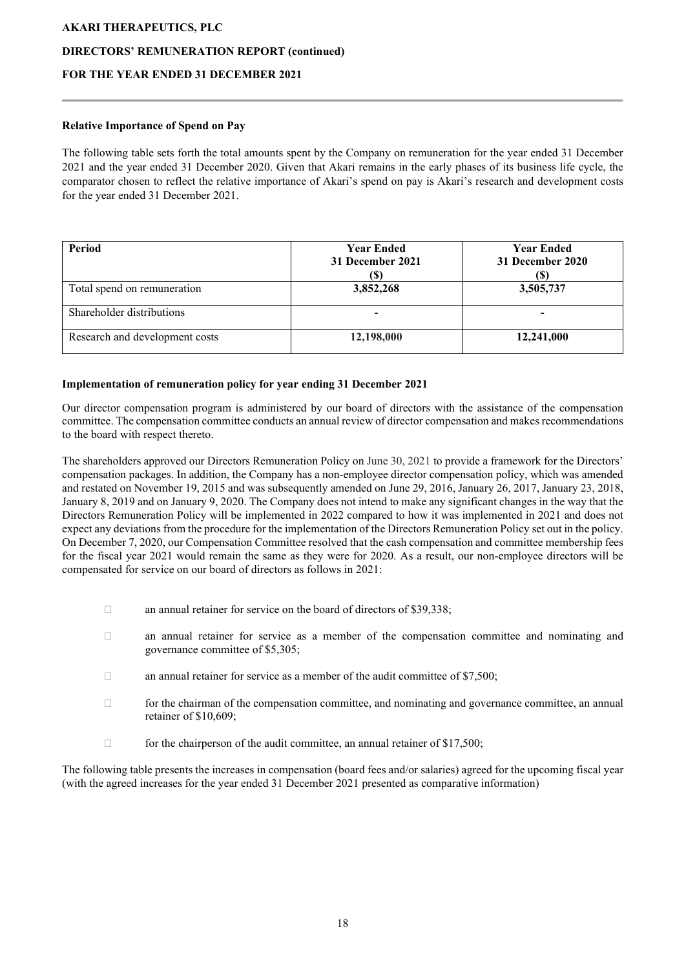# **DIRECTORS' REMUNERATION REPORT (continued)**

# **FOR THE YEAR ENDED 31 DECEMBER 2021**

### **Relative Importance of Spend on Pay**

The following table sets forth the total amounts spent by the Company on remuneration for the year ended 31 December 2021 and the year ended 31 December 2020. Given that Akari remains in the early phases of its business life cycle, the comparator chosen to reflect the relative importance of Akari's spend on pay is Akari's research and development costs for the year ended 31 December 2021.

| Period                         | <b>Year Ended</b><br>31 December 2021<br>(S) | <b>Year Ended</b><br>31 December 2020<br>(\$) |
|--------------------------------|----------------------------------------------|-----------------------------------------------|
| Total spend on remuneration    | 3,852,268                                    | 3,505,737                                     |
| Shareholder distributions      |                                              |                                               |
| Research and development costs | 12,198,000                                   | 12,241,000                                    |

## **Implementation of remuneration policy for year ending 31 December 2021**

Our director compensation program is administered by our board of directors with the assistance of the compensation committee. The compensation committee conducts an annual review of director compensation and makes recommendations to the board with respect thereto.

The shareholders approved our Directors Remuneration Policy on June 30, 2021 to provide a framework for the Directors' compensation packages. In addition, the Company has a non-employee director compensation policy, which was amended and restated on November 19, 2015 and was subsequently amended on June 29, 2016, January 26, 2017, January 23, 2018, January 8, 2019 and on January 9, 2020. The Company does not intend to make any significant changes in the way that the Directors Remuneration Policy will be implemented in 2022 compared to how it was implemented in 2021 and does not expect any deviations from the procedure for the implementation of the Directors Remuneration Policy set out in the policy. On December 7, 2020, our Compensation Committee resolved that the cash compensation and committee membership fees for the fiscal year 2021 would remain the same as they were for 2020. As a result, our non-employee directors will be compensated for service on our board of directors as follows in 2021:

- □ an annual retainer for service on the board of directors of \$39,338;
- $\Box$  an annual retainer for service as a member of the compensation committee and nominating and governance committee of \$5,305;
- $\Box$  an annual retainer for service as a member of the audit committee of \$7,500;
- $\Box$  for the chairman of the compensation committee, and nominating and governance committee, an annual retainer of \$10,609;
- $\Box$  for the chairperson of the audit committee, an annual retainer of \$17,500;

The following table presents the increases in compensation (board fees and/or salaries) agreed for the upcoming fiscal year (with the agreed increases for the year ended 31 December 2021 presented as comparative information)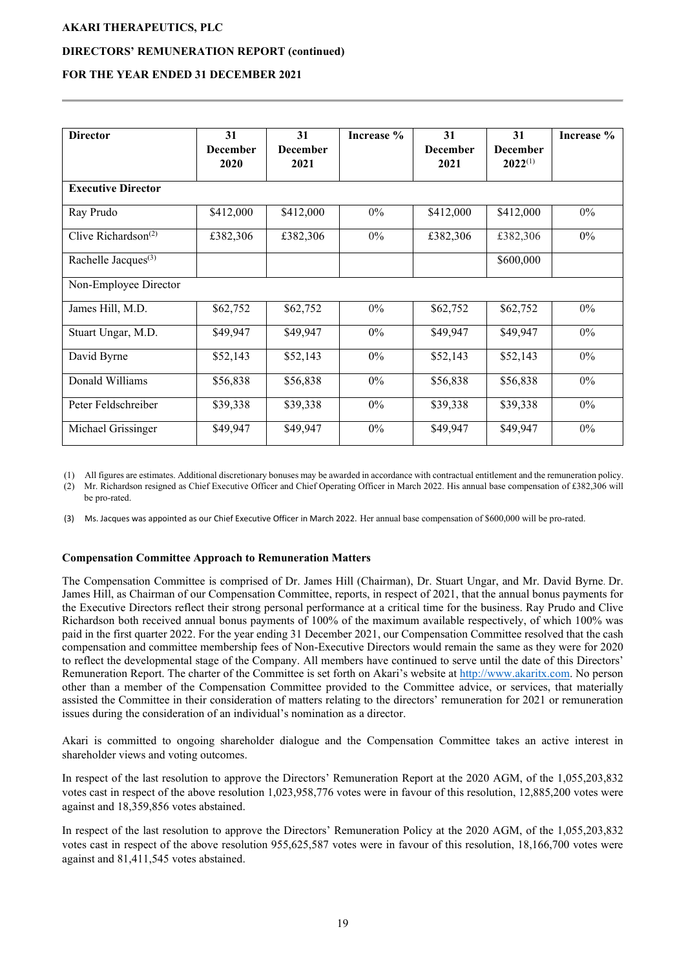# **DIRECTORS' REMUNERATION REPORT (continued)**

# **FOR THE YEAR ENDED 31 DECEMBER 2021**

| <b>Director</b>                 | 31<br><b>December</b><br>2020 | 31<br><b>December</b><br>2021 | Increase % | 31<br><b>December</b><br>2021 | 31<br><b>December</b><br>$2022^{(1)}$ | Increase % |
|---------------------------------|-------------------------------|-------------------------------|------------|-------------------------------|---------------------------------------|------------|
| <b>Executive Director</b>       |                               |                               |            |                               |                                       |            |
| Ray Prudo                       | \$412,000                     | \$412,000                     | $0\%$      | \$412,000                     | \$412,000                             | $0\%$      |
| Clive Richardson <sup>(2)</sup> | £382,306                      | £382,306                      | $0\%$      | £382,306                      | £382,306                              | $0\%$      |
| Rachelle Jacques <sup>(3)</sup> |                               |                               |            |                               | \$600,000                             |            |
| Non-Employee Director           |                               |                               |            |                               |                                       |            |
| James Hill, M.D.                | \$62,752                      | \$62,752                      | $0\%$      | \$62,752                      | \$62,752                              | $0\%$      |
| Stuart Ungar, M.D.              | \$49,947                      | \$49,947                      | $0\%$      | \$49,947                      | \$49,947                              | $0\%$      |
| David Byrne                     | \$52,143                      | \$52,143                      | $0\%$      | \$52,143                      | \$52,143                              | $0\%$      |
| Donald Williams                 | \$56,838                      | \$56,838                      | $0\%$      | \$56,838                      | \$56,838                              | $0\%$      |
| Peter Feldschreiber             | \$39,338                      | \$39,338                      | $0\%$      | \$39,338                      | \$39,338                              | 0%         |
| Michael Grissinger              | \$49,947                      | \$49,947                      | $0\%$      | \$49,947                      | \$49,947                              | 0%         |

(1) All figures are estimates. Additional discretionary bonuses may be awarded in accordance with contractual entitlement and the remuneration policy. (2) Mr. Richardson resigned as Chief Executive Officer and Chief Operating Officer in March 2022. His annual base compensation of £382,306 will be pro-rated.

(3) Ms. Jacques was appointed as our Chief Executive Officer in March 2022. Her annual base compensation of \$600,000 will be pro-rated.

#### **Compensation Committee Approach to Remuneration Matters**

The Compensation Committee is comprised of Dr. James Hill (Chairman), Dr. Stuart Ungar, and Mr. David Byrne. Dr. James Hill, as Chairman of our Compensation Committee, reports, in respect of 2021, that the annual bonus payments for the Executive Directors reflect their strong personal performance at a critical time for the business. Ray Prudo and Clive Richardson both received annual bonus payments of 100% of the maximum available respectively, of which 100% was paid in the first quarter 2022. For the year ending 31 December 2021, our Compensation Committee resolved that the cash compensation and committee membership fees of Non-Executive Directors would remain the same as they were for 2020 to reflect the developmental stage of the Company. All members have continued to serve until the date of this Directors' Remuneration Report. The charter of the Committee is set forth on Akari's website at [http://www.akaritx.com.](http://www.akaritx.com/) No person other than a member of the Compensation Committee provided to the Committee advice, or services, that materially assisted the Committee in their consideration of matters relating to the directors' remuneration for 2021 or remuneration issues during the consideration of an individual's nomination as a director.

Akari is committed to ongoing shareholder dialogue and the Compensation Committee takes an active interest in shareholder views and voting outcomes.

In respect of the last resolution to approve the Directors' Remuneration Report at the 2020 AGM, of the 1,055,203,832 votes cast in respect of the above resolution 1,023,958,776 votes were in favour of this resolution, 12,885,200 votes were against and 18,359,856 votes abstained.

In respect of the last resolution to approve the Directors' Remuneration Policy at the 2020 AGM, of the 1,055,203,832 votes cast in respect of the above resolution 955,625,587 votes were in favour of this resolution, 18,166,700 votes were against and 81,411,545 votes abstained.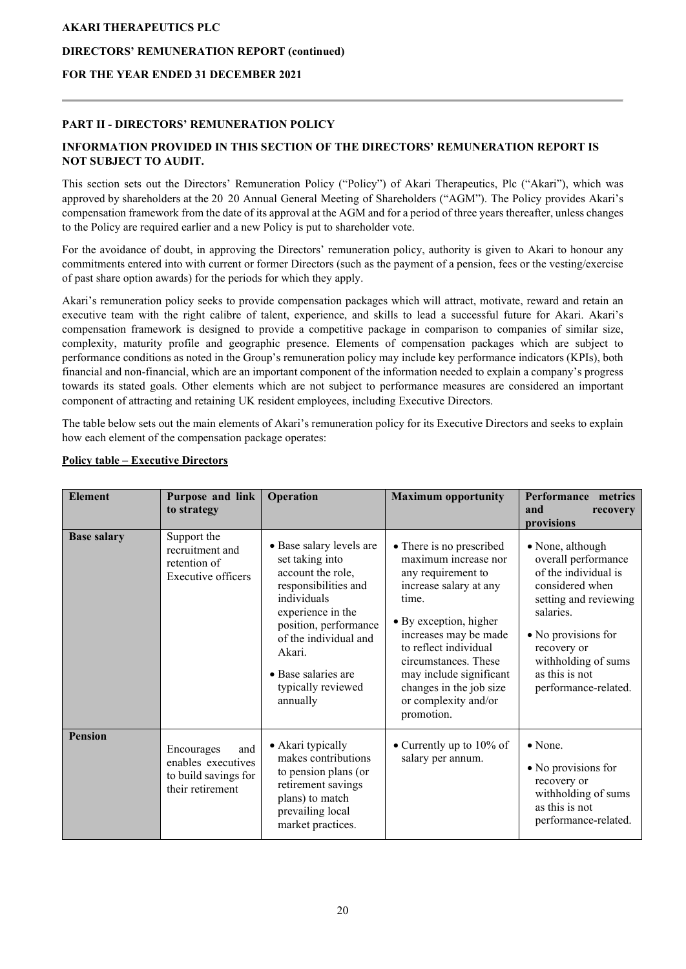# **DIRECTORS' REMUNERATION REPORT (continued)**

# **FOR THE YEAR ENDED 31 DECEMBER 2021**

# **PART II - DIRECTORS' REMUNERATION POLICY**

# **INFORMATION PROVIDED IN THIS SECTION OF THE DIRECTORS' REMUNERATION REPORT IS NOT SUBJECT TO AUDIT.**

This section sets out the Directors' Remuneration Policy ("Policy") of Akari Therapeutics, Plc ("Akari"), which was approved by shareholders at the 20 20 Annual General Meeting of Shareholders ("AGM"). The Policy provides Akari's compensation framework from the date of its approval at the AGM and for a period of three years thereafter, unless changes to the Policy are required earlier and a new Policy is put to shareholder vote.

For the avoidance of doubt, in approving the Directors' remuneration policy, authority is given to Akari to honour any commitments entered into with current or former Directors (such as the payment of a pension, fees or the vesting/exercise of past share option awards) for the periods for which they apply.

Akari's remuneration policy seeks to provide compensation packages which will attract, motivate, reward and retain an executive team with the right calibre of talent, experience, and skills to lead a successful future for Akari. Akari's compensation framework is designed to provide a competitive package in comparison to companies of similar size, complexity, maturity profile and geographic presence. Elements of compensation packages which are subject to performance conditions as noted in the Group's remuneration policy may include key performance indicators (KPIs), both financial and non-financial, which are an important component of the information needed to explain a company's progress towards its stated goals. Other elements which are not subject to performance measures are considered an important component of attracting and retaining UK resident employees, including Executive Directors.

The table below sets out the main elements of Akari's remuneration policy for its Executive Directors and seeks to explain how each element of the compensation package operates:

| <b>Element</b>     | Purpose and link<br>to strategy                                                     | Operation                                                                                                                                                                                                                                         | <b>Maximum opportunity</b>                                                                                                                                                                                                                                                                                | Performance metrics<br>and<br>recovery<br>provisions                                                                                                                                                                            |
|--------------------|-------------------------------------------------------------------------------------|---------------------------------------------------------------------------------------------------------------------------------------------------------------------------------------------------------------------------------------------------|-----------------------------------------------------------------------------------------------------------------------------------------------------------------------------------------------------------------------------------------------------------------------------------------------------------|---------------------------------------------------------------------------------------------------------------------------------------------------------------------------------------------------------------------------------|
| <b>Base salary</b> | Support the<br>recruitment and<br>retention of<br>Executive officers                | · Base salary levels are<br>set taking into<br>account the role,<br>responsibilities and<br>individuals<br>experience in the<br>position, performance<br>of the individual and<br>Akari.<br>• Base salaries are<br>typically reviewed<br>annually | • There is no prescribed<br>maximum increase nor<br>any requirement to<br>increase salary at any<br>time.<br>• By exception, higher<br>increases may be made<br>to reflect individual<br>circumstances. These<br>may include significant<br>changes in the job size<br>or complexity and/or<br>promotion. | • None, although<br>overall performance<br>of the individual is<br>considered when<br>setting and reviewing<br>salaries.<br>• No provisions for<br>recovery or<br>withholding of sums<br>as this is not<br>performance-related. |
| <b>Pension</b>     | Encourages<br>and<br>enables executives<br>to build savings for<br>their retirement | • Akari typically<br>makes contributions<br>to pension plans (or<br>retirement savings<br>plans) to match<br>prevailing local<br>market practices.                                                                                                | • Currently up to $10\%$ of<br>salary per annum.                                                                                                                                                                                                                                                          | $\bullet$ None.<br>• No provisions for<br>recovery or<br>withholding of sums<br>as this is not<br>performance-related.                                                                                                          |

# **Policy table – Executive Directors**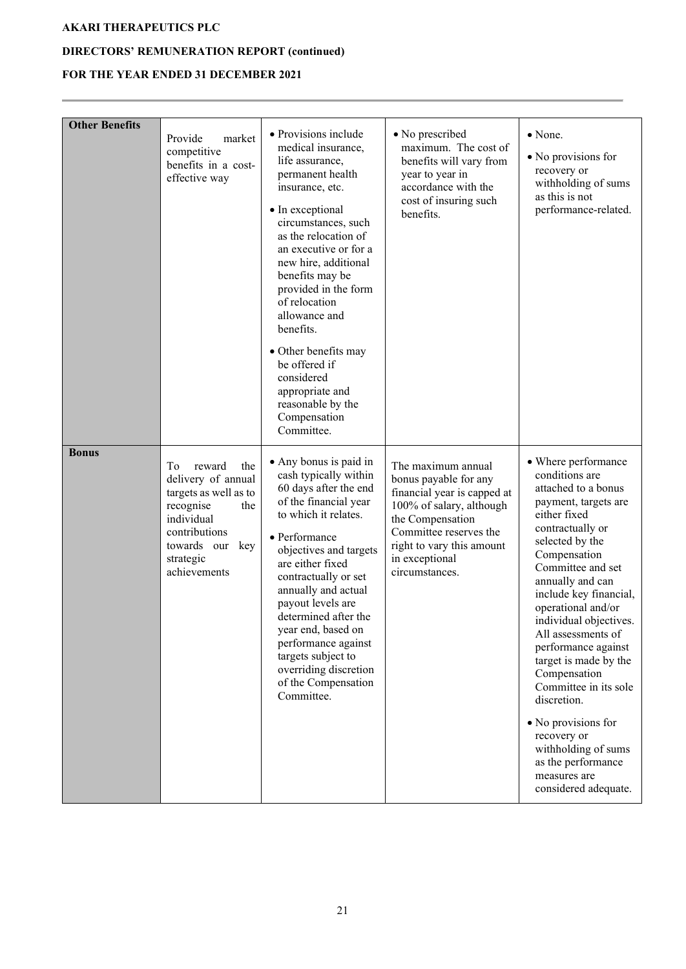# **DIRECTORS' REMUNERATION REPORT (continued)**

# **FOR THE YEAR ENDED 31 DECEMBER 2021**

| <b>Other Benefits</b> | Provide<br>market<br>competitive<br>benefits in a cost-<br>effective way                                                                                               | • Provisions include<br>medical insurance,<br>life assurance,<br>permanent health<br>insurance, etc.<br>• In exceptional<br>circumstances, such<br>as the relocation of<br>an executive or for a<br>new hire, additional<br>benefits may be<br>provided in the form<br>of relocation<br>allowance and<br>benefits.<br>• Other benefits may<br>be offered if<br>considered<br>appropriate and<br>reasonable by the<br>Compensation<br>Committee. | • No prescribed<br>maximum. The cost of<br>benefits will vary from<br>year to year in<br>accordance with the<br>cost of insuring such<br>benefits.                                                                    | • None.<br>• No provisions for<br>recovery or<br>withholding of sums<br>as this is not<br>performance-related.                                                                                                                                                                                                                                                                                                                                                                                                                          |
|-----------------------|------------------------------------------------------------------------------------------------------------------------------------------------------------------------|-------------------------------------------------------------------------------------------------------------------------------------------------------------------------------------------------------------------------------------------------------------------------------------------------------------------------------------------------------------------------------------------------------------------------------------------------|-----------------------------------------------------------------------------------------------------------------------------------------------------------------------------------------------------------------------|-----------------------------------------------------------------------------------------------------------------------------------------------------------------------------------------------------------------------------------------------------------------------------------------------------------------------------------------------------------------------------------------------------------------------------------------------------------------------------------------------------------------------------------------|
| <b>Bonus</b>          | the<br>reward<br>To.<br>delivery of annual<br>targets as well as to<br>recognise<br>the<br>individual<br>contributions<br>towards our key<br>strategic<br>achievements | • Any bonus is paid in<br>cash typically within<br>60 days after the end<br>of the financial year<br>to which it relates.<br>· Performance<br>objectives and targets<br>are either fixed<br>contractually or set<br>annually and actual<br>payout levels are<br>determined after the<br>year end, based on<br>performance against<br>targets subject to<br>overriding discretion<br>of the Compensation<br>Committee.                           | The maximum annual<br>bonus payable for any<br>financial year is capped at<br>100% of salary, although<br>the Compensation<br>Committee reserves the<br>right to vary this amount<br>in exceptional<br>circumstances. | • Where performance<br>conditions are<br>attached to a bonus<br>payment, targets are<br>either fixed<br>contractually or<br>selected by the<br>Compensation<br>Committee and set<br>annually and can<br>include key financial,<br>operational and/or<br>individual objectives.<br>All assessments of<br>performance against<br>target is made by the<br>Compensation<br>Committee in its sole<br>discretion.<br>• No provisions for<br>recovery or<br>withholding of sums<br>as the performance<br>measures are<br>considered adequate. |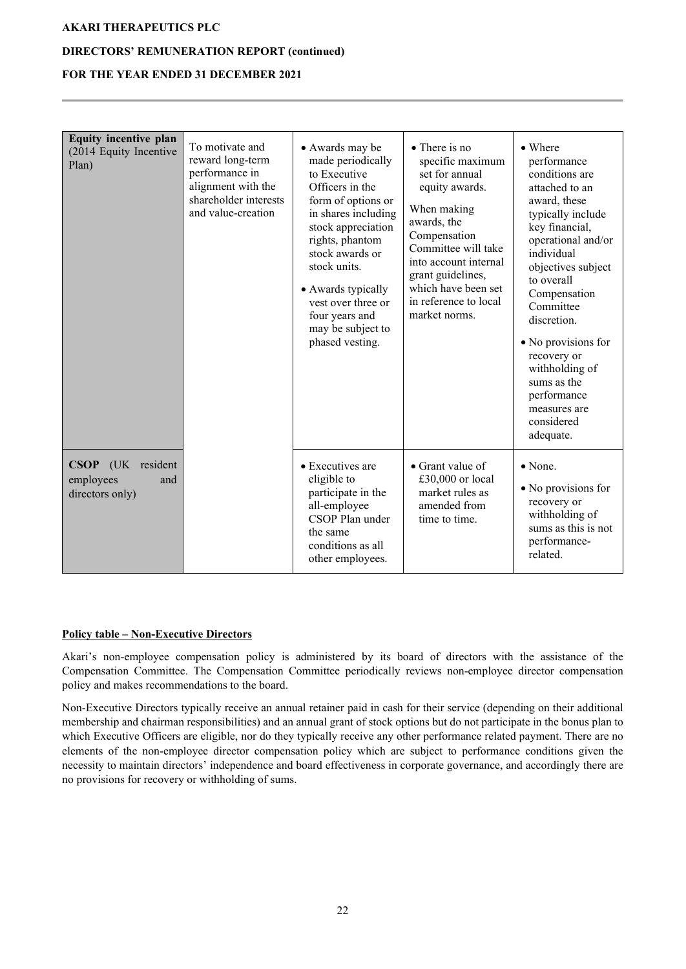# **DIRECTORS' REMUNERATION REPORT (continued)**

# **FOR THE YEAR ENDED 31 DECEMBER 2021**

| Equity incentive plan<br>(2014 Equity Incentive<br>Plan) | To motivate and<br>reward long-term<br>performance in<br>alignment with the<br>shareholder interests<br>and value-creation | • Awards may be<br>made periodically<br>to Executive<br>Officers in the<br>form of options or<br>in shares including<br>stock appreciation<br>rights, phantom<br>stock awards or<br>stock units.<br>• Awards typically<br>vest over three or<br>four years and<br>may be subject to<br>phased vesting. | $\bullet$ There is no<br>specific maximum<br>set for annual<br>equity awards.<br>When making<br>awards, the<br>Compensation<br>Committee will take<br>into account internal<br>grant guidelines,<br>which have been set<br>in reference to local<br>market norms. | • Where<br>performance<br>conditions are<br>attached to an<br>award, these<br>typically include<br>key financial,<br>operational and/or<br>individual<br>objectives subject<br>to overall<br>Compensation<br>Committee<br>discretion.<br>• No provisions for<br>recovery or<br>withholding of<br>sums as the<br>performance<br>measures are<br>considered<br>adequate. |
|----------------------------------------------------------|----------------------------------------------------------------------------------------------------------------------------|--------------------------------------------------------------------------------------------------------------------------------------------------------------------------------------------------------------------------------------------------------------------------------------------------------|-------------------------------------------------------------------------------------------------------------------------------------------------------------------------------------------------------------------------------------------------------------------|------------------------------------------------------------------------------------------------------------------------------------------------------------------------------------------------------------------------------------------------------------------------------------------------------------------------------------------------------------------------|
| CSOP (UK resident<br>employees<br>and<br>directors only) |                                                                                                                            | • Executives are<br>eligible to<br>participate in the<br>all-employee<br>CSOP Plan under<br>the same<br>conditions as all<br>other employees.                                                                                                                                                          | • Grant value of<br>£30,000 or local<br>market rules as<br>amended from<br>time to time.                                                                                                                                                                          | $\bullet$ None.<br>• No provisions for<br>recovery or<br>withholding of<br>sums as this is not<br>performance-<br>related.                                                                                                                                                                                                                                             |

# **Policy table – Non-Executive Directors**

Akari's non-employee compensation policy is administered by its board of directors with the assistance of the Compensation Committee. The Compensation Committee periodically reviews non-employee director compensation policy and makes recommendations to the board.

Non-Executive Directors typically receive an annual retainer paid in cash for their service (depending on their additional membership and chairman responsibilities) and an annual grant of stock options but do not participate in the bonus plan to which Executive Officers are eligible, nor do they typically receive any other performance related payment. There are no elements of the non-employee director compensation policy which are subject to performance conditions given the necessity to maintain directors' independence and board effectiveness in corporate governance, and accordingly there are no provisions for recovery or withholding of sums.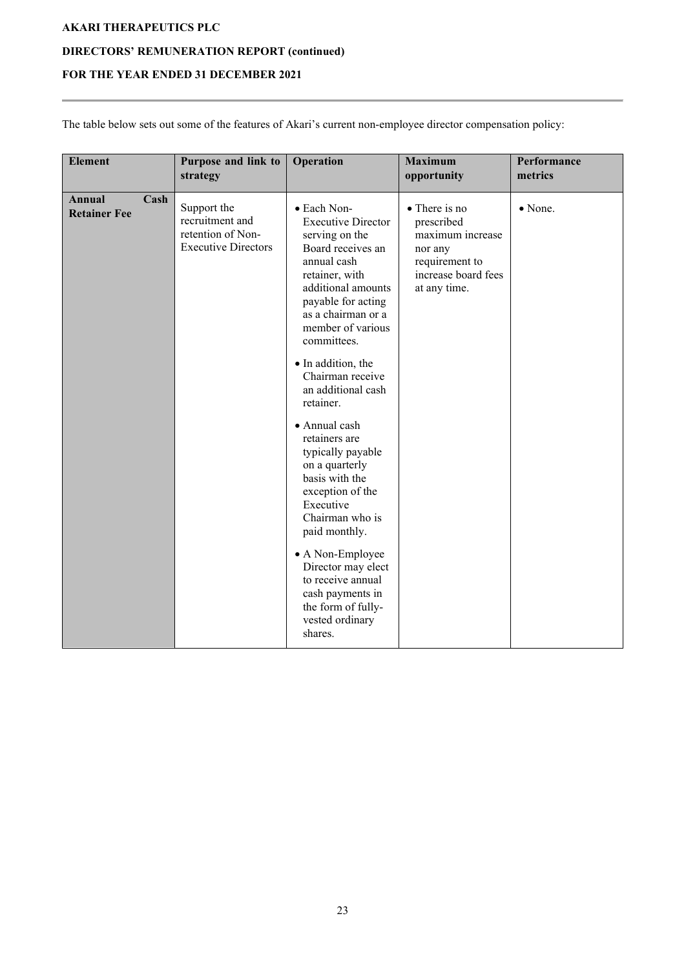# **DIRECTORS' REMUNERATION REPORT (continued)**

# **FOR THE YEAR ENDED 31 DECEMBER 2021**

The table below sets out some of the features of Akari's current non-employee director compensation policy:

| <b>Element</b>                       |      | Purpose and link to<br>strategy                                                   | <b>Operation</b>                                                                                                                                                                                                                                                                                                                                                                                                                                                                                                                                                                                           | <b>Maximum</b><br>opportunity                                                                                       | Performance<br>metrics |
|--------------------------------------|------|-----------------------------------------------------------------------------------|------------------------------------------------------------------------------------------------------------------------------------------------------------------------------------------------------------------------------------------------------------------------------------------------------------------------------------------------------------------------------------------------------------------------------------------------------------------------------------------------------------------------------------------------------------------------------------------------------------|---------------------------------------------------------------------------------------------------------------------|------------------------|
| <b>Annual</b><br><b>Retainer Fee</b> | Cash | Support the<br>recruitment and<br>retention of Non-<br><b>Executive Directors</b> | • Each Non-<br><b>Executive Director</b><br>serving on the<br>Board receives an<br>annual cash<br>retainer, with<br>additional amounts<br>payable for acting<br>as a chairman or a<br>member of various<br>committees.<br>• In addition, the<br>Chairman receive<br>an additional cash<br>retainer.<br>· Annual cash<br>retainers are<br>typically payable<br>on a quarterly<br>basis with the<br>exception of the<br>Executive<br>Chairman who is<br>paid monthly.<br>• A Non-Employee<br>Director may elect<br>to receive annual<br>cash payments in<br>the form of fully-<br>vested ordinary<br>shares. | • There is no<br>prescribed<br>maximum increase<br>nor any<br>requirement to<br>increase board fees<br>at any time. | • None.                |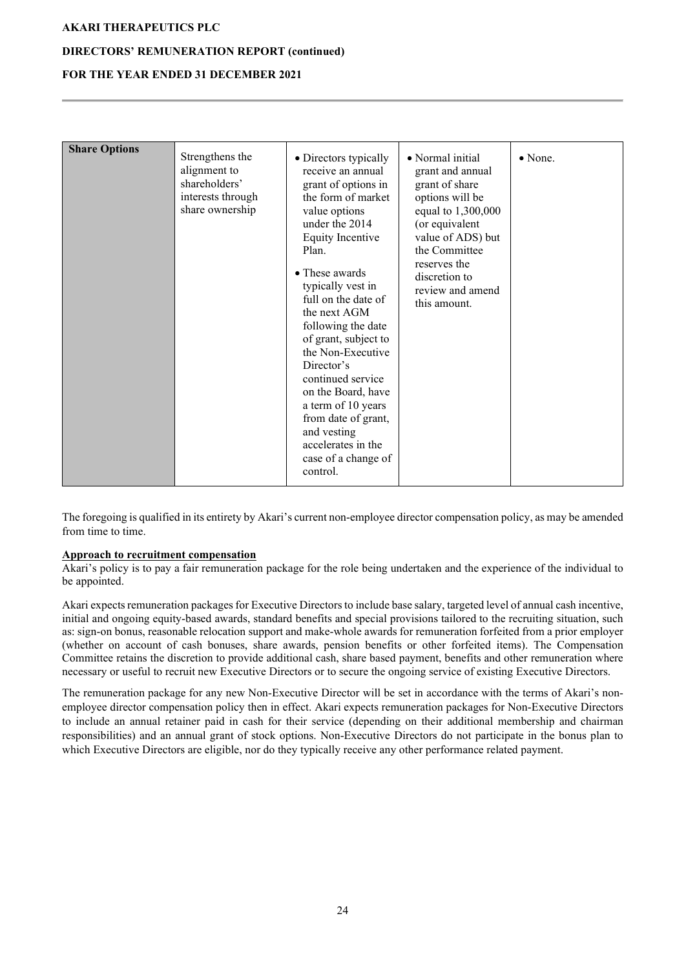# **DIRECTORS' REMUNERATION REPORT (continued)**

# **FOR THE YEAR ENDED 31 DECEMBER 2021**

| <b>Share Options</b> | Strengthens the<br>alignment to<br>shareholders'<br>interests through<br>share ownership | • Directors typically<br>receive an annual<br>grant of options in<br>the form of market<br>value options<br>under the 2014<br><b>Equity Incentive</b><br>Plan.<br>• These awards<br>typically vest in<br>full on the date of<br>the next AGM<br>following the date<br>of grant, subject to<br>the Non-Executive<br>Director's<br>continued service<br>on the Board, have<br>a term of 10 years<br>from date of grant,<br>and vesting<br>accelerates in the<br>case of a change of<br>control. | • Normal initial<br>grant and annual<br>grant of share<br>options will be<br>equal to 1,300,000<br>(or equivalent<br>value of ADS) but<br>the Committee<br>reserves the<br>discretion to<br>review and amend<br>this amount. | $\bullet$ None. |
|----------------------|------------------------------------------------------------------------------------------|-----------------------------------------------------------------------------------------------------------------------------------------------------------------------------------------------------------------------------------------------------------------------------------------------------------------------------------------------------------------------------------------------------------------------------------------------------------------------------------------------|------------------------------------------------------------------------------------------------------------------------------------------------------------------------------------------------------------------------------|-----------------|
|----------------------|------------------------------------------------------------------------------------------|-----------------------------------------------------------------------------------------------------------------------------------------------------------------------------------------------------------------------------------------------------------------------------------------------------------------------------------------------------------------------------------------------------------------------------------------------------------------------------------------------|------------------------------------------------------------------------------------------------------------------------------------------------------------------------------------------------------------------------------|-----------------|

The foregoing is qualified in its entirety by Akari's current non-employee director compensation policy, as may be amended from time to time.

# **Approach to recruitment compensation**

Akari's policy is to pay a fair remuneration package for the role being undertaken and the experience of the individual to be appointed.

Akari expects remuneration packages for Executive Directors to include base salary, targeted level of annual cash incentive, initial and ongoing equity-based awards, standard benefits and special provisions tailored to the recruiting situation, such as: sign-on bonus, reasonable relocation support and make-whole awards for remuneration forfeited from a prior employer (whether on account of cash bonuses, share awards, pension benefits or other forfeited items). The Compensation Committee retains the discretion to provide additional cash, share based payment, benefits and other remuneration where necessary or useful to recruit new Executive Directors or to secure the ongoing service of existing Executive Directors.

The remuneration package for any new Non-Executive Director will be set in accordance with the terms of Akari's nonemployee director compensation policy then in effect. Akari expects remuneration packages for Non-Executive Directors to include an annual retainer paid in cash for their service (depending on their additional membership and chairman responsibilities) and an annual grant of stock options. Non-Executive Directors do not participate in the bonus plan to which Executive Directors are eligible, nor do they typically receive any other performance related payment.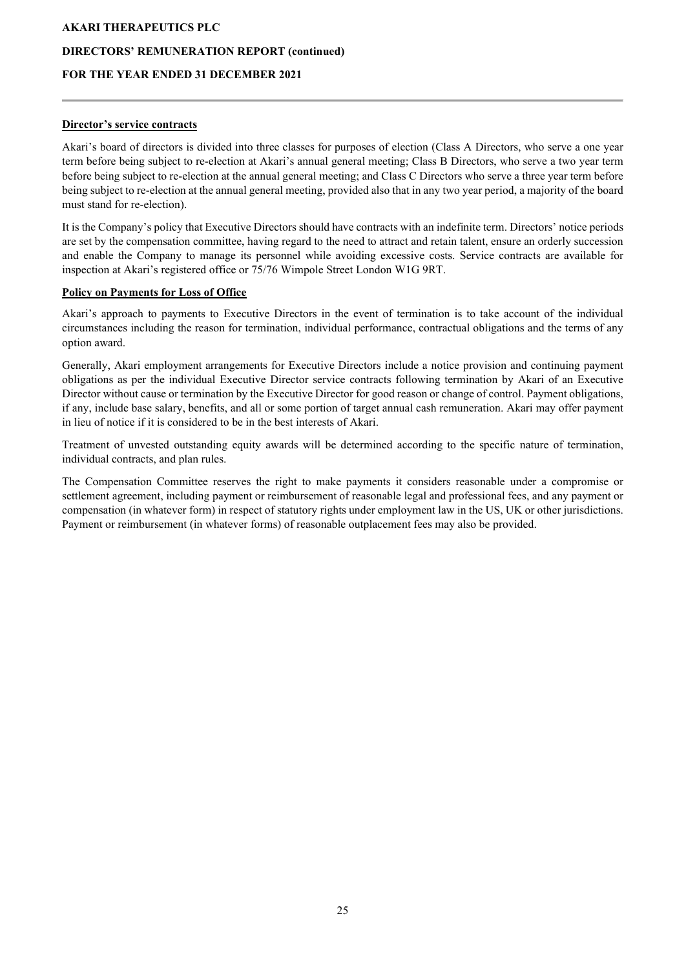# **DIRECTORS' REMUNERATION REPORT (continued)**

# **FOR THE YEAR ENDED 31 DECEMBER 2021**

# **Director's service contracts**

Akari's board of directors is divided into three classes for purposes of election (Class A Directors, who serve a one year term before being subject to re-election at Akari's annual general meeting; Class B Directors, who serve a two year term before being subject to re-election at the annual general meeting; and Class C Directors who serve a three year term before being subject to re-election at the annual general meeting, provided also that in any two year period, a majority of the board must stand for re-election).

It is the Company's policy that Executive Directors should have contracts with an indefinite term. Directors' notice periods are set by the compensation committee, having regard to the need to attract and retain talent, ensure an orderly succession and enable the Company to manage its personnel while avoiding excessive costs. Service contracts are available for inspection at Akari's registered office or 75/76 Wimpole Street London W1G 9RT.

# **Policy on Payments for Loss of Office**

Akari's approach to payments to Executive Directors in the event of termination is to take account of the individual circumstances including the reason for termination, individual performance, contractual obligations and the terms of any option award.

Generally, Akari employment arrangements for Executive Directors include a notice provision and continuing payment obligations as per the individual Executive Director service contracts following termination by Akari of an Executive Director without cause or termination by the Executive Director for good reason or change of control. Payment obligations, if any, include base salary, benefits, and all or some portion of target annual cash remuneration. Akari may offer payment in lieu of notice if it is considered to be in the best interests of Akari.

Treatment of unvested outstanding equity awards will be determined according to the specific nature of termination, individual contracts, and plan rules.

The Compensation Committee reserves the right to make payments it considers reasonable under a compromise or settlement agreement, including payment or reimbursement of reasonable legal and professional fees, and any payment or compensation (in whatever form) in respect of statutory rights under employment law in the US, UK or other jurisdictions. Payment or reimbursement (in whatever forms) of reasonable outplacement fees may also be provided.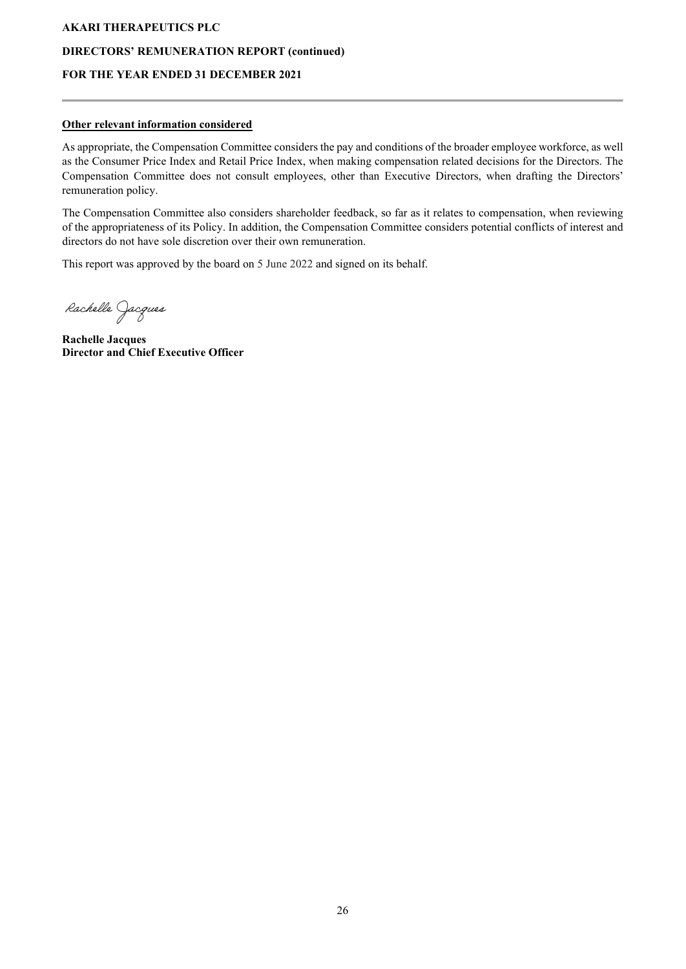# **DIRECTORS' REMUNERATION REPORT (continued)**

# **FOR THE YEAR ENDED 31 DECEMBER 2021**

# **Other relevant information considered**

As appropriate, the Compensation Committee considers the pay and conditions of the broader employee workforce, as well as the Consumer Price Index and Retail Price Index, when making compensation related decisions for the Directors. The Compensation Committee does not consult employees, other than Executive Directors, when drafting the Directors' remuneration policy.

The Compensation Committee also considers shareholder feedback, so far as it relates to compensation, when reviewing of the appropriateness of its Policy. In addition, the Compensation Committee considers potential conflicts of interest and directors do not have sole discretion over their own remuneration.

This report was approved by the board on 5 June 2022 and signed on its behalf.

Rachelle Jacques

**Rachelle Jacques Director and Chief Executive Officer**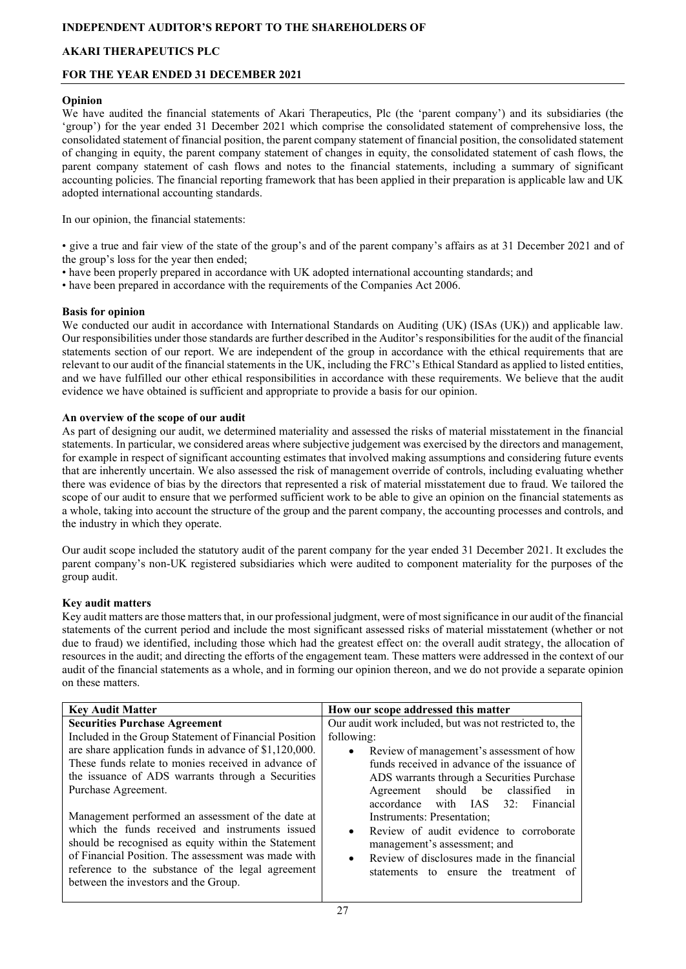# **INDEPENDENT AUDITOR'S REPORT TO THE SHAREHOLDERS OF**

# **AKARI THERAPEUTICS PLC**

# **FOR THE YEAR ENDED 31 DECEMBER 2021**

## **Opinion**

We have audited the financial statements of Akari Therapeutics, Plc (the 'parent company') and its subsidiaries (the 'group') for the year ended 31 December 2021 which comprise the consolidated statement of comprehensive loss, the consolidated statement of financial position, the parent company statement of financial position, the consolidated statement of changing in equity, the parent company statement of changes in equity, the consolidated statement of cash flows, the parent company statement of cash flows and notes to the financial statements, including a summary of significant accounting policies. The financial reporting framework that has been applied in their preparation is applicable law and UK adopted international accounting standards.

In our opinion, the financial statements:

• give a true and fair view of the state of the group's and of the parent company's affairs as at 31 December 2021 and of the group's loss for the year then ended;

- have been properly prepared in accordance with UK adopted international accounting standards; and
- have been prepared in accordance with the requirements of the Companies Act 2006.

# **Basis for opinion**

We conducted our audit in accordance with International Standards on Auditing (UK) (ISAs (UK)) and applicable law. Our responsibilities under those standards are further described in the Auditor's responsibilities for the audit of the financial statements section of our report. We are independent of the group in accordance with the ethical requirements that are relevant to our audit of the financial statements in the UK, including the FRC's Ethical Standard as applied to listed entities, and we have fulfilled our other ethical responsibilities in accordance with these requirements. We believe that the audit evidence we have obtained is sufficient and appropriate to provide a basis for our opinion.

### **An overview of the scope of our audit**

As part of designing our audit, we determined materiality and assessed the risks of material misstatement in the financial statements. In particular, we considered areas where subjective judgement was exercised by the directors and management, for example in respect of significant accounting estimates that involved making assumptions and considering future events that are inherently uncertain. We also assessed the risk of management override of controls, including evaluating whether there was evidence of bias by the directors that represented a risk of material misstatement due to fraud. We tailored the scope of our audit to ensure that we performed sufficient work to be able to give an opinion on the financial statements as a whole, taking into account the structure of the group and the parent company, the accounting processes and controls, and the industry in which they operate.

Our audit scope included the statutory audit of the parent company for the year ended 31 December 2021. It excludes the parent company's non-UK registered subsidiaries which were audited to component materiality for the purposes of the group audit.

#### **Key audit matters**

Key audit matters are those matters that, in our professional judgment, were of most significance in our audit of the financial statements of the current period and include the most significant assessed risks of material misstatement (whether or not due to fraud) we identified, including those which had the greatest effect on: the overall audit strategy, the allocation of resources in the audit; and directing the efforts of the engagement team. These matters were addressed in the context of our audit of the financial statements as a whole, and in forming our opinion thereon, and we do not provide a separate opinion on these matters.

| <b>Key Audit Matter</b>                                                                                                                                                                                                                                                                                         | How our scope addressed this matter                                                                                                                                                                                                                                                                       |
|-----------------------------------------------------------------------------------------------------------------------------------------------------------------------------------------------------------------------------------------------------------------------------------------------------------------|-----------------------------------------------------------------------------------------------------------------------------------------------------------------------------------------------------------------------------------------------------------------------------------------------------------|
| <b>Securities Purchase Agreement</b><br>Included in the Group Statement of Financial Position<br>are share application funds in advance of \$1,120,000.<br>These funds relate to monies received in advance of<br>the issuance of ADS warrants through a Securities<br>Purchase Agreement.                      | Our audit work included, but was not restricted to, the<br>following:<br>Review of management's assessment of how<br>$\bullet$<br>funds received in advance of the issuance of<br>ADS warrants through a Securities Purchase<br>Agreement should be classified<br>1n<br>accordance with IAS 32: Financial |
| Management performed an assessment of the date at<br>which the funds received and instruments issued<br>should be recognised as equity within the Statement<br>of Financial Position. The assessment was made with<br>reference to the substance of the legal agreement<br>between the investors and the Group. | Instruments: Presentation;<br>Review of audit evidence to corroborate<br>$\bullet$<br>management's assessment; and<br>Review of disclosures made in the financial<br>$\bullet$<br>statements to ensure the treatment of                                                                                   |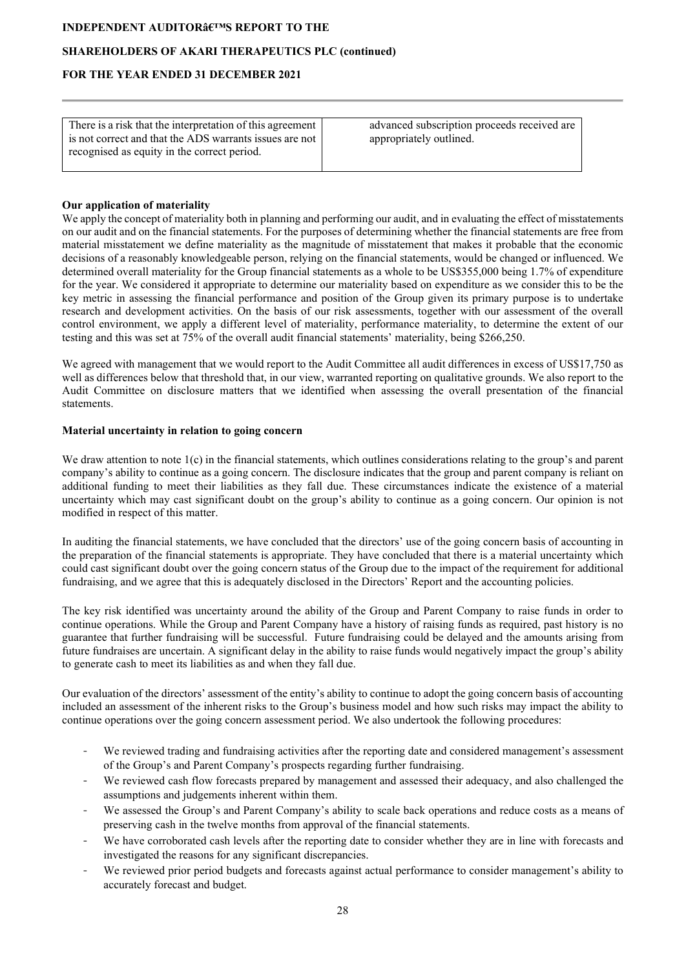# **INDEPENDENT AUDITOR** $\hat{\mathbf{a}}$ **ETMS** REPORT TO THE

# **SHAREHOLDERS OF AKARI THERAPEUTICS PLC (continued)**

# **FOR THE YEAR ENDED 31 DECEMBER 2021**

| There is a risk that the interpretation of this agreement | advanced subscription proceeds received are |
|-----------------------------------------------------------|---------------------------------------------|
| is not correct and that the ADS warrants issues are not   | appropriately outlined.                     |
| recognised as equity in the correct period.               |                                             |
|                                                           |                                             |

## **Our application of materiality**

We apply the concept of materiality both in planning and performing our audit, and in evaluating the effect of misstatements on our audit and on the financial statements. For the purposes of determining whether the financial statements are free from material misstatement we define materiality as the magnitude of misstatement that makes it probable that the economic decisions of a reasonably knowledgeable person, relying on the financial statements, would be changed or influenced. We determined overall materiality for the Group financial statements as a whole to be US\$355,000 being 1.7% of expenditure for the year. We considered it appropriate to determine our materiality based on expenditure as we consider this to be the key metric in assessing the financial performance and position of the Group given its primary purpose is to undertake research and development activities. On the basis of our risk assessments, together with our assessment of the overall control environment, we apply a different level of materiality, performance materiality, to determine the extent of our testing and this was set at 75% of the overall audit financial statements' materiality, being \$266,250.

We agreed with management that we would report to the Audit Committee all audit differences in excess of US\$17,750 as well as differences below that threshold that, in our view, warranted reporting on qualitative grounds. We also report to the Audit Committee on disclosure matters that we identified when assessing the overall presentation of the financial statements.

#### **Material uncertainty in relation to going concern**

We draw attention to note 1(c) in the financial statements, which outlines considerations relating to the group's and parent company's ability to continue as a going concern. The disclosure indicates that the group and parent company is reliant on additional funding to meet their liabilities as they fall due. These circumstances indicate the existence of a material uncertainty which may cast significant doubt on the group's ability to continue as a going concern. Our opinion is not modified in respect of this matter.

In auditing the financial statements, we have concluded that the directors' use of the going concern basis of accounting in the preparation of the financial statements is appropriate. They have concluded that there is a material uncertainty which could cast significant doubt over the going concern status of the Group due to the impact of the requirement for additional fundraising, and we agree that this is adequately disclosed in the Directors' Report and the accounting policies.

The key risk identified was uncertainty around the ability of the Group and Parent Company to raise funds in order to continue operations. While the Group and Parent Company have a history of raising funds as required, past history is no guarantee that further fundraising will be successful. Future fundraising could be delayed and the amounts arising from future fundraises are uncertain. A significant delay in the ability to raise funds would negatively impact the group's ability to generate cash to meet its liabilities as and when they fall due.

Our evaluation of the directors' assessment of the entity's ability to continue to adopt the going concern basis of accounting included an assessment of the inherent risks to the Group's business model and how such risks may impact the ability to continue operations over the going concern assessment period. We also undertook the following procedures:

- We reviewed trading and fundraising activities after the reporting date and considered management's assessment of the Group's and Parent Company's prospects regarding further fundraising.
- We reviewed cash flow forecasts prepared by management and assessed their adequacy, and also challenged the assumptions and judgements inherent within them.
- We assessed the Group's and Parent Company's ability to scale back operations and reduce costs as a means of preserving cash in the twelve months from approval of the financial statements.
- We have corroborated cash levels after the reporting date to consider whether they are in line with forecasts and investigated the reasons for any significant discrepancies.
- We reviewed prior period budgets and forecasts against actual performance to consider management's ability to accurately forecast and budget.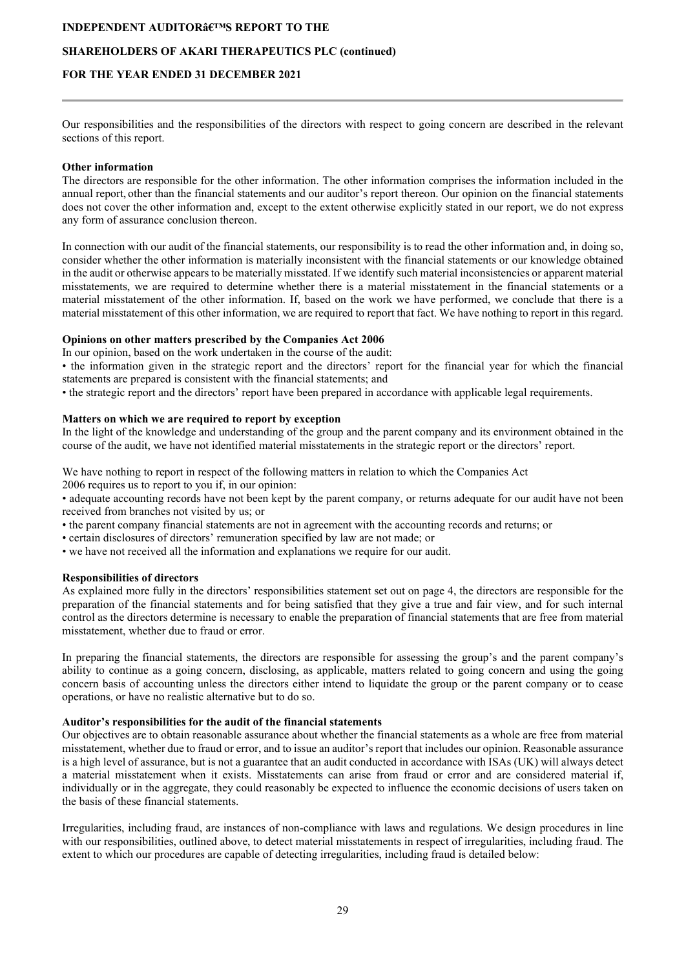# **INDEPENDENT AUDITOR** $\hat{\mathbf{a}}$ **ETMS** REPORT TO THE

## **SHAREHOLDERS OF AKARI THERAPEUTICS PLC (continued)**

# **FOR THE YEAR ENDED 31 DECEMBER 2021**

Our responsibilities and the responsibilities of the directors with respect to going concern are described in the relevant sections of this report.

#### **Other information**

The directors are responsible for the other information. The other information comprises the information included in the annual report, other than the financial statements and our auditor's report thereon. Our opinion on the financial statements does not cover the other information and, except to the extent otherwise explicitly stated in our report, we do not express any form of assurance conclusion thereon.

In connection with our audit of the financial statements, our responsibility is to read the other information and, in doing so, consider whether the other information is materially inconsistent with the financial statements or our knowledge obtained in the audit or otherwise appears to be materially misstated. If we identify such material inconsistencies or apparent material misstatements, we are required to determine whether there is a material misstatement in the financial statements or a material misstatement of the other information. If, based on the work we have performed, we conclude that there is a material misstatement of this other information, we are required to report that fact. We have nothing to report in this regard.

# **Opinions on other matters prescribed by the Companies Act 2006**

In our opinion, based on the work undertaken in the course of the audit:

• the information given in the strategic report and the directors' report for the financial year for which the financial statements are prepared is consistent with the financial statements; and

• the strategic report and the directors' report have been prepared in accordance with applicable legal requirements.

#### **Matters on which we are required to report by exception**

In the light of the knowledge and understanding of the group and the parent company and its environment obtained in the course of the audit, we have not identified material misstatements in the strategic report or the directors' report.

We have nothing to report in respect of the following matters in relation to which the Companies Act

2006 requires us to report to you if, in our opinion:

• adequate accounting records have not been kept by the parent company, or returns adequate for our audit have not been received from branches not visited by us; or

- the parent company financial statements are not in agreement with the accounting records and returns; or
- certain disclosures of directors' remuneration specified by law are not made; or
- we have not received all the information and explanations we require for our audit.

#### **Responsibilities of directors**

As explained more fully in the directors' responsibilities statement set out on page 4, the directors are responsible for the preparation of the financial statements and for being satisfied that they give a true and fair view, and for such internal control as the directors determine is necessary to enable the preparation of financial statements that are free from material misstatement, whether due to fraud or error.

In preparing the financial statements, the directors are responsible for assessing the group's and the parent company's ability to continue as a going concern, disclosing, as applicable, matters related to going concern and using the going concern basis of accounting unless the directors either intend to liquidate the group or the parent company or to cease operations, or have no realistic alternative but to do so.

#### **Auditor's responsibilities for the audit of the financial statements**

Our objectives are to obtain reasonable assurance about whether the financial statements as a whole are free from material misstatement, whether due to fraud or error, and to issue an auditor's report that includes our opinion. Reasonable assurance is a high level of assurance, but is not a guarantee that an audit conducted in accordance with ISAs (UK) will always detect a material misstatement when it exists. Misstatements can arise from fraud or error and are considered material if, individually or in the aggregate, they could reasonably be expected to influence the economic decisions of users taken on the basis of these financial statements.

Irregularities, including fraud, are instances of non-compliance with laws and regulations. We design procedures in line with our responsibilities, outlined above, to detect material misstatements in respect of irregularities, including fraud. The extent to which our procedures are capable of detecting irregularities, including fraud is detailed below: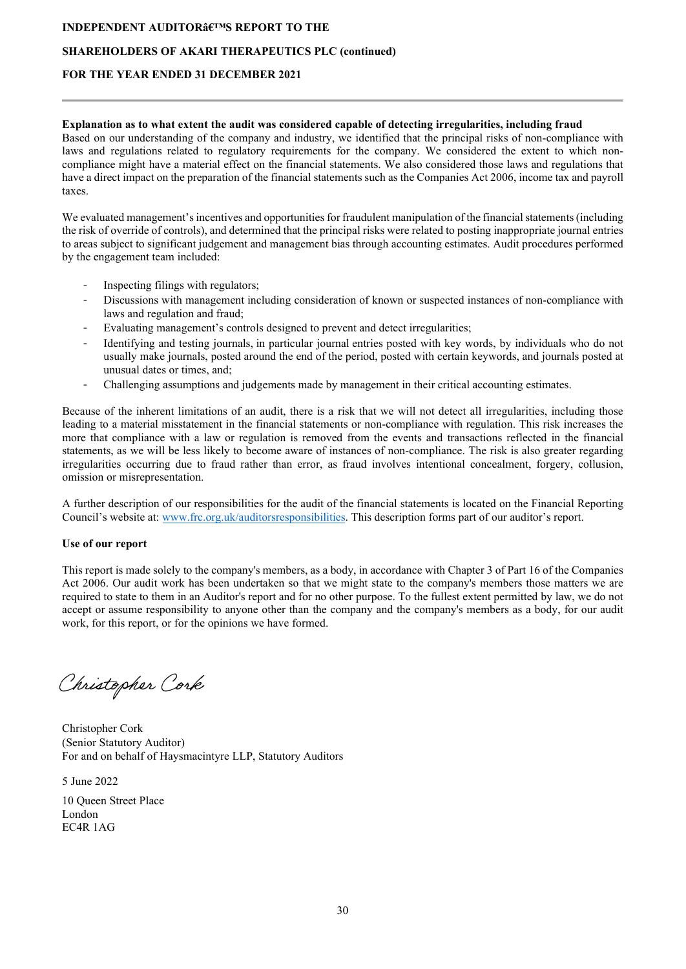## **INDEPENDENT AUDITOR€TMS REPORT TO THE**

# **SHAREHOLDERS OF AKARI THERAPEUTICS PLC (continued)**

# **FOR THE YEAR ENDED 31 DECEMBER 2021**

## **Explanation as to what extent the audit was considered capable of detecting irregularities, including fraud**

Based on our understanding of the company and industry, we identified that the principal risks of non-compliance with laws and regulations related to regulatory requirements for the company. We considered the extent to which noncompliance might have a material effect on the financial statements. We also considered those laws and regulations that have a direct impact on the preparation of the financial statements such as the Companies Act 2006, income tax and payroll taxes.

We evaluated management's incentives and opportunities for fraudulent manipulation of the financial statements (including the risk of override of controls), and determined that the principal risks were related to posting inappropriate journal entries to areas subject to significant judgement and management bias through accounting estimates. Audit procedures performed by the engagement team included:

- Inspecting filings with regulators;
- Discussions with management including consideration of known or suspected instances of non-compliance with laws and regulation and fraud;
- Evaluating management's controls designed to prevent and detect irregularities;
- Identifying and testing journals, in particular journal entries posted with key words, by individuals who do not usually make journals, posted around the end of the period, posted with certain keywords, and journals posted at unusual dates or times, and;
- Challenging assumptions and judgements made by management in their critical accounting estimates.

Because of the inherent limitations of an audit, there is a risk that we will not detect all irregularities, including those leading to a material misstatement in the financial statements or non-compliance with regulation. This risk increases the more that compliance with a law or regulation is removed from the events and transactions reflected in the financial statements, as we will be less likely to become aware of instances of non-compliance. The risk is also greater regarding irregularities occurring due to fraud rather than error, as fraud involves intentional concealment, forgery, collusion, omission or misrepresentation.

A further description of our responsibilities for the audit of the financial statements is located on the Financial Reporting Council's website at[: www.frc.org.uk/auditorsresponsibilities.](http://www.frc.org.uk/auditorsresponsibilities) This description forms part of our auditor's report.

#### **Use of our report**

This report is made solely to the company's members, as a body, in accordance with Chapter 3 of Part 16 of the Companies Act 2006. Our audit work has been undertaken so that we might state to the company's members those matters we are required to state to them in an Auditor's report and for no other purpose. To the fullest extent permitted by law, we do not accept or assume responsibility to anyone other than the company and the company's members as a body, for our audit work, for this report, or for the opinions we have formed.

Christopher Cork

Christopher Cork (Senior Statutory Auditor) For and on behalf of Haysmacintyre LLP, Statutory Auditors

5 June 2022

10 Queen Street Place London EC4R 1AG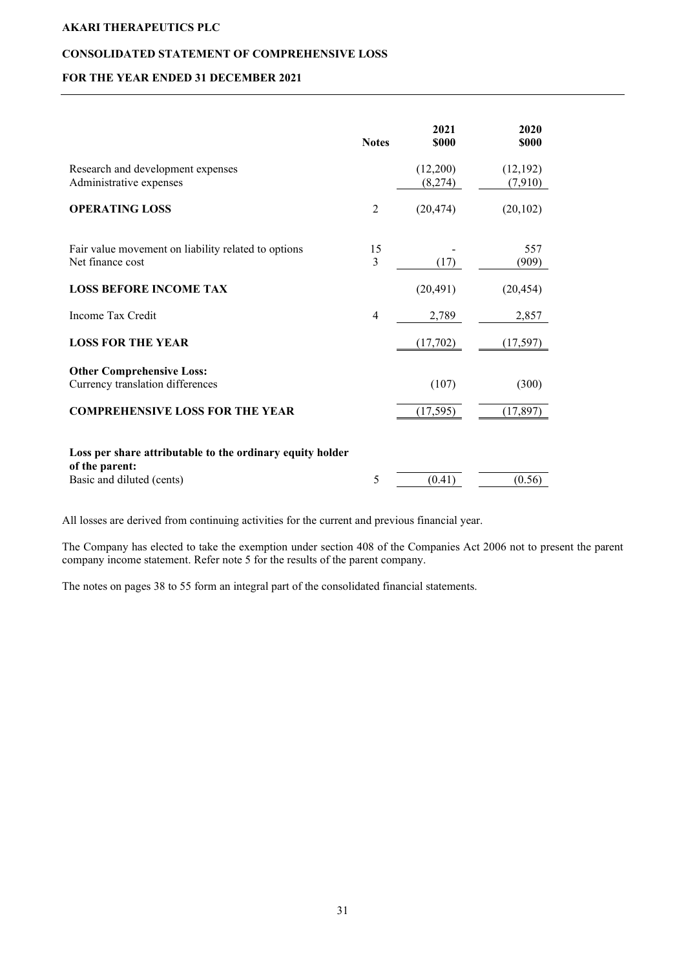# **CONSOLIDATED STATEMENT OF COMPREHENSIVE LOSS**

## **FOR THE YEAR ENDED 31 DECEMBER 2021**

|                                                                                                                | <b>Notes</b>   | 2021<br>\$000       | 2020<br><b>SOOO</b>  |
|----------------------------------------------------------------------------------------------------------------|----------------|---------------------|----------------------|
| Research and development expenses<br>Administrative expenses                                                   |                | (12,200)<br>(8,274) | (12, 192)<br>(7,910) |
| <b>OPERATING LOSS</b>                                                                                          | $\overline{2}$ | (20, 474)           | (20, 102)            |
| Fair value movement on liability related to options<br>Net finance cost                                        | 15<br>3        | (17)                | 557<br>(909)         |
| <b>LOSS BEFORE INCOME TAX</b>                                                                                  |                | (20, 491)           | (20, 454)            |
| Income Tax Credit                                                                                              | 4              | 2,789               | 2,857                |
| <b>LOSS FOR THE YEAR</b>                                                                                       |                | (17,702)            | (17, 597)            |
| <b>Other Comprehensive Loss:</b><br>Currency translation differences<br><b>COMPREHENSIVE LOSS FOR THE YEAR</b> |                | (107)<br>(17, 595)  | (300)<br>(17, 897)   |
|                                                                                                                |                |                     |                      |
| Loss per share attributable to the ordinary equity holder<br>of the parent:                                    |                |                     |                      |
| Basic and diluted (cents)                                                                                      | 5              | (0.41)              | (0.56)               |

All losses are derived from continuing activities for the current and previous financial year.

The Company has elected to take the exemption under section 408 of the Companies Act 2006 not to present the parent company income statement. Refer note 5 for the results of the parent company.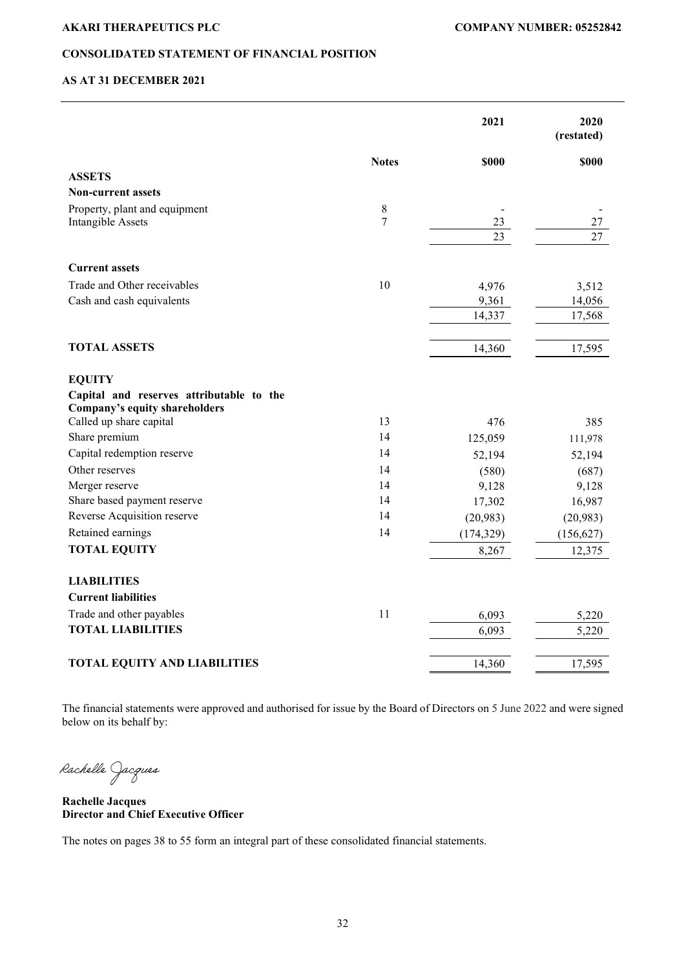# AKARI THERAPEUTICS PLC **COMPANY NUMBER: 05252842**

# **CONSOLIDATED STATEMENT OF FINANCIAL POSITION**

# **AS AT 31 DECEMBER 2021**

|                                                                           |              | 2021         | 2020<br>(restated) |
|---------------------------------------------------------------------------|--------------|--------------|--------------------|
|                                                                           | <b>Notes</b> | <b>\$000</b> | \$000              |
| <b>ASSETS</b>                                                             |              |              |                    |
| <b>Non-current assets</b>                                                 |              |              |                    |
| Property, plant and equipment                                             | $\,8\,$      |              |                    |
| Intangible Assets                                                         | 7            | 23           | 27                 |
|                                                                           |              | 23           | 27                 |
| <b>Current assets</b>                                                     |              |              |                    |
| Trade and Other receivables                                               | 10           | 4,976        | 3,512              |
| Cash and cash equivalents                                                 |              | 9,361        | 14,056             |
|                                                                           |              | 14,337       | 17,568             |
| <b>TOTAL ASSETS</b>                                                       |              | 14,360       | 17,595             |
| <b>EQUITY</b>                                                             |              |              |                    |
| Capital and reserves attributable to the<br>Company's equity shareholders |              |              |                    |
| Called up share capital                                                   | 13           | 476          | 385                |
| Share premium                                                             | 14           | 125,059      | 111,978            |
| Capital redemption reserve                                                | 14           | 52,194       | 52,194             |
| Other reserves                                                            | 14           | (580)        | (687)              |
| Merger reserve                                                            | 14           | 9,128        | 9,128              |
| Share based payment reserve                                               | 14           | 17,302       | 16,987             |
| Reverse Acquisition reserve                                               | 14           | (20, 983)    | (20, 983)          |
| Retained earnings                                                         | 14           | (174, 329)   | (156, 627)         |
| <b>TOTAL EQUITY</b>                                                       |              | 8,267        | 12,375             |
| <b>LIABILITIES</b>                                                        |              |              |                    |
| <b>Current liabilities</b>                                                |              |              |                    |
| Trade and other payables                                                  | 11           | 6,093        | 5,220              |
| <b>TOTAL LIABILITIES</b>                                                  |              | 6,093        | 5,220              |
| <b>TOTAL EQUITY AND LIABILITIES</b>                                       |              | 14,360       | 17,595             |

The financial statements were approved and authorised for issue by the Board of Directors on 5 June 2022 and were signed below on its behalf by:

Rachelle Jacques

**Rachelle Jacques Director and Chief Executive Officer**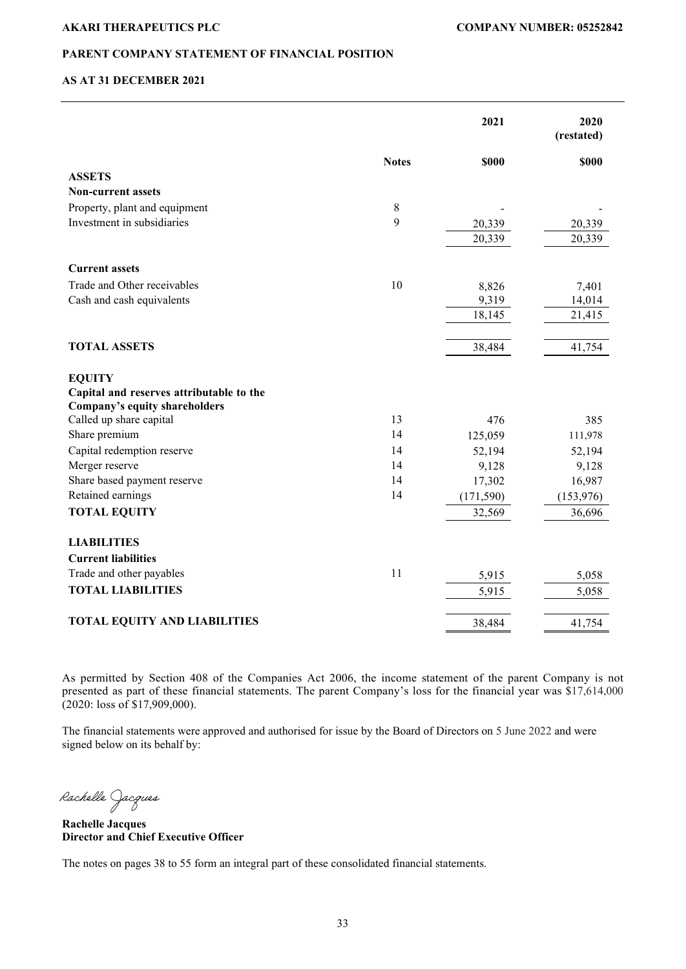## **AKARI THERAPEUTICS PLC COMPANY NUMBER: 05252842**

# **PARENT COMPANY STATEMENT OF FINANCIAL POSITION**

# **AS AT 31 DECEMBER 2021**

|                                          |              | 2021       | 2020<br>(restated) |
|------------------------------------------|--------------|------------|--------------------|
|                                          | <b>Notes</b> | \$000      | \$000              |
| <b>ASSETS</b>                            |              |            |                    |
| <b>Non-current assets</b>                |              |            |                    |
| Property, plant and equipment            | 8            |            |                    |
| Investment in subsidiaries               | 9            | 20,339     | 20,339             |
|                                          |              | 20,339     | 20,339             |
| <b>Current assets</b>                    |              |            |                    |
| Trade and Other receivables              | 10           | 8,826      | 7,401              |
| Cash and cash equivalents                |              | 9,319      | 14,014             |
|                                          |              | 18,145     | 21,415             |
| <b>TOTAL ASSETS</b>                      |              | 38,484     | 41,754             |
| <b>EQUITY</b>                            |              |            |                    |
| Capital and reserves attributable to the |              |            |                    |
| Company's equity shareholders            |              |            |                    |
| Called up share capital                  | 13           | 476        | 385                |
| Share premium                            | 14           | 125,059    | 111,978            |
| Capital redemption reserve               | 14           | 52,194     | 52,194             |
| Merger reserve                           | 14           | 9,128      | 9,128              |
| Share based payment reserve              | 14<br>14     | 17,302     | 16,987             |
| Retained earnings                        |              | (171, 590) | (153, 976)         |
| <b>TOTAL EQUITY</b>                      |              | 32,569     | 36,696             |
| <b>LIABILITIES</b>                       |              |            |                    |
| <b>Current liabilities</b>               |              |            |                    |
| Trade and other payables                 | 11           | 5,915      | 5,058              |
| <b>TOTAL LIABILITIES</b>                 |              | 5,915      | 5,058              |
| <b>TOTAL EQUITY AND LIABILITIES</b>      |              | 38,484     | 41,754             |

As permitted by Section 408 of the Companies Act 2006, the income statement of the parent Company is not presented as part of these financial statements. The parent Company's loss for the financial year was \$17,614,000 (2020: loss of \$17,909,000).

The financial statements were approved and authorised for issue by the Board of Directors on 5 June 2022 and were signed below on its behalf by:

Rachelle Jacques

**Rachelle Jacques Director and Chief Executive Officer**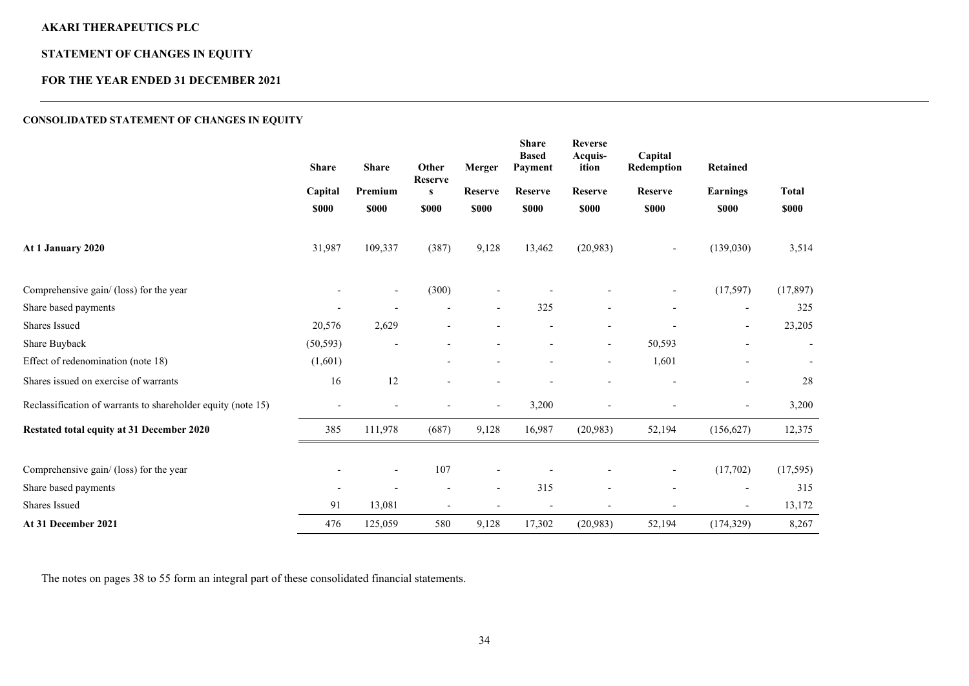# **STATEMENT OF CHANGES IN EQUITY**

## **FOR THE YEAR ENDED 31 DECEMBER 2021**

## **CONSOLIDATED STATEMENT OF CHANGES IN EQUITY**

|                                                              | <b>Share</b> | <b>Share</b>             | Other<br>Reserve | Merger                   | <b>Share</b><br><b>Based</b><br>Payment | Reverse<br>Acquis-<br>ition | Capital<br>Redemption    | Retained                     |                          |
|--------------------------------------------------------------|--------------|--------------------------|------------------|--------------------------|-----------------------------------------|-----------------------------|--------------------------|------------------------------|--------------------------|
|                                                              | Capital      | Premium                  | S                | <b>Reserve</b>           | <b>Reserve</b>                          | <b>Reserve</b>              | <b>Reserve</b>           | <b>Earnings</b>              | <b>Total</b>             |
|                                                              | \$000        | \$000                    | \$000            | <b>SOOO</b>              | \$000                                   | \$000                       | <b>\$000</b>             | <b>\$000</b>                 | \$000                    |
| At 1 January 2020                                            | 31,987       | 109,337                  | (387)            | 9,128                    | 13,462                                  | (20,983)                    |                          | (139,030)                    | 3,514                    |
| Comprehensive gain/ (loss) for the year                      |              | $\overline{\phantom{a}}$ | (300)            |                          |                                         |                             | $\overline{\phantom{a}}$ | (17,597)                     | (17, 897)                |
| Share based payments                                         |              | $\overline{\phantom{a}}$ |                  | $\overline{\phantom{a}}$ | 325                                     |                             | $\overline{a}$           | $\overline{\phantom{0}}$     | 325                      |
| Shares Issued                                                | 20,576       | 2,629                    |                  |                          |                                         |                             |                          | $\overline{\phantom{a}}$     | 23,205                   |
| Share Buyback                                                | (50, 593)    |                          |                  |                          |                                         | $\overline{\phantom{a}}$    | 50,593                   | ٠                            | $\overline{\phantom{a}}$ |
| Effect of redenomination (note 18)                           | (1,601)      |                          |                  | $\overline{\phantom{a}}$ |                                         | $\overline{\phantom{a}}$    | 1,601                    | $\qquad \qquad \blacksquare$ |                          |
| Shares issued on exercise of warrants                        | 16           | 12                       |                  | $\overline{\phantom{a}}$ |                                         |                             | $\overline{a}$           | $\overline{\phantom{a}}$     | 28                       |
| Reclassification of warrants to shareholder equity (note 15) |              |                          |                  | $\overline{\phantom{a}}$ | 3,200                                   |                             | $\overline{\phantom{a}}$ | ٠                            | 3,200                    |
| Restated total equity at 31 December 2020                    | 385          | 111,978                  | (687)            | 9,128                    | 16,987                                  | (20,983)                    | 52,194                   | (156, 627)                   | 12,375                   |
| Comprehensive gain/ (loss) for the year                      |              |                          | 107              |                          |                                         |                             |                          | (17,702)                     | (17, 595)                |
| Share based payments                                         |              |                          |                  | $\overline{\phantom{a}}$ | 315                                     |                             | $\overline{a}$           |                              | 315                      |
| Shares Issued                                                | 91           | 13,081                   |                  |                          | $\blacksquare$                          |                             | $\overline{a}$           | $\overline{\phantom{0}}$     | 13,172                   |
| At 31 December 2021                                          | 476          | 125,059                  | 580              | 9,128                    | 17,302                                  | (20, 983)                   | 52,194                   | (174, 329)                   | 8,267                    |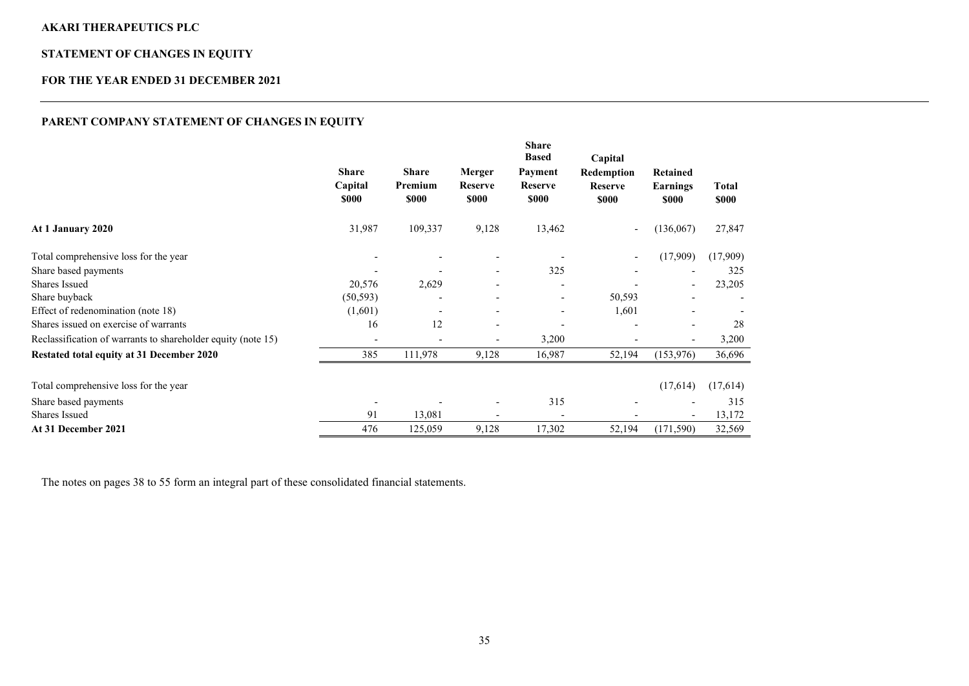# **STATEMENT OF CHANGES IN EQUITY**

## **FOR THE YEAR ENDED 31 DECEMBER 2021**

# **PARENT COMPANY STATEMENT OF CHANGES IN EQUITY**

|                                                              | <b>Share</b><br>Capital<br>\$000 | <b>Share</b><br>Premium<br><b>SOOO</b> | Merger<br>Reserve<br>\$000 | <b>Share</b><br><b>Based</b><br>Payment<br><b>Reserve</b><br><b>SOOO</b> | Capital<br>Redemption<br><b>Reserve</b><br>\$000 | <b>Retained</b><br><b>Earnings</b><br>\$000 | <b>Total</b><br>\$000 |
|--------------------------------------------------------------|----------------------------------|----------------------------------------|----------------------------|--------------------------------------------------------------------------|--------------------------------------------------|---------------------------------------------|-----------------------|
| At 1 January 2020                                            | 31,987                           | 109,337                                | 9,128                      | 13,462                                                                   | $\overline{\phantom{a}}$                         | (136,067)                                   | 27,847                |
| Total comprehensive loss for the year                        |                                  |                                        | $\overline{\phantom{a}}$   |                                                                          | $\overline{\phantom{a}}$                         | (17,909)                                    | (17,909)              |
| Share based payments                                         |                                  |                                        | $\overline{\phantom{a}}$   | 325                                                                      |                                                  |                                             | 325                   |
| Shares Issued                                                | 20,576                           | 2,629                                  | $\overline{\phantom{a}}$   | $\qquad \qquad$                                                          |                                                  | $\overline{\phantom{a}}$                    | 23,205                |
| Share buyback                                                | (50, 593)                        |                                        |                            | $\overline{\phantom{0}}$                                                 | 50,593                                           |                                             |                       |
| Effect of redenomination (note 18)                           | (1,601)                          |                                        | $\overline{\phantom{0}}$   | $\overline{\phantom{a}}$                                                 | 1,601                                            |                                             |                       |
| Shares issued on exercise of warrants                        | 16                               | 12                                     | $\overline{\phantom{a}}$   |                                                                          |                                                  | $\overline{\phantom{0}}$                    | 28                    |
| Reclassification of warrants to shareholder equity (note 15) |                                  | $\overline{\phantom{a}}$               | $\overline{\phantom{a}}$   | 3,200                                                                    |                                                  | $\overline{\phantom{a}}$                    | 3,200                 |
| Restated total equity at 31 December 2020                    | 385                              | 111,978                                | 9,128                      | 16,987                                                                   | 52,194                                           | (153,976)                                   | 36,696                |
| Total comprehensive loss for the year                        |                                  |                                        |                            |                                                                          |                                                  | (17,614)                                    | (17,614)              |
| Share based payments                                         |                                  |                                        | $\overline{a}$             | 315                                                                      |                                                  |                                             | 315                   |
| Shares Issued                                                | 91                               | 13,081                                 | $\blacksquare$             | $\overline{\phantom{0}}$                                                 |                                                  | $\overline{\phantom{a}}$                    | 13,172                |
| At 31 December 2021                                          | 476                              | 125,059                                | 9,128                      | 17,302                                                                   | 52,194                                           | (171, 590)                                  | 32,569                |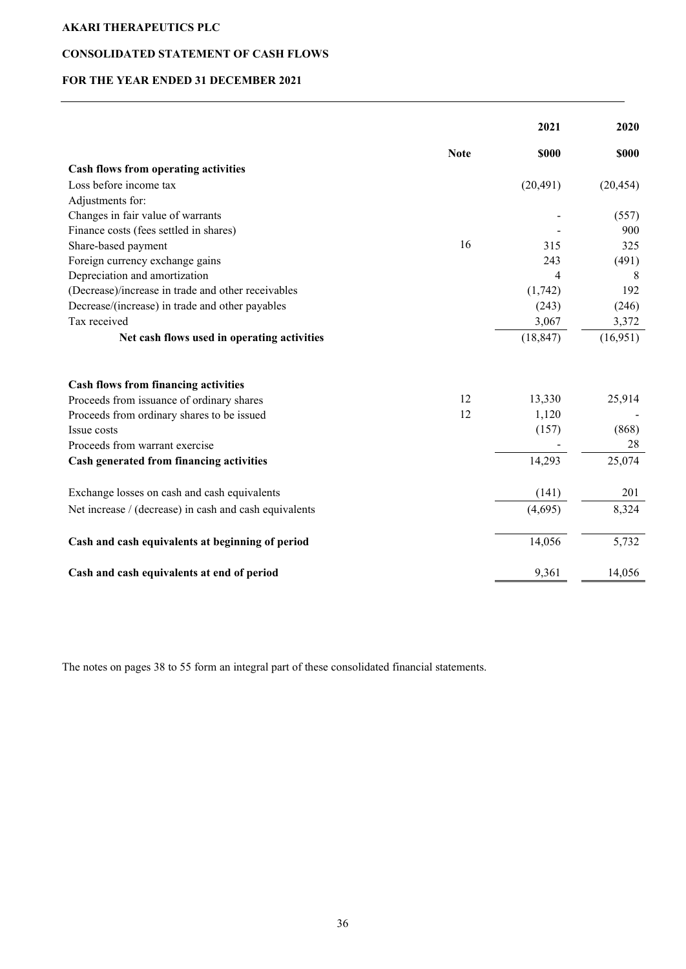# **CONSOLIDATED STATEMENT OF CASH FLOWS**

# **FOR THE YEAR ENDED 31 DECEMBER 2021**

|                                                           |             | 2021      | 2020         |
|-----------------------------------------------------------|-------------|-----------|--------------|
|                                                           | <b>Note</b> | \$000     | <b>\$000</b> |
| Cash flows from operating activities                      |             |           |              |
| Loss before income tax                                    |             | (20, 491) | (20, 454)    |
| Adjustments for:                                          |             |           |              |
| Changes in fair value of warrants                         |             |           | (557)        |
| Finance costs (fees settled in shares)                    |             |           | 900          |
| Share-based payment                                       | 16          | 315       | 325          |
| Foreign currency exchange gains                           |             | 243       | (491)        |
| Depreciation and amortization                             |             | 4         | 8            |
| (Decrease)/increase in trade and other receivables        |             | (1,742)   | 192          |
| Decrease/(increase) in trade and other payables           |             | (243)     | (246)        |
| Tax received                                              |             | 3,067     | 3,372        |
| Net cash flows used in operating activities               |             | (18, 847) | (16, 951)    |
|                                                           |             |           |              |
| <b>Cash flows from financing activities</b>               | 12          | 13,330    | 25,914       |
| Proceeds from issuance of ordinary shares                 | 12          | 1,120     |              |
| Proceeds from ordinary shares to be issued<br>Issue costs |             | (157)     | (868)        |
| Proceeds from warrant exercise                            |             |           | 28           |
|                                                           |             |           |              |
| Cash generated from financing activities                  |             | 14,293    | 25,074       |
| Exchange losses on cash and cash equivalents              |             | (141)     | 201          |
| Net increase / (decrease) in cash and cash equivalents    |             | (4,695)   | 8,324        |
| Cash and cash equivalents at beginning of period          |             | 14,056    | 5,732        |
| Cash and cash equivalents at end of period                |             | 9,361     | 14,056       |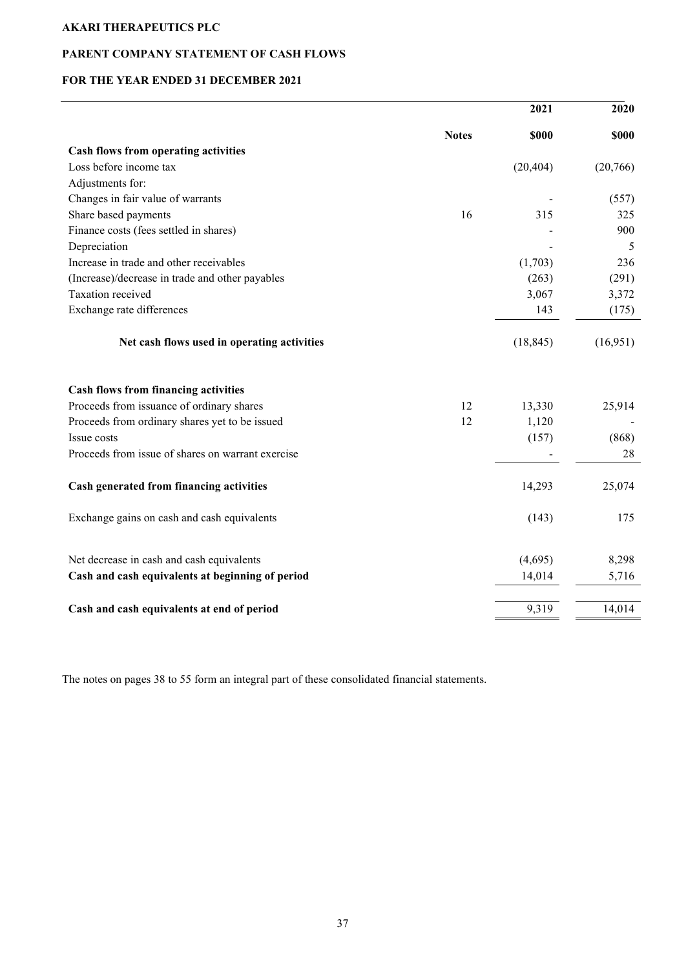# **PARENT COMPANY STATEMENT OF CASH FLOWS**

# **FOR THE YEAR ENDED 31 DECEMBER 2021**

|                                                   |              | 2021      | 2020     |
|---------------------------------------------------|--------------|-----------|----------|
|                                                   | <b>Notes</b> | \$000     | \$000    |
| Cash flows from operating activities              |              |           |          |
| Loss before income tax                            |              | (20, 404) | (20,766) |
| Adjustments for:                                  |              |           |          |
| Changes in fair value of warrants                 |              |           | (557)    |
| Share based payments                              | 16           | 315       | 325      |
| Finance costs (fees settled in shares)            |              |           | 900      |
| Depreciation                                      |              |           | 5        |
| Increase in trade and other receivables           |              | (1,703)   | 236      |
| (Increase)/decrease in trade and other payables   |              | (263)     | (291)    |
| Taxation received                                 |              | 3,067     | 3,372    |
| Exchange rate differences                         |              | 143       | (175)    |
| Net cash flows used in operating activities       |              | (18, 845) | (16,951) |
| <b>Cash flows from financing activities</b>       |              |           |          |
| Proceeds from issuance of ordinary shares         | 12           | 13,330    | 25,914   |
| Proceeds from ordinary shares yet to be issued    | 12           | 1,120     |          |
| Issue costs                                       |              | (157)     | (868)    |
| Proceeds from issue of shares on warrant exercise |              |           | 28       |
| Cash generated from financing activities          |              | 14,293    | 25,074   |
| Exchange gains on cash and cash equivalents       |              | (143)     | 175      |
| Net decrease in cash and cash equivalents         |              | (4,695)   | 8,298    |
| Cash and cash equivalents at beginning of period  |              | 14,014    | 5,716    |
| Cash and cash equivalents at end of period        |              | 9,319     | 14,014   |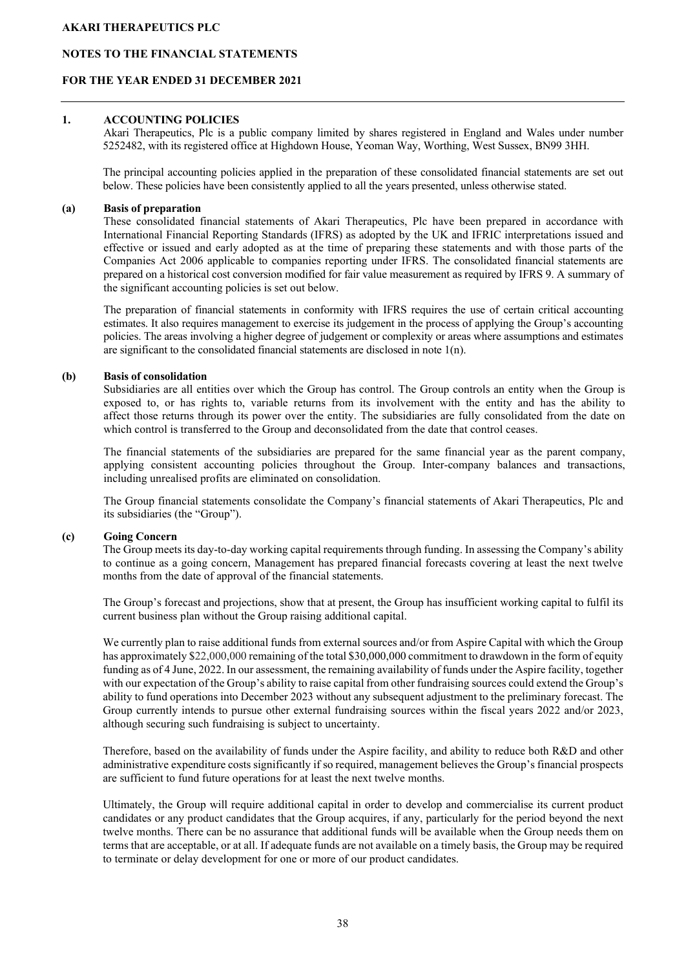## **NOTES TO THE FINANCIAL STATEMENTS**

### **FOR THE YEAR ENDED 31 DECEMBER 2021**

#### **1. ACCOUNTING POLICIES**

Akari Therapeutics, Plc is a public company limited by shares registered in England and Wales under number 5252482, with its registered office at Highdown House, Yeoman Way, Worthing, West Sussex, BN99 3HH.

The principal accounting policies applied in the preparation of these consolidated financial statements are set out below. These policies have been consistently applied to all the years presented, unless otherwise stated.

## **(a) Basis of preparation**

These consolidated financial statements of Akari Therapeutics, Plc have been prepared in accordance with International Financial Reporting Standards (IFRS) as adopted by the UK and IFRIC interpretations issued and effective or issued and early adopted as at the time of preparing these statements and with those parts of the Companies Act 2006 applicable to companies reporting under IFRS. The consolidated financial statements are prepared on a historical cost conversion modified for fair value measurement as required by IFRS 9. A summary of the significant accounting policies is set out below.

The preparation of financial statements in conformity with IFRS requires the use of certain critical accounting estimates. It also requires management to exercise its judgement in the process of applying the Group's accounting policies. The areas involving a higher degree of judgement or complexity or areas where assumptions and estimates are significant to the consolidated financial statements are disclosed in note 1(n).

### **(b) Basis of consolidation**

Subsidiaries are all entities over which the Group has control. The Group controls an entity when the Group is exposed to, or has rights to, variable returns from its involvement with the entity and has the ability to affect those returns through its power over the entity. The subsidiaries are fully consolidated from the date on which control is transferred to the Group and deconsolidated from the date that control ceases.

The financial statements of the subsidiaries are prepared for the same financial year as the parent company, applying consistent accounting policies throughout the Group. Inter-company balances and transactions, including unrealised profits are eliminated on consolidation.

The Group financial statements consolidate the Company's financial statements of Akari Therapeutics, Plc and its subsidiaries (the "Group").

#### **(c) Going Concern**

The Group meets its day-to-day working capital requirements through funding. In assessing the Company's ability to continue as a going concern, Management has prepared financial forecasts covering at least the next twelve months from the date of approval of the financial statements.

The Group's forecast and projections, show that at present, the Group has insufficient working capital to fulfil its current business plan without the Group raising additional capital.

We currently plan to raise additional funds from external sources and/or from Aspire Capital with which the Group has approximately \$22,000,000 remaining of the total \$30,000,000 commitment to drawdown in the form of equity funding as of 4 June, 2022. In our assessment, the remaining availability of funds under the Aspire facility, together with our expectation of the Group's ability to raise capital from other fundraising sources could extend the Group's ability to fund operations into December 2023 without any subsequent adjustment to the preliminary forecast. The Group currently intends to pursue other external fundraising sources within the fiscal years 2022 and/or 2023, although securing such fundraising is subject to uncertainty.

Therefore, based on the availability of funds under the Aspire facility, and ability to reduce both R&D and other administrative expenditure costs significantly if so required, management believes the Group's financial prospects are sufficient to fund future operations for at least the next twelve months.

Ultimately, the Group will require additional capital in order to develop and commercialise its current product candidates or any product candidates that the Group acquires, if any, particularly for the period beyond the next twelve months. There can be no assurance that additional funds will be available when the Group needs them on terms that are acceptable, or at all. If adequate funds are not available on a timely basis, the Group may be required to terminate or delay development for one or more of our product candidates.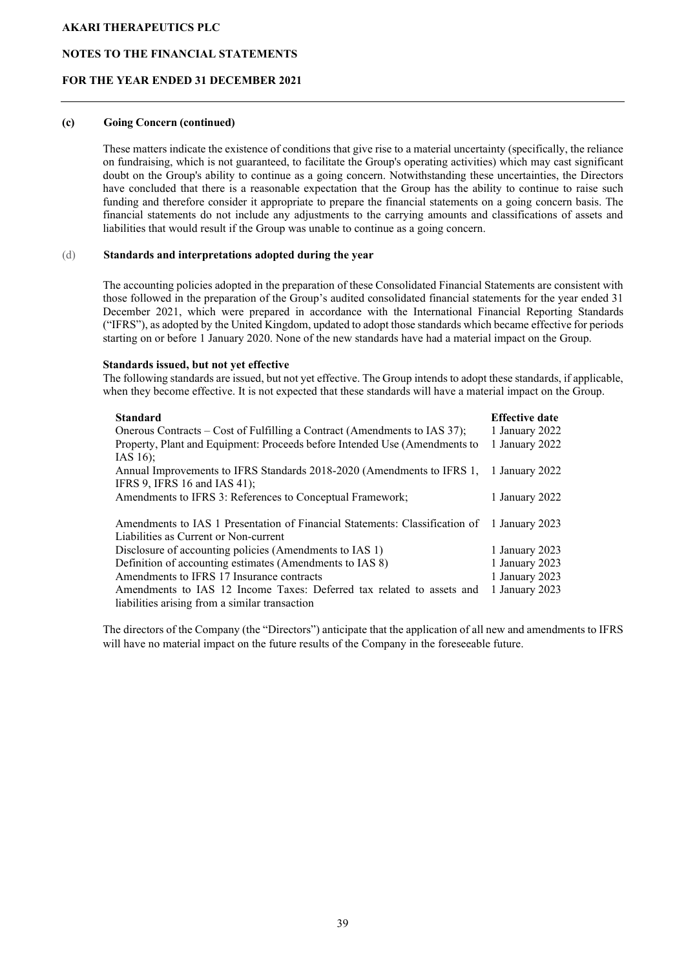## **NOTES TO THE FINANCIAL STATEMENTS**

## **FOR THE YEAR ENDED 31 DECEMBER 2021**

#### **(c) Going Concern (continued)**

These matters indicate the existence of conditions that give rise to a material uncertainty (specifically, the reliance on fundraising, which is not guaranteed, to facilitate the Group's operating activities) which may cast significant doubt on the Group's ability to continue as a going concern. Notwithstanding these uncertainties, the Directors have concluded that there is a reasonable expectation that the Group has the ability to continue to raise such funding and therefore consider it appropriate to prepare the financial statements on a going concern basis. The financial statements do not include any adjustments to the carrying amounts and classifications of assets and liabilities that would result if the Group was unable to continue as a going concern.

#### (d) **Standards and interpretations adopted during the year**

The accounting policies adopted in the preparation of these Consolidated Financial Statements are consistent with those followed in the preparation of the Group's audited consolidated financial statements for the year ended 31 December 2021, which were prepared in accordance with the International Financial Reporting Standards ("IFRS"), as adopted by the United Kingdom, updated to adopt those standards which became effective for periods starting on or before 1 January 2020. None of the new standards have had a material impact on the Group.

#### **Standards issued, but not yet effective**

The following standards are issued, but not yet effective. The Group intends to adopt these standards, if applicable, when they become effective. It is not expected that these standards will have a material impact on the Group.

| <b>Standard</b>                                                                            | <b>Effective date</b> |
|--------------------------------------------------------------------------------------------|-----------------------|
| Onerous Contracts – Cost of Fulfilling a Contract (Amendments to IAS 37);                  | 1 January 2022        |
| Property, Plant and Equipment: Proceeds before Intended Use (Amendments to                 | 1 January 2022        |
| IAS $16$ ;                                                                                 |                       |
| Annual Improvements to IFRS Standards 2018-2020 (Amendments to IFRS 1, 1 January 2022)     |                       |
| IFRS 9, IFRS 16 and IAS 41);                                                               |                       |
| Amendments to IFRS 3: References to Conceptual Framework;                                  | 1 January 2022        |
|                                                                                            |                       |
| Amendments to IAS 1 Presentation of Financial Statements: Classification of 1 January 2023 |                       |
| Liabilities as Current or Non-current                                                      |                       |
| Disclosure of accounting policies (Amendments to IAS 1)                                    | 1 January 2023        |
| Definition of accounting estimates (Amendments to IAS 8)                                   | 1 January 2023        |
| Amendments to IFRS 17 Insurance contracts                                                  | 1 January 2023        |
| Amendments to IAS 12 Income Taxes: Deferred tax related to assets and                      | 1 January 2023        |
| liabilities arising from a similar transaction                                             |                       |

The directors of the Company (the "Directors") anticipate that the application of all new and amendments to IFRS will have no material impact on the future results of the Company in the foreseeable future.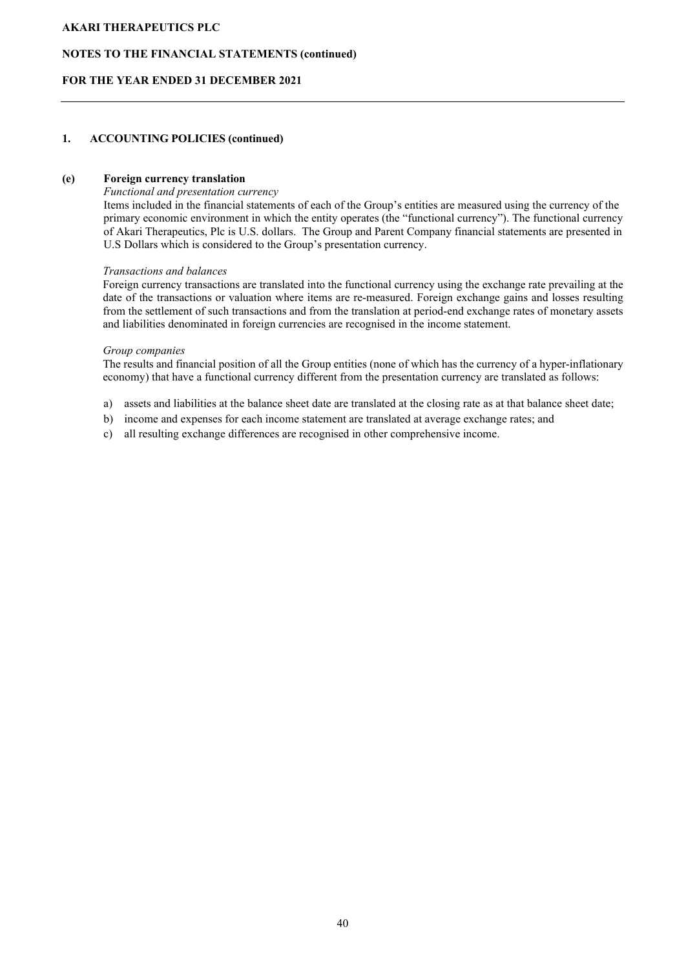# **NOTES TO THE FINANCIAL STATEMENTS (continued)**

# **FOR THE YEAR ENDED 31 DECEMBER 2021**

### **1. ACCOUNTING POLICIES (continued)**

#### **(e) Foreign currency translation**

## *Functional and presentation currency*

Items included in the financial statements of each of the Group's entities are measured using the currency of the primary economic environment in which the entity operates (the "functional currency"). The functional currency of Akari Therapeutics, Plc is U.S. dollars. The Group and Parent Company financial statements are presented in U.S Dollars which is considered to the Group's presentation currency.

#### *Transactions and balances*

Foreign currency transactions are translated into the functional currency using the exchange rate prevailing at the date of the transactions or valuation where items are re-measured. Foreign exchange gains and losses resulting from the settlement of such transactions and from the translation at period-end exchange rates of monetary assets and liabilities denominated in foreign currencies are recognised in the income statement.

#### *Group companies*

The results and financial position of all the Group entities (none of which has the currency of a hyper-inflationary economy) that have a functional currency different from the presentation currency are translated as follows:

- a) assets and liabilities at the balance sheet date are translated at the closing rate as at that balance sheet date;
- b) income and expenses for each income statement are translated at average exchange rates; and
- c) all resulting exchange differences are recognised in other comprehensive income.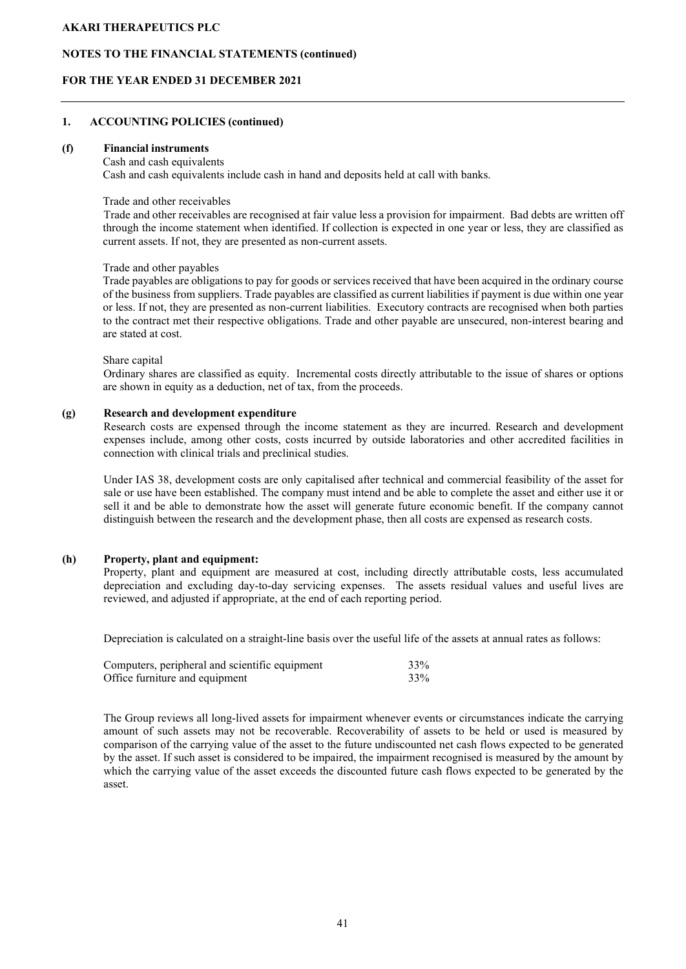## **NOTES TO THE FINANCIAL STATEMENTS (continued)**

# **FOR THE YEAR ENDED 31 DECEMBER 2021**

#### **1. ACCOUNTING POLICIES (continued)**

#### **(f) Financial instruments**

#### Cash and cash equivalents

Cash and cash equivalents include cash in hand and deposits held at call with banks.

#### Trade and other receivables

Trade and other receivables are recognised at fair value less a provision for impairment. Bad debts are written off through the income statement when identified. If collection is expected in one year or less, they are classified as current assets. If not, they are presented as non-current assets.

#### Trade and other payables

Trade payables are obligations to pay for goods or services received that have been acquired in the ordinary course of the business from suppliers. Trade payables are classified as current liabilities if payment is due within one year or less. If not, they are presented as non-current liabilities. Executory contracts are recognised when both parties to the contract met their respective obligations. Trade and other payable are unsecured, non-interest bearing and are stated at cost.

#### Share capital

Ordinary shares are classified as equity. Incremental costs directly attributable to the issue of shares or options are shown in equity as a deduction, net of tax, from the proceeds.

#### **(g) Research and development expenditure**

Research costs are expensed through the income statement as they are incurred. Research and development expenses include, among other costs, costs incurred by outside laboratories and other accredited facilities in connection with clinical trials and preclinical studies.

Under IAS 38, development costs are only capitalised after technical and commercial feasibility of the asset for sale or use have been established. The company must intend and be able to complete the asset and either use it or sell it and be able to demonstrate how the asset will generate future economic benefit. If the company cannot distinguish between the research and the development phase, then all costs are expensed as research costs.

### **(h) Property, plant and equipment:**

Property, plant and equipment are measured at cost, including directly attributable costs, less accumulated depreciation and excluding day-to-day servicing expenses. The assets residual values and useful lives are reviewed, and adjusted if appropriate, at the end of each reporting period.

Depreciation is calculated on a straight-line basis over the useful life of the assets at annual rates as follows:

| Computers, peripheral and scientific equipment | 33% |
|------------------------------------------------|-----|
| Office furniture and equipment                 | 33% |

The Group reviews all long-lived assets for impairment whenever events or circumstances indicate the carrying amount of such assets may not be recoverable. Recoverability of assets to be held or used is measured by comparison of the carrying value of the asset to the future undiscounted net cash flows expected to be generated by the asset. If such asset is considered to be impaired, the impairment recognised is measured by the amount by which the carrying value of the asset exceeds the discounted future cash flows expected to be generated by the asset.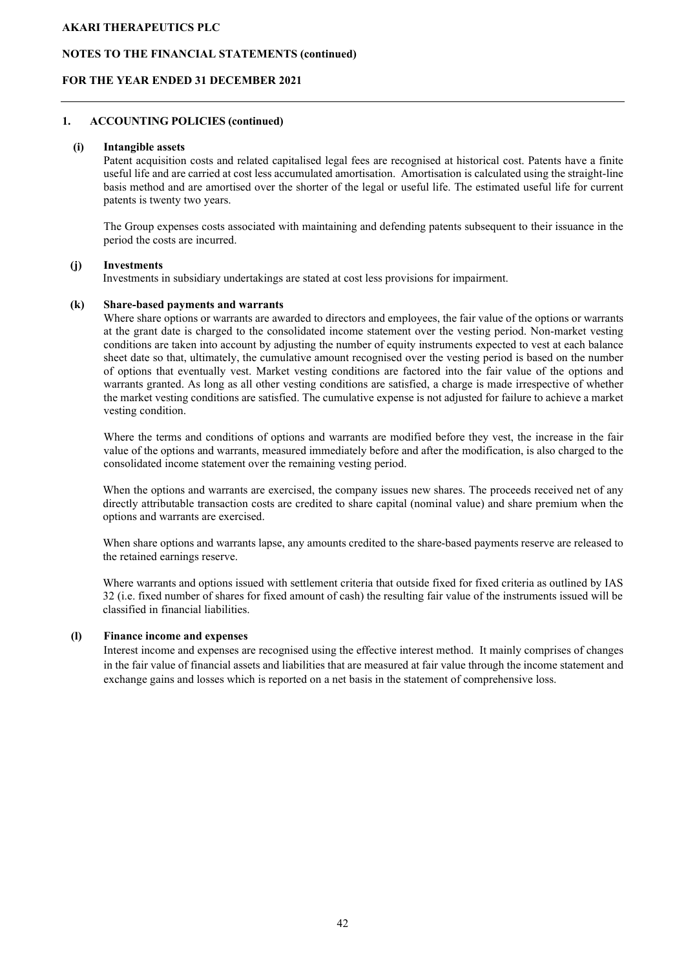## **NOTES TO THE FINANCIAL STATEMENTS (continued)**

## **FOR THE YEAR ENDED 31 DECEMBER 2021**

# **1. ACCOUNTING POLICIES (continued)**

# **(i) Intangible assets**

Patent acquisition costs and related capitalised legal fees are recognised at historical cost. Patents have a finite useful life and are carried at cost less accumulated amortisation. Amortisation is calculated using the straight-line basis method and are amortised over the shorter of the legal or useful life. The estimated useful life for current patents is twenty two years.

The Group expenses costs associated with maintaining and defending patents subsequent to their issuance in the period the costs are incurred.

#### **(j) Investments**

Investments in subsidiary undertakings are stated at cost less provisions for impairment.

#### **(k) Share-based payments and warrants**

Where share options or warrants are awarded to directors and employees, the fair value of the options or warrants at the grant date is charged to the consolidated income statement over the vesting period. Non-market vesting conditions are taken into account by adjusting the number of equity instruments expected to vest at each balance sheet date so that, ultimately, the cumulative amount recognised over the vesting period is based on the number of options that eventually vest. Market vesting conditions are factored into the fair value of the options and warrants granted. As long as all other vesting conditions are satisfied, a charge is made irrespective of whether the market vesting conditions are satisfied. The cumulative expense is not adjusted for failure to achieve a market vesting condition.

Where the terms and conditions of options and warrants are modified before they vest, the increase in the fair value of the options and warrants, measured immediately before and after the modification, is also charged to the consolidated income statement over the remaining vesting period.

When the options and warrants are exercised, the company issues new shares. The proceeds received net of any directly attributable transaction costs are credited to share capital (nominal value) and share premium when the options and warrants are exercised.

When share options and warrants lapse, any amounts credited to the share-based payments reserve are released to the retained earnings reserve.

Where warrants and options issued with settlement criteria that outside fixed for fixed criteria as outlined by IAS 32 (i.e. fixed number of shares for fixed amount of cash) the resulting fair value of the instruments issued will be classified in financial liabilities.

#### **(l) Finance income and expenses**

Interest income and expenses are recognised using the effective interest method. It mainly comprises of changes in the fair value of financial assets and liabilities that are measured at fair value through the income statement and exchange gains and losses which is reported on a net basis in the statement of comprehensive loss.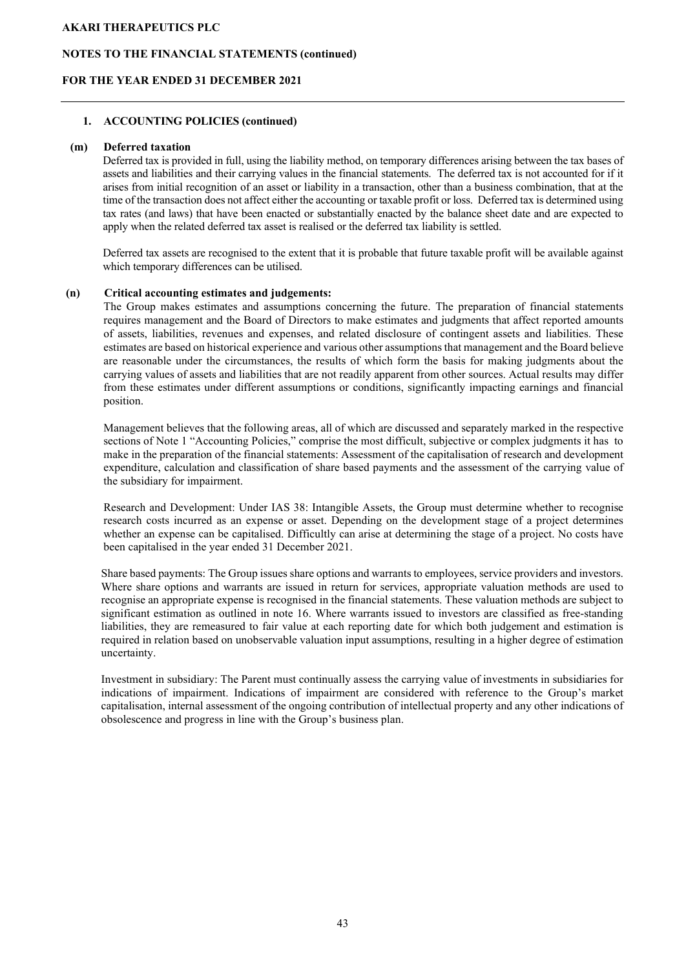### **NOTES TO THE FINANCIAL STATEMENTS (continued)**

# **FOR THE YEAR ENDED 31 DECEMBER 2021**

# **1. ACCOUNTING POLICIES (continued)**

### **(m) Deferred taxation**

Deferred tax is provided in full, using the liability method, on temporary differences arising between the tax bases of assets and liabilities and their carrying values in the financial statements. The deferred tax is not accounted for if it arises from initial recognition of an asset or liability in a transaction, other than a business combination, that at the time of the transaction does not affect either the accounting or taxable profit or loss. Deferred tax is determined using tax rates (and laws) that have been enacted or substantially enacted by the balance sheet date and are expected to apply when the related deferred tax asset is realised or the deferred tax liability is settled.

Deferred tax assets are recognised to the extent that it is probable that future taxable profit will be available against which temporary differences can be utilised.

#### **(n) Critical accounting estimates and judgements:**

The Group makes estimates and assumptions concerning the future. The preparation of financial statements requires management and the Board of Directors to make estimates and judgments that affect reported amounts of assets, liabilities, revenues and expenses, and related disclosure of contingent assets and liabilities. These estimates are based on historical experience and various other assumptions that management and the Board believe are reasonable under the circumstances, the results of which form the basis for making judgments about the carrying values of assets and liabilities that are not readily apparent from other sources. Actual results may differ from these estimates under different assumptions or conditions, significantly impacting earnings and financial position.

Management believes that the following areas, all of which are discussed and separately marked in the respective sections of Note 1 "Accounting Policies," comprise the most difficult, subjective or complex judgments it has to make in the preparation of the financial statements: Assessment of the capitalisation of research and development expenditure, calculation and classification of share based payments and the assessment of the carrying value of the subsidiary for impairment.

Research and Development: Under IAS 38: Intangible Assets, the Group must determine whether to recognise research costs incurred as an expense or asset. Depending on the development stage of a project determines whether an expense can be capitalised. Difficultly can arise at determining the stage of a project. No costs have been capitalised in the year ended 31 December 2021.

Share based payments: The Group issues share options and warrants to employees, service providers and investors. Where share options and warrants are issued in return for services, appropriate valuation methods are used to recognise an appropriate expense is recognised in the financial statements. These valuation methods are subject to significant estimation as outlined in note 16. Where warrants issued to investors are classified as free-standing liabilities, they are remeasured to fair value at each reporting date for which both judgement and estimation is required in relation based on unobservable valuation input assumptions, resulting in a higher degree of estimation uncertainty.

Investment in subsidiary: The Parent must continually assess the carrying value of investments in subsidiaries for indications of impairment. Indications of impairment are considered with reference to the Group's market capitalisation, internal assessment of the ongoing contribution of intellectual property and any other indications of obsolescence and progress in line with the Group's business plan.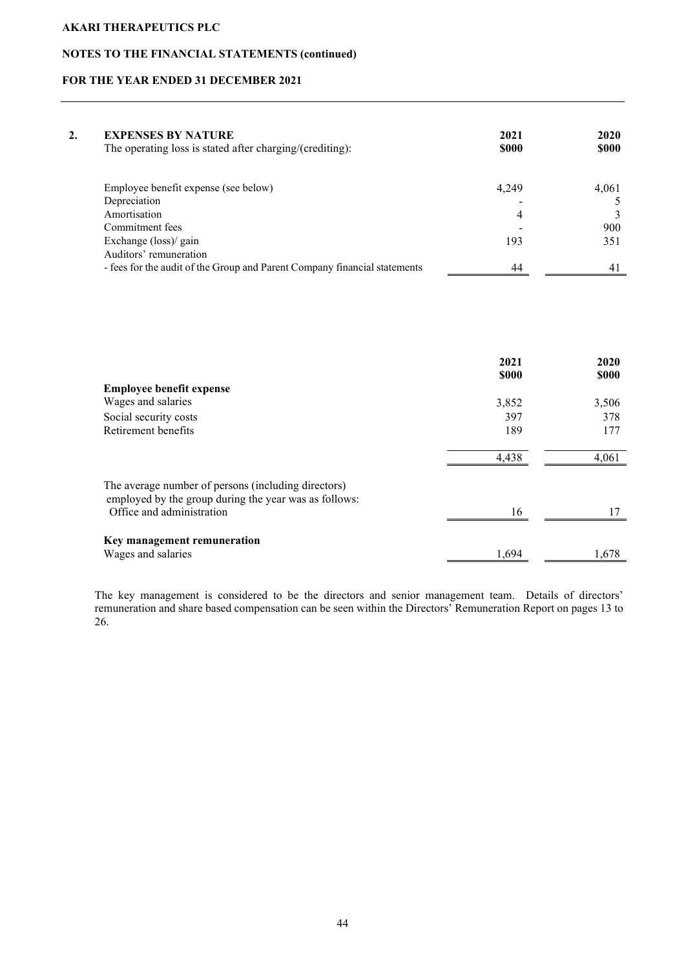# **NOTES TO THE FINANCIAL STATEMENTS (continued)**

# **FOR THE YEAR ENDED 31 DECEMBER 2021**

| $\overline{2}$ . | <b>EXPENSES BY NATURE</b><br>The operating loss is stated after charging/(crediting): | 2021<br><b>SOOO</b> | 2020<br><b>SOOO</b>  |
|------------------|---------------------------------------------------------------------------------------|---------------------|----------------------|
|                  | Employee benefit expense (see below)                                                  | 4.249               | 4,061                |
|                  | Depreciation                                                                          |                     |                      |
|                  | Amortisation                                                                          | 4                   |                      |
|                  | Commitment fees                                                                       |                     | 900                  |
|                  | Exchange (loss)/ gain                                                                 | 193                 | 351                  |
|                  | Auditors' remuneration                                                                |                     |                      |
|                  | - fees for the audit of the Group and Parent Company financial statements             | 44                  | $\mathbf{A}^{\cdot}$ |

|                                                                                                              | 2021<br><b>SOO0</b> | 2020<br><b>SOO0</b> |
|--------------------------------------------------------------------------------------------------------------|---------------------|---------------------|
| <b>Employee benefit expense</b>                                                                              |                     |                     |
| Wages and salaries                                                                                           | 3,852               | 3,506               |
| Social security costs                                                                                        | 397                 | 378                 |
| Retirement benefits                                                                                          | 189                 | 177                 |
|                                                                                                              | 4,438               | 4,061               |
| The average number of persons (including directors)<br>employed by the group during the year was as follows: |                     |                     |
| Office and administration                                                                                    | 16                  |                     |
| Key management remuneration                                                                                  |                     |                     |
| Wages and salaries                                                                                           | 1.694               | 1,678               |

The key management is considered to be the directors and senior management team. Details of directors' remuneration and share based compensation can be seen within the Directors' Remuneration Report on pages 13 to 26.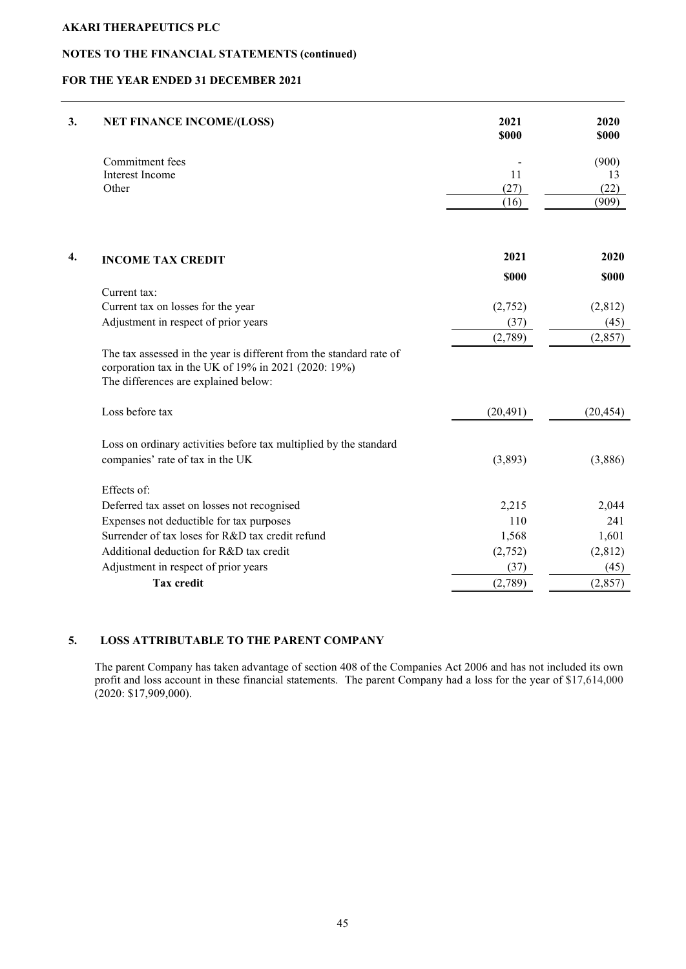# **NOTES TO THE FINANCIAL STATEMENTS (continued)**

# **FOR THE YEAR ENDED 31 DECEMBER 2021**

| 3. | <b>NET FINANCE INCOME/(LOSS)</b>                                                                                            | 2021<br><b>SOOO</b> | 2020<br><b>\$000</b> |
|----|-----------------------------------------------------------------------------------------------------------------------------|---------------------|----------------------|
|    | Commitment fees<br><b>Interest Income</b><br>Other                                                                          | 11<br>(27)          | (900)<br>13<br>(22)  |
|    |                                                                                                                             | (16)                | (909)                |
| 4. | <b>INCOME TAX CREDIT</b>                                                                                                    | 2021                | 2020                 |
|    |                                                                                                                             | \$000               | <b>\$000</b>         |
|    | Current tax:                                                                                                                |                     |                      |
|    | Current tax on losses for the year                                                                                          | (2,752)             | (2,812)              |
|    | Adjustment in respect of prior years                                                                                        | (37)                | (45)                 |
|    |                                                                                                                             | (2,789)             | (2,857)              |
|    | The tax assessed in the year is different from the standard rate of<br>corporation tax in the UK of 19% in 2021 (2020: 19%) |                     |                      |
|    | The differences are explained below:                                                                                        |                     |                      |
|    | Loss before tax                                                                                                             | (20, 491)           | (20, 454)            |
|    | Loss on ordinary activities before tax multiplied by the standard                                                           |                     |                      |
|    | companies' rate of tax in the UK                                                                                            | (3,893)             | (3,886)              |
|    | Effects of:                                                                                                                 |                     |                      |
|    | Deferred tax asset on losses not recognised                                                                                 | 2,215               | 2,044                |
|    | Expenses not deductible for tax purposes                                                                                    | 110                 | 241                  |
|    | Surrender of tax loses for R&D tax credit refund                                                                            | 1,568               | 1,601                |
|    | Additional deduction for R&D tax credit                                                                                     | (2,752)             | (2,812)              |
|    | Adjustment in respect of prior years                                                                                        | (37)                | (45)                 |
|    | <b>Tax credit</b>                                                                                                           | (2,789)             | (2,857)              |

# **5. LOSS ATTRIBUTABLE TO THE PARENT COMPANY**

The parent Company has taken advantage of section 408 of the Companies Act 2006 and has not included its own profit and loss account in these financial statements. The parent Company had a loss for the year of \$17,614,000 (2020: \$17,909,000).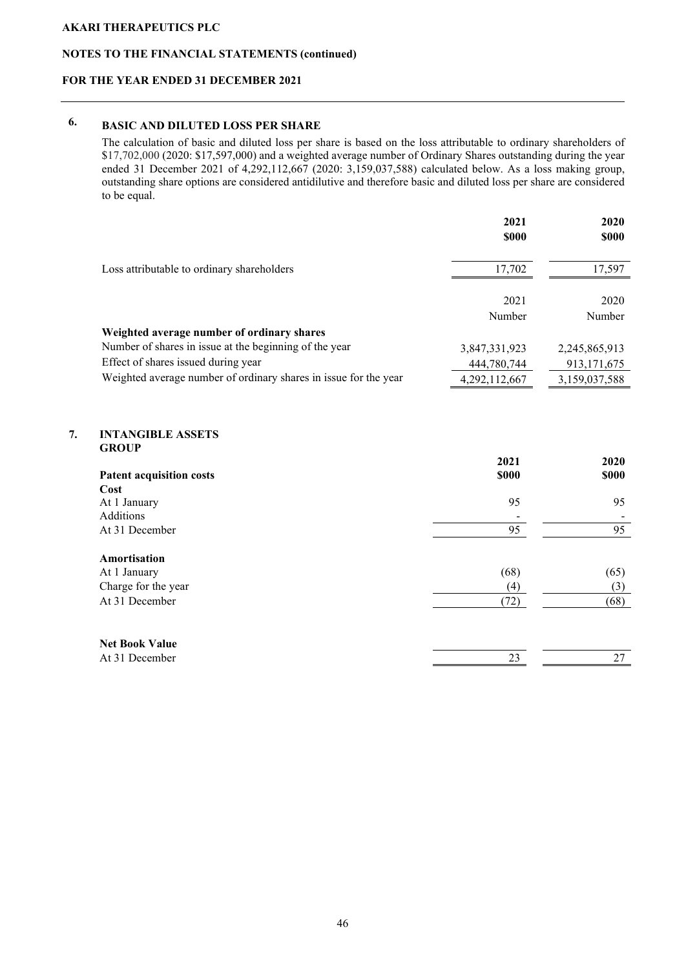# **NOTES TO THE FINANCIAL STATEMENTS (continued)**

## **FOR THE YEAR ENDED 31 DECEMBER 2021**

# **6. BASIC AND DILUTED LOSS PER SHARE**

The calculation of basic and diluted loss per share is based on the loss attributable to ordinary shareholders of \$17,702,000 (2020: \$17,597,000) and a weighted average number of Ordinary Shares outstanding during the year ended 31 December 2021 of 4,292,112,667 (2020: 3,159,037,588) calculated below. As a loss making group, outstanding share options are considered antidilutive and therefore basic and diluted loss per share are considered to be equal.

|                                                                  | 2021<br><b>SOOO</b> | 2020<br><b>\$000</b> |
|------------------------------------------------------------------|---------------------|----------------------|
| Loss attributable to ordinary shareholders                       | 17,702              | 17,597               |
|                                                                  | 2021                | 2020                 |
|                                                                  | Number              | Number               |
| Weighted average number of ordinary shares                       |                     |                      |
| Number of shares in issue at the beginning of the year           | 3,847,331,923       | 2,245,865,913        |
| Effect of shares issued during year                              | 444,780,744         | 913, 171, 675        |
| Weighted average number of ordinary shares in issue for the year | 4, 292, 112, 667    | 3,159,037,588        |
|                                                                  |                     |                      |
|                                                                  |                     |                      |
| <b>INTANGIBLE ASSETS</b>                                         |                     |                      |

#### **7. INTANGIBLE ASSETS GROUP**

| <b>Patent acquisition costs</b>                                       | 2021<br><b>\$000</b> | 2020<br><b>\$000</b> |
|-----------------------------------------------------------------------|----------------------|----------------------|
|                                                                       |                      |                      |
| Cost                                                                  |                      |                      |
| At 1 January                                                          | 95                   | 95                   |
| Additions                                                             |                      |                      |
| At 31 December                                                        | 95                   | 95                   |
| Amortisation<br>At 1 January<br>Charge for the year<br>At 31 December | (68)<br>(4)<br>(72)  | (65)<br>(3)<br>(68)  |
| <b>Net Book Value</b><br>At 31 December                               | 23                   | 27                   |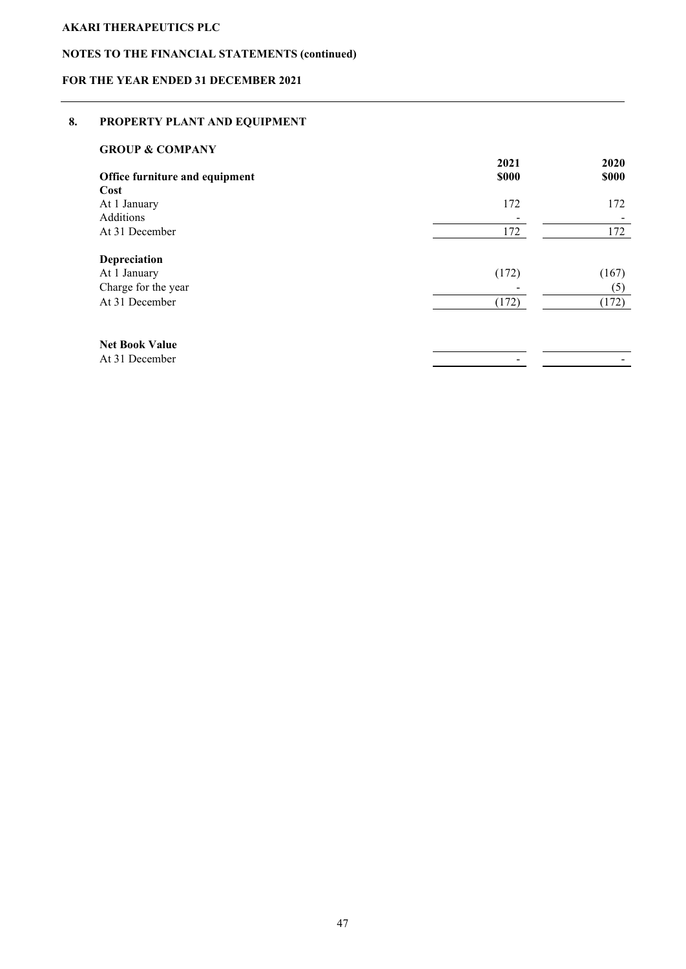# **NOTES TO THE FINANCIAL STATEMENTS (continued)**

# **FOR THE YEAR ENDED 31 DECEMBER 2021**

# **8. PROPERTY PLANT AND EQUIPMENT**

# **GROUP & COMPANY**

| Office furniture and equipment                                        | 2021<br><b>\$000</b> | 2020<br><b>\$000</b>  |
|-----------------------------------------------------------------------|----------------------|-----------------------|
| Cost                                                                  |                      |                       |
| At 1 January                                                          | 172                  | 172                   |
| Additions                                                             |                      |                       |
| At 31 December                                                        | 172                  | 172                   |
| Depreciation<br>At 1 January<br>Charge for the year<br>At 31 December | (172)<br>(172)       | (167)<br>(5)<br>(172) |
| <b>Net Book Value</b><br>At 31 December                               |                      |                       |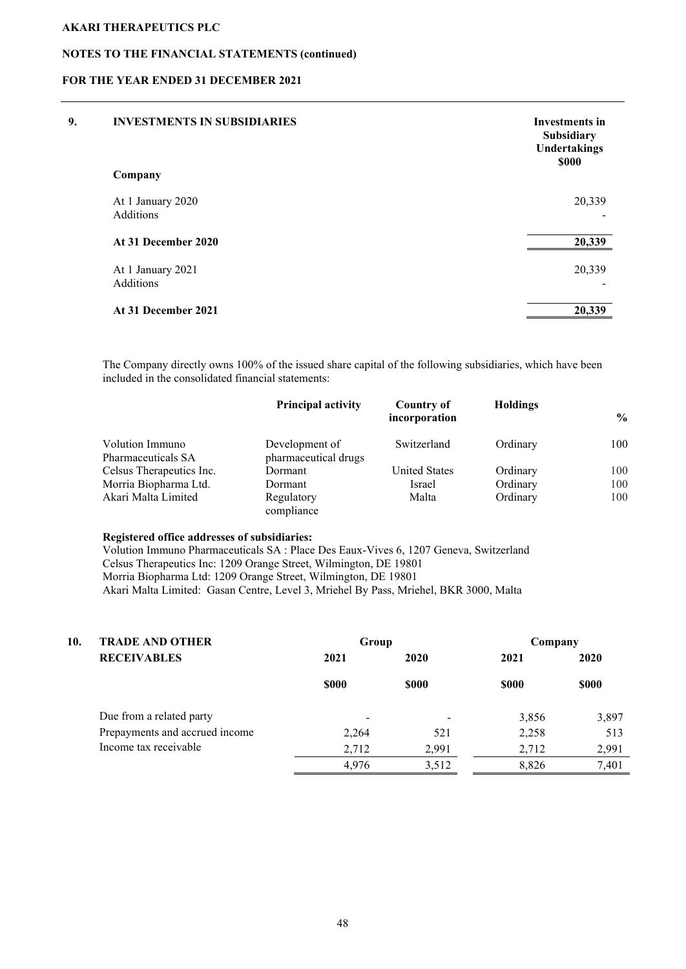# **NOTES TO THE FINANCIAL STATEMENTS (continued)**

# **FOR THE YEAR ENDED 31 DECEMBER 2021**

| <b>INVESTMENTS IN SUBSIDIARIES</b><br>Investments in |
|------------------------------------------------------|
|------------------------------------------------------|

| путертитеттр пуроврединер<br>Company | тителинения п<br>Subsidiary<br>Undertakings<br><b>SOOO</b> |
|--------------------------------------|------------------------------------------------------------|
| At 1 January 2020<br>Additions       | 20,339                                                     |
| At 31 December 2020                  | 20,339                                                     |
| At 1 January 2021<br>Additions       | 20,339                                                     |
| At 31 December 2021                  | 20,339                                                     |

The Company directly owns 100% of the issued share capital of the following subsidiaries, which have been included in the consolidated financial statements:

|                          | <b>Principal activity</b> | Country of           | <b>Holdings</b> |               |
|--------------------------|---------------------------|----------------------|-----------------|---------------|
|                          |                           | incorporation        |                 | $\frac{6}{9}$ |
| Volution Immuno          | Development of            | Switzerland          | Ordinary        | 100           |
| Pharmaceuticals SA       | pharmaceutical drugs      |                      |                 |               |
| Celsus Therapeutics Inc. | Dormant                   | <b>United States</b> | Ordinary        | 100           |
| Morria Biopharma Ltd.    | Dormant                   | Israel               | Ordinary        | 100           |
| Akari Malta Limited      | Regulatory<br>compliance  | Malta                | Ordinary        | 100           |

# **Registered office addresses of subsidiaries:**

Volution Immuno Pharmaceuticals SA : Place Des Eaux-Vives 6, 1207 Geneva, Switzerland Celsus Therapeutics Inc: 1209 Orange Street, Wilmington, DE 19801 Morria Biopharma Ltd: 1209 Orange Street, Wilmington, DE 19801 Akari Malta Limited: Gasan Centre, Level 3, Mriehel By Pass, Mriehel, BKR 3000, Malta

| <b>TRADE AND OTHER</b>         | Group       |                          | Company     |              |  |
|--------------------------------|-------------|--------------------------|-------------|--------------|--|
| <b>RECEIVABLES</b>             | 2021        | 2020                     | 2021        | 2020         |  |
|                                | <b>SOOO</b> | <b>\$000</b>             | <b>SOOO</b> | <b>\$000</b> |  |
| Due from a related party       |             | $\overline{\phantom{a}}$ | 3,856       | 3,897        |  |
| Prepayments and accrued income | 2,264       | 521                      | 2,258       | 513          |  |
| Income tax receivable          | 2,712       | 2,991                    | 2,712       | 2,991        |  |
|                                | 4,976       | 3,512                    | 8,826       | 7,401        |  |
|                                |             |                          |             |              |  |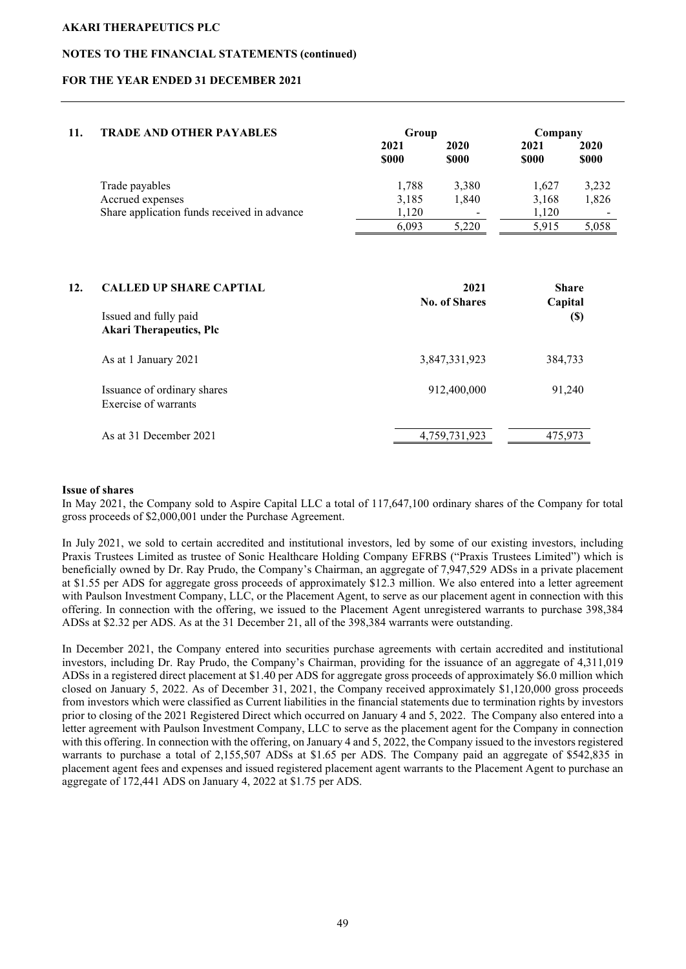### **NOTES TO THE FINANCIAL STATEMENTS (continued)**

## **FOR THE YEAR ENDED 31 DECEMBER 2021**

| 11. | <b>TRADE AND OTHER PAYABLES</b>             | Group               |                     | Company             |                     |  |
|-----|---------------------------------------------|---------------------|---------------------|---------------------|---------------------|--|
|     |                                             | 2021<br><b>SOOO</b> | 2020<br><b>SOOO</b> | 2021<br><b>SOOO</b> | 2020<br><b>SOOO</b> |  |
|     | Trade payables                              | 1.788               | 3,380               | 1.627               | 3,232               |  |
|     | Accrued expenses                            | 3,185               | 1,840               | 3,168               | 1,826               |  |
|     | Share application funds received in advance | 1,120               |                     | 1,120               |                     |  |
|     |                                             | 6.093               | 5.220               | 5.915               | 5.058               |  |

| 12. | <b>CALLED UP SHARE CAPTIAL</b>                          | 2021<br><b>No. of Shares</b> | <b>Share</b><br>Capital |
|-----|---------------------------------------------------------|------------------------------|-------------------------|
|     | Issued and fully paid<br><b>Akari Therapeutics, Plc</b> |                              | <b>(\$)</b>             |
|     | As at 1 January 2021                                    | 3,847,331,923                | 384,733                 |
|     | Issuance of ordinary shares<br>Exercise of warrants     | 912,400,000                  | 91,240                  |
|     | As at 31 December 2021                                  | 4,759,731,923                | 475,973                 |

#### **Issue of shares**

In May 2021, the Company sold to Aspire Capital LLC a total of 117,647,100 ordinary shares of the Company for total gross proceeds of \$2,000,001 under the Purchase Agreement.

In July 2021, we sold to certain accredited and institutional investors, led by some of our existing investors, including Praxis Trustees Limited as trustee of Sonic Healthcare Holding Company EFRBS ("Praxis Trustees Limited") which is beneficially owned by Dr. Ray Prudo, the Company's Chairman, an aggregate of 7,947,529 ADSs in a private placement at \$1.55 per ADS for aggregate gross proceeds of approximately \$12.3 million. We also entered into a letter agreement with Paulson Investment Company, LLC, or the Placement Agent, to serve as our placement agent in connection with this offering. In connection with the offering, we issued to the Placement Agent unregistered warrants to purchase 398,384 ADSs at \$2.32 per ADS. As at the 31 December 21, all of the 398,384 warrants were outstanding.

In December 2021, the Company entered into securities purchase agreements with certain accredited and institutional investors, including Dr. Ray Prudo, the Company's Chairman, providing for the issuance of an aggregate of 4,311,019 ADSs in a registered direct placement at \$1.40 per ADS for aggregate gross proceeds of approximately \$6.0 million which closed on January 5, 2022. As of December 31, 2021, the Company received approximately \$1,120,000 gross proceeds from investors which were classified as Current liabilities in the financial statements due to termination rights by investors prior to closing of the 2021 Registered Direct which occurred on January 4 and 5, 2022. The Company also entered into a letter agreement with Paulson Investment Company, LLC to serve as the placement agent for the Company in connection with this offering. In connection with the offering, on January 4 and 5, 2022, the Company issued to the investors registered warrants to purchase a total of 2,155,507 ADSs at \$1.65 per ADS. The Company paid an aggregate of \$542,835 in placement agent fees and expenses and issued registered placement agent warrants to the Placement Agent to purchase an aggregate of 172,441 ADS on January 4, 2022 at \$1.75 per ADS.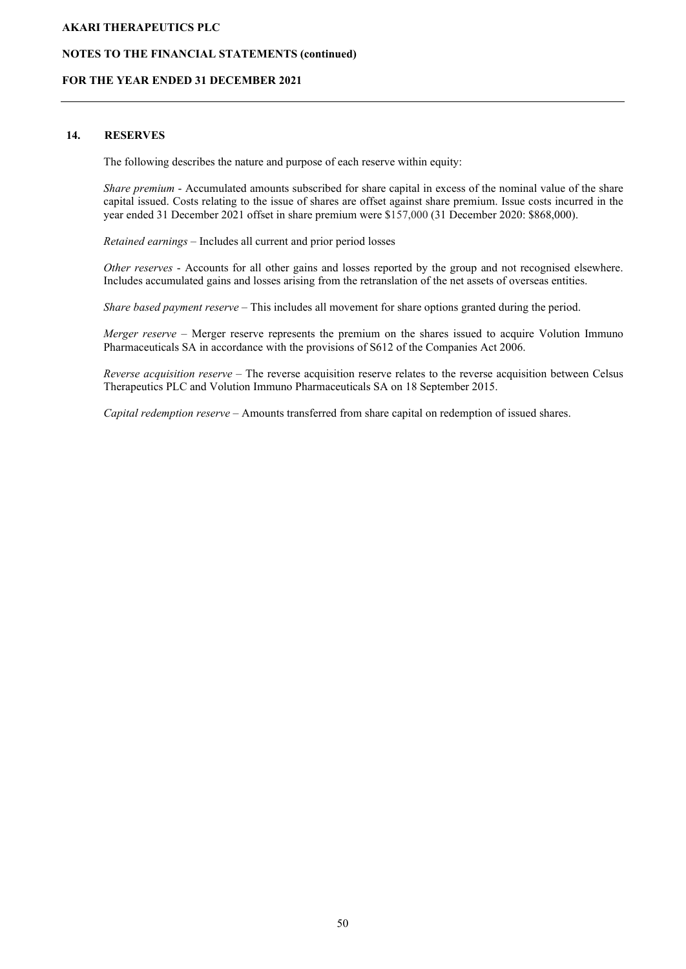### **NOTES TO THE FINANCIAL STATEMENTS (continued)**

## **FOR THE YEAR ENDED 31 DECEMBER 2021**

#### **14. RESERVES**

The following describes the nature and purpose of each reserve within equity:

*Share premium* - Accumulated amounts subscribed for share capital in excess of the nominal value of the share capital issued. Costs relating to the issue of shares are offset against share premium. Issue costs incurred in the year ended 31 December 2021 offset in share premium were \$157,000 (31 December 2020: \$868,000).

*Retained earnings* – Includes all current and prior period losses

*Other reserves* - Accounts for all other gains and losses reported by the group and not recognised elsewhere. Includes accumulated gains and losses arising from the retranslation of the net assets of overseas entities.

*Share based payment reserve* – This includes all movement for share options granted during the period.

*Merger reserve* – Merger reserve represents the premium on the shares issued to acquire Volution Immuno Pharmaceuticals SA in accordance with the provisions of S612 of the Companies Act 2006.

*Reverse acquisition reserve* – The reverse acquisition reserve relates to the reverse acquisition between Celsus Therapeutics PLC and Volution Immuno Pharmaceuticals SA on 18 September 2015.

*Capital redemption reserve* – Amounts transferred from share capital on redemption of issued shares.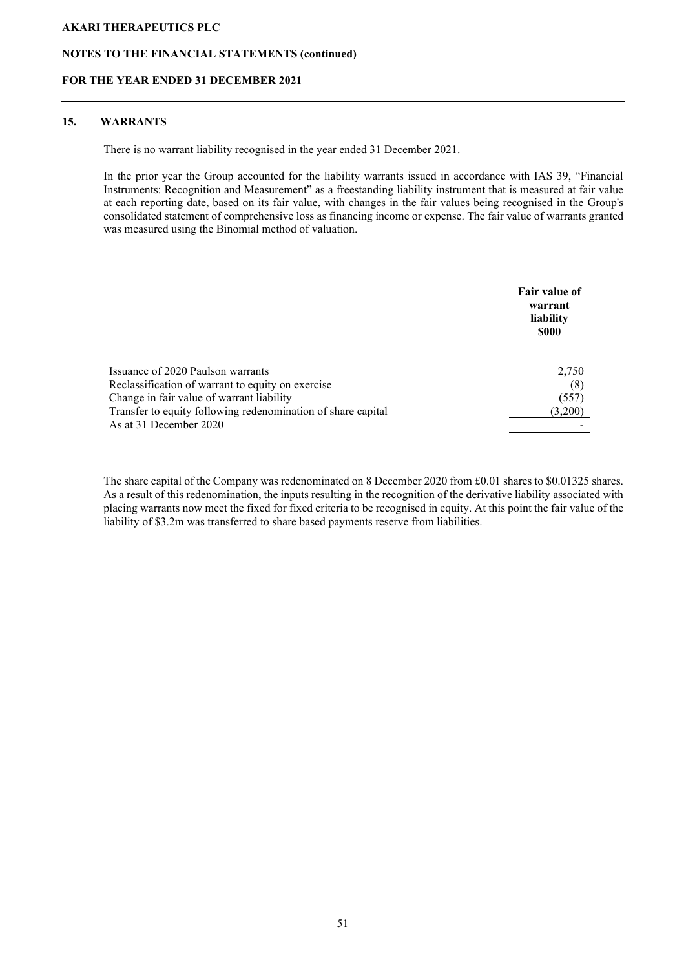### **NOTES TO THE FINANCIAL STATEMENTS (continued)**

## **FOR THE YEAR ENDED 31 DECEMBER 2021**

# **15. WARRANTS**

There is no warrant liability recognised in the year ended 31 December 2021.

In the prior year the Group accounted for the liability warrants issued in accordance with IAS 39, "Financial Instruments: Recognition and Measurement" as a freestanding liability instrument that is measured at fair value at each reporting date, based on its fair value, with changes in the fair values being recognised in the Group's consolidated statement of comprehensive loss as financing income or expense. The fair value of warrants granted was measured using the Binomial method of valuation.

|                                                                                        | <b>Fair value of</b><br>warrant<br>liability<br><b>SOOO</b> |
|----------------------------------------------------------------------------------------|-------------------------------------------------------------|
| Issuance of 2020 Paulson warrants                                                      | 2,750                                                       |
| Reclassification of warrant to equity on exercise                                      | (8)                                                         |
| Change in fair value of warrant liability                                              | (557)                                                       |
| Transfer to equity following redenomination of share capital<br>As at 31 December 2020 | (3,200)                                                     |

The share capital of the Company was redenominated on 8 December 2020 from £0.01 shares to \$0.01325 shares. As a result of this redenomination, the inputs resulting in the recognition of the derivative liability associated with placing warrants now meet the fixed for fixed criteria to be recognised in equity. At this point the fair value of the liability of \$3.2m was transferred to share based payments reserve from liabilities.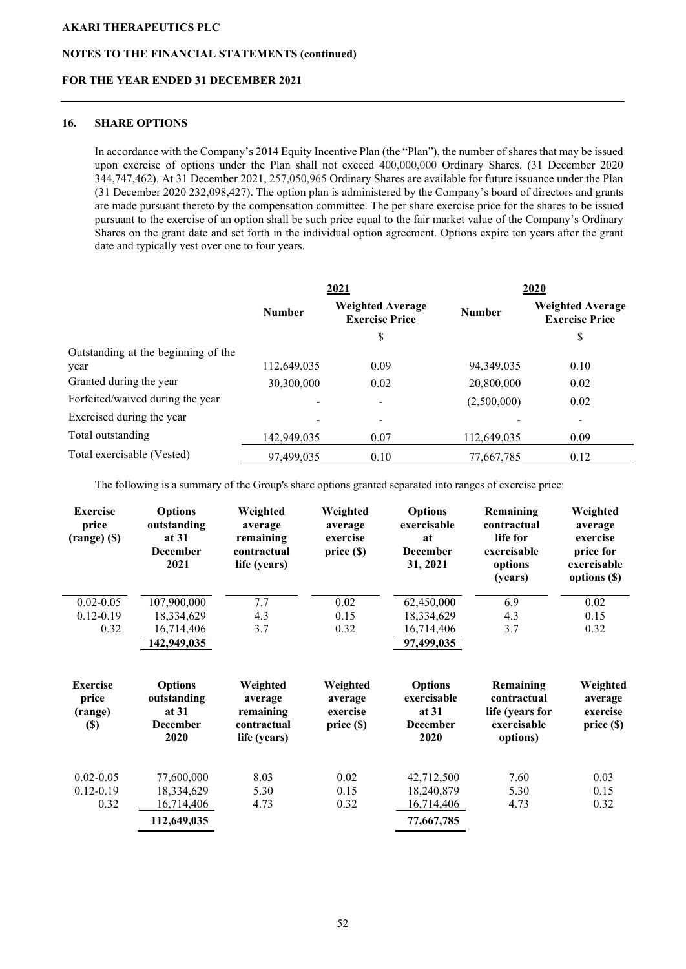### **NOTES TO THE FINANCIAL STATEMENTS (continued)**

# **FOR THE YEAR ENDED 31 DECEMBER 2021**

# **16. SHARE OPTIONS**

In accordance with the Company's 2014 Equity Incentive Plan (the "Plan"), the number of shares that may be issued upon exercise of options under the Plan shall not exceed 400,000,000 Ordinary Shares. (31 December 2020 344,747,462). At 31 December 2021, 257,050,965 Ordinary Shares are available for future issuance under the Plan (31 December 2020 232,098,427). The option plan is administered by the Company's board of directors and grants are made pursuant thereto by the compensation committee. The per share exercise price for the shares to be issued pursuant to the exercise of an option shall be such price equal to the fair market value of the Company's Ordinary Shares on the grant date and set forth in the individual option agreement. Options expire ten years after the grant date and typically vest over one to four years.

|                                     | 2021                                                              |      | 2020          |                                                  |
|-------------------------------------|-------------------------------------------------------------------|------|---------------|--------------------------------------------------|
|                                     | <b>Weighted Average</b><br><b>Number</b><br><b>Exercise Price</b> |      | <b>Number</b> | <b>Weighted Average</b><br><b>Exercise Price</b> |
|                                     |                                                                   | \$   |               | \$                                               |
| Outstanding at the beginning of the |                                                                   |      |               |                                                  |
| year                                | 112,649,035                                                       | 0.09 | 94, 349, 035  | 0.10                                             |
| Granted during the year             | 30,300,000                                                        | 0.02 | 20,800,000    | 0.02                                             |
| Forfeited/waived during the year    |                                                                   | ٠    | (2,500,000)   | 0.02                                             |
| Exercised during the year           |                                                                   | -    |               |                                                  |
| Total outstanding                   | 142,949,035                                                       | 0.07 | 112,649,035   | 0.09                                             |
| Total exercisable (Vested)          | 97,499,035                                                        | 0.10 | 77,667,785    | 0.12                                             |

The following is a summary of the Group's share options granted separated into ranges of exercise price:

| <b>Exercise</b><br>price<br>$(range)$ (\$)    | <b>Options</b><br>outstanding<br>at 31<br><b>December</b><br>2021 | Weighted<br>average<br>remaining<br>contractual<br>life (years) | Weighted<br>average<br>exercise<br>price (\$) | <b>Options</b><br>exercisable<br>at<br><b>December</b><br>31, 2021 | Remaining<br>contractual<br>life for<br>exercisable<br>options<br>(years) | Weighted<br>average<br>exercise<br>price for<br>exercisable<br>options (\$) |
|-----------------------------------------------|-------------------------------------------------------------------|-----------------------------------------------------------------|-----------------------------------------------|--------------------------------------------------------------------|---------------------------------------------------------------------------|-----------------------------------------------------------------------------|
| $0.02 - 0.05$                                 | 107,900,000                                                       | 7.7                                                             | 0.02                                          | 62,450,000                                                         | 6.9                                                                       | 0.02                                                                        |
| $0.12 - 0.19$                                 | 18,334,629                                                        | 4.3                                                             | 0.15                                          | 18,334,629                                                         | 4.3                                                                       | 0.15                                                                        |
| 0.32                                          | 16,714,406                                                        | 3.7                                                             | 0.32                                          | 16,714,406                                                         | 3.7                                                                       | 0.32                                                                        |
|                                               | 142,949,035                                                       |                                                                 |                                               | 97,499,035                                                         |                                                                           |                                                                             |
| <b>Exercise</b><br>price<br>(range)<br>$(\$)$ | <b>Options</b><br>outstanding<br>at 31<br><b>December</b><br>2020 | Weighted<br>average<br>remaining<br>contractual<br>life (years) | Weighted<br>average<br>exercise<br>price (\$) | <b>Options</b><br>exercisable<br>at 31<br><b>December</b><br>2020  | Remaining<br>contractual<br>life (years for<br>exercisable<br>options)    | Weighted<br>average<br>exercise<br>price( <sub>s</sub> )                    |
| $0.02 - 0.05$                                 | 77,600,000                                                        | 8.03                                                            | 0.02                                          | 42,712,500                                                         | 7.60                                                                      | 0.03                                                                        |
| $0.12 - 0.19$                                 | 18,334,629                                                        | 5.30                                                            | 0.15                                          | 18,240,879                                                         | 5.30                                                                      | 0.15                                                                        |
| 0.32                                          | 16,714,406                                                        | 4.73                                                            | 0.32                                          | 16,714,406                                                         | 4.73                                                                      | 0.32                                                                        |
|                                               | 112,649,035                                                       |                                                                 |                                               | 77,667,785                                                         |                                                                           |                                                                             |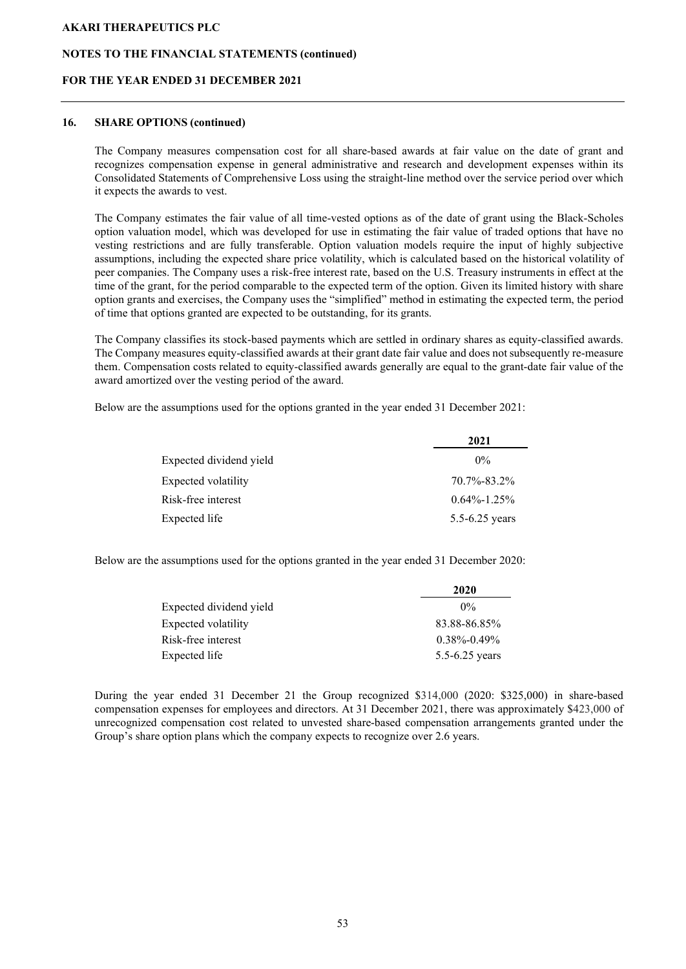## **NOTES TO THE FINANCIAL STATEMENTS (continued)**

## **FOR THE YEAR ENDED 31 DECEMBER 2021**

#### **16. SHARE OPTIONS (continued)**

The Company measures compensation cost for all share-based awards at fair value on the date of grant and recognizes compensation expense in general administrative and research and development expenses within its Consolidated Statements of Comprehensive Loss using the straight-line method over the service period over which it expects the awards to vest.

The Company estimates the fair value of all time-vested options as of the date of grant using the Black-Scholes option valuation model, which was developed for use in estimating the fair value of traded options that have no vesting restrictions and are fully transferable. Option valuation models require the input of highly subjective assumptions, including the expected share price volatility, which is calculated based on the historical volatility of peer companies. The Company uses a risk-free interest rate, based on the U.S. Treasury instruments in effect at the time of the grant, for the period comparable to the expected term of the option. Given its limited history with share option grants and exercises, the Company uses the "simplified" method in estimating the expected term, the period of time that options granted are expected to be outstanding, for its grants.

The Company classifies its stock-based payments which are settled in ordinary shares as equity-classified awards. The Company measures equity-classified awards at their grant date fair value and does not subsequently re-measure them. Compensation costs related to equity-classified awards generally are equal to the grant-date fair value of the award amortized over the vesting period of the award.

Below are the assumptions used for the options granted in the year ended 31 December 2021:

|                         | 2021              |
|-------------------------|-------------------|
| Expected dividend yield | $0\%$             |
| Expected volatility     | 70.7%-83.2%       |
| Risk-free interest      | $0.64\% - 1.25\%$ |
| Expected life           | 5.5 $-6.25$ years |

Below are the assumptions used for the options granted in the year ended 31 December 2020:

| 2020              |
|-------------------|
| $0\%$             |
| 83.88-86.85%      |
| $0.38\% - 0.49\%$ |
| 5.5 $-6.25$ years |
|                   |

During the year ended 31 December 21 the Group recognized \$314,000 (2020: \$325,000) in share-based compensation expenses for employees and directors. At 31 December 2021, there was approximately \$423,000 of unrecognized compensation cost related to unvested share-based compensation arrangements granted under the Group's share option plans which the company expects to recognize over 2.6 years.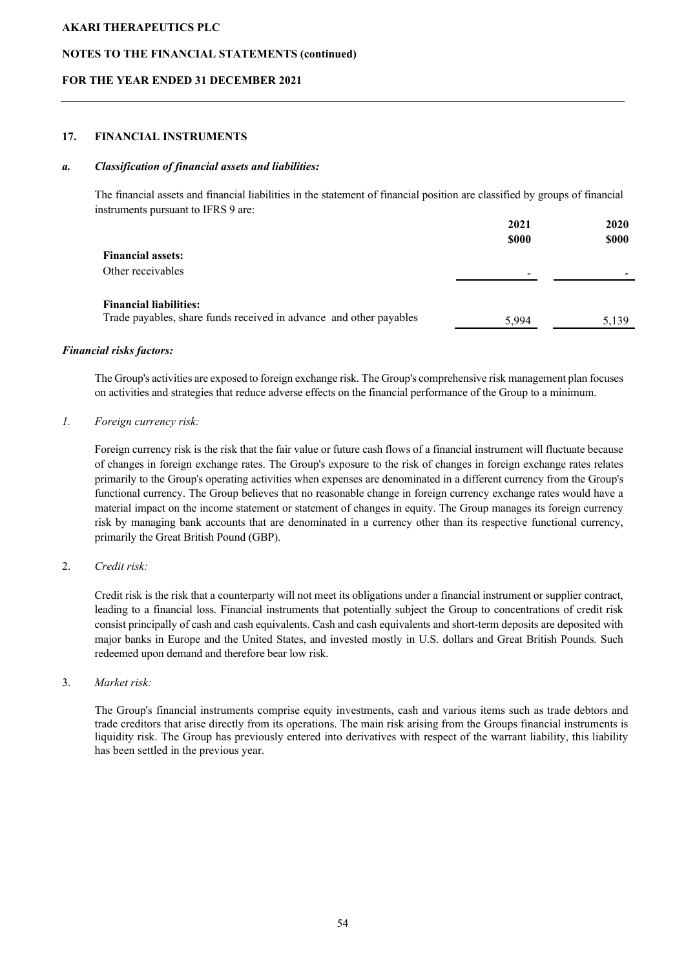# **NOTES TO THE FINANCIAL STATEMENTS (continued)**

## **FOR THE YEAR ENDED 31 DECEMBER 2021**

### **17. FINANCIAL INSTRUMENTS**

#### *a. Classification of financial assets and liabilities:*

The financial assets and financial liabilities in the statement of financial position are classified by groups of financial instruments pursuant to IFRS 9 are:

|                                                                    | 2021                     | 2020         |
|--------------------------------------------------------------------|--------------------------|--------------|
|                                                                    | <b>\$000</b>             | <b>\$000</b> |
| <b>Financial assets:</b>                                           |                          |              |
| Other receivables                                                  | $\overline{\phantom{0}}$ |              |
|                                                                    |                          |              |
| <b>Financial liabilities:</b>                                      |                          |              |
| Trade payables, share funds received in advance and other payables | 5.994                    | 5.139        |

#### *Financial risks factors:*

The Group's activities are exposed to foreign exchange risk. The Group's comprehensive risk management plan focuses on activities and strategies that reduce adverse effects on the financial performance of the Group to a minimum.

### *1. Foreign currency risk:*

Foreign currency risk is the risk that the fair value or future cash flows of a financial instrument will fluctuate because of changes in foreign exchange rates. The Group's exposure to the risk of changes in foreign exchange rates relates primarily to the Group's operating activities when expenses are denominated in a different currency from the Group's functional currency. The Group believes that no reasonable change in foreign currency exchange rates would have a material impact on the income statement or statement of changes in equity. The Group manages its foreign currency risk by managing bank accounts that are denominated in a currency other than its respective functional currency, primarily the Great British Pound (GBP).

# 2. *Credit risk:*

Credit risk is the risk that a counterparty will not meet its obligations under a financial instrument or supplier contract, leading to a financial loss. Financial instruments that potentially subject the Group to concentrations of credit risk consist principally of cash and cash equivalents. Cash and cash equivalents and short-term deposits are deposited with major banks in Europe and the United States, and invested mostly in U.S. dollars and Great British Pounds. Such redeemed upon demand and therefore bear low risk.

## 3. *Market risk:*

The Group's financial instruments comprise equity investments, cash and various items such as trade debtors and trade creditors that arise directly from its operations. The main risk arising from the Groups financial instruments is liquidity risk. The Group has previously entered into derivatives with respect of the warrant liability, this liability has been settled in the previous year.